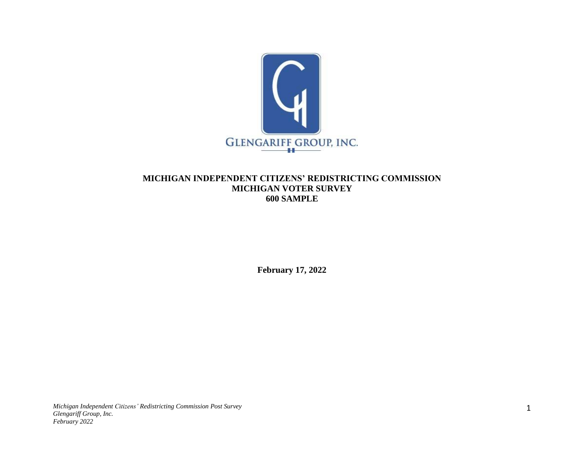

## **MICHIGAN INDEPENDENT CITIZENS' REDISTRICTING COMMISSION MICHIGAN VOTER SURVEY 600 SAMPLE**

**February 17, 2022**

*Michigan Independent Citizens' Redistricting Commission Post Survey Glengariff Group, Inc. February 2022*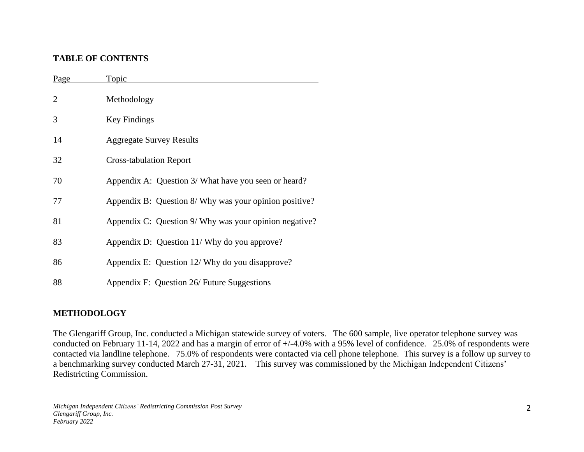## **TABLE OF CONTENTS**

| Page | Topic                                                  |
|------|--------------------------------------------------------|
| 2    | Methodology                                            |
| 3    | <b>Key Findings</b>                                    |
| 14   | <b>Aggregate Survey Results</b>                        |
| 32   | <b>Cross-tabulation Report</b>                         |
| 70   | Appendix A: Question 3/ What have you seen or heard?   |
| 77   | Appendix B: Question 8/ Why was your opinion positive? |
| 81   | Appendix C: Question 9/ Why was your opinion negative? |
| 83   | Appendix D: Question 11/ Why do you approve?           |
| 86   | Appendix E: Question 12/ Why do you disapprove?        |
| 88   | Appendix F: Question 26/ Future Suggestions            |

# **METHODOLOGY**

The Glengariff Group, Inc. conducted a Michigan statewide survey of voters. The 600 sample, live operator telephone survey was conducted on February 11-14, 2022 and has a margin of error of +/-4.0% with a 95% level of confidence. 25.0% of respondents were contacted via landline telephone. 75.0% of respondents were contacted via cell phone telephone. This survey is a follow up survey to a benchmarking survey conducted March 27-31, 2021. This survey was commissioned by the Michigan Independent Citizens' Redistricting Commission.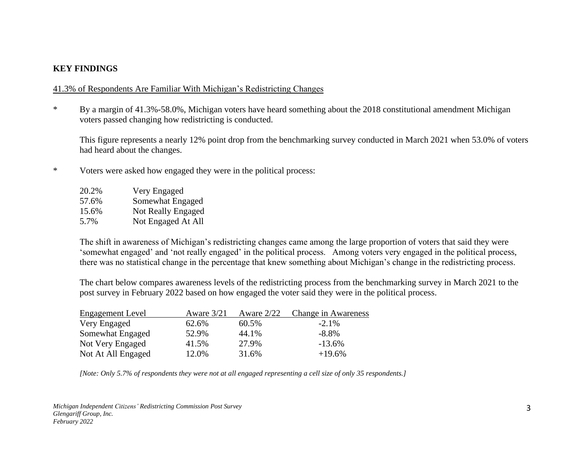## **KEY FINDINGS**

#### 41.3% of Respondents Are Familiar With Michigan's Redistricting Changes

\* By a margin of 41.3%-58.0%, Michigan voters have heard something about the 2018 constitutional amendment Michigan voters passed changing how redistricting is conducted.

This figure represents a nearly 12% point drop from the benchmarking survey conducted in March 2021 when 53.0% of voters had heard about the changes.

\* Voters were asked how engaged they were in the political process:

| 20.2% | Very Engaged       |
|-------|--------------------|
| 57.6% | Somewhat Engaged   |
| 15.6% | Not Really Engaged |
| 5.7%  | Not Engaged At All |

The shift in awareness of Michigan's redistricting changes came among the large proportion of voters that said they were 'somewhat engaged' and 'not really engaged' in the political process. Among voters very engaged in the political process, there was no statistical change in the percentage that knew something about Michigan's change in the redistricting process.

The chart below compares awareness levels of the redistricting process from the benchmarking survey in March 2021 to the post survey in February 2022 based on how engaged the voter said they were in the political process.

| Engagement Level   | Aware $3/21$ | Aware $2/22$ | Change in Awareness |
|--------------------|--------------|--------------|---------------------|
| Very Engaged       | 62.6%        | 60.5%        | $-2.1\%$            |
| Somewhat Engaged   | 52.9%        | 44.1%        | $-8.8\%$            |
| Not Very Engaged   | 41.5%        | 27.9%        | $-13.6%$            |
| Not At All Engaged | 12.0%        | 31.6%        | $+19.6%$            |

*[Note: Only 5.7% of respondents they were not at all engaged representing a cell size of only 35 respondents.]*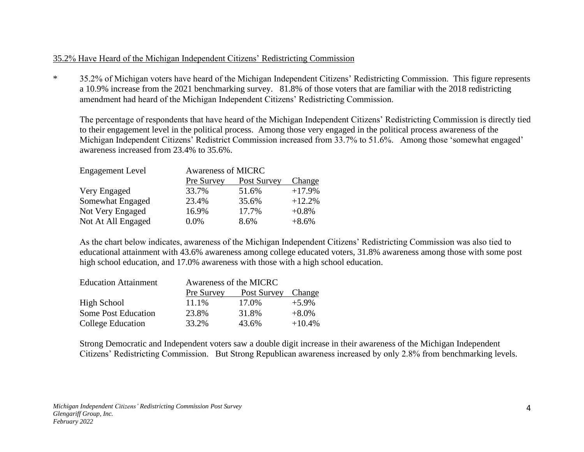### 35.2% Have Heard of the Michigan Independent Citizens' Redistricting Commission

\* 35.2% of Michigan voters have heard of the Michigan Independent Citizens' Redistricting Commission. This figure represents a 10.9% increase from the 2021 benchmarking survey. 81.8% of those voters that are familiar with the 2018 redistricting amendment had heard of the Michigan Independent Citizens' Redistricting Commission.

The percentage of respondents that have heard of the Michigan Independent Citizens' Redistricting Commission is directly tied to their engagement level in the political process. Among those very engaged in the political process awareness of the Michigan Independent Citizens' Redistrict Commission increased from 33.7% to 51.6%. Among those 'somewhat engaged' awareness increased from 23.4% to 35.6%.

| <b>Engagement Level</b> | <b>Awareness of MICRC</b> |             |          |  |
|-------------------------|---------------------------|-------------|----------|--|
|                         | Pre Survey                | Post Survey | Change   |  |
| Very Engaged            | 33.7%                     | 51.6%       | $+17.9%$ |  |
| Somewhat Engaged        | 23.4%                     | 35.6%       | $+12.2%$ |  |
| Not Very Engaged        | 16.9%                     | 17.7%       | $+0.8\%$ |  |
| Not At All Engaged      | 0.0%                      | 8.6%        | $+8.6%$  |  |

As the chart below indicates, awareness of the Michigan Independent Citizens' Redistricting Commission was also tied to educational attainment with 43.6% awareness among college educated voters, 31.8% awareness among those with some post high school education, and 17.0% awareness with those with a high school education.

| <b>Education Attainment</b> | Awareness of the MICRC |             |          |  |
|-----------------------------|------------------------|-------------|----------|--|
|                             | Pre Survey             | Post Survey | Change   |  |
| High School                 | 11.1%                  | 17.0%       | $+5.9\%$ |  |
| <b>Some Post Education</b>  | 23.8%                  | 31.8%       | $+8.0\%$ |  |
| College Education           | 33.2%                  | 43.6%       | $+10.4%$ |  |

Strong Democratic and Independent voters saw a double digit increase in their awareness of the Michigan Independent Citizens' Redistricting Commission. But Strong Republican awareness increased by only 2.8% from benchmarking levels.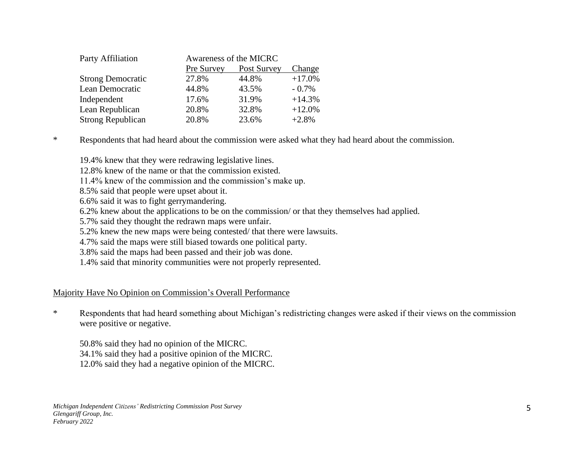| Party Affiliation        |            | Awareness of the MICRC |          |
|--------------------------|------------|------------------------|----------|
|                          | Pre Survey | Post Survey            | Change   |
| <b>Strong Democratic</b> | 27.8%      | 44.8%                  | $+17.0%$ |
| Lean Democratic          | 44.8%      | 43.5%                  | $-0.7\%$ |
| Independent              | 17.6%      | 31.9%                  | $+14.3%$ |
| Lean Republican          | 20.8%      | 32.8%                  | $+12.0%$ |
| <b>Strong Republican</b> | 20.8%      | 23.6%                  | $+2.8%$  |

\* Respondents that had heard about the commission were asked what they had heard about the commission.

19.4% knew that they were redrawing legislative lines.

12.8% knew of the name or that the commission existed.

11.4% knew of the commission and the commission's make up.

8.5% said that people were upset about it.

6.6% said it was to fight gerrymandering.

6.2% knew about the applications to be on the commission/ or that they themselves had applied.

5.7% said they thought the redrawn maps were unfair.

5.2% knew the new maps were being contested/ that there were lawsuits.

4.7% said the maps were still biased towards one political party.

3.8% said the maps had been passed and their job was done.

1.4% said that minority communities were not properly represented.

#### Majority Have No Opinion on Commission's Overall Performance

\* Respondents that had heard something about Michigan's redistricting changes were asked if their views on the commission were positive or negative.

50.8% said they had no opinion of the MICRC. 34.1% said they had a positive opinion of the MICRC. 12.0% said they had a negative opinion of the MICRC.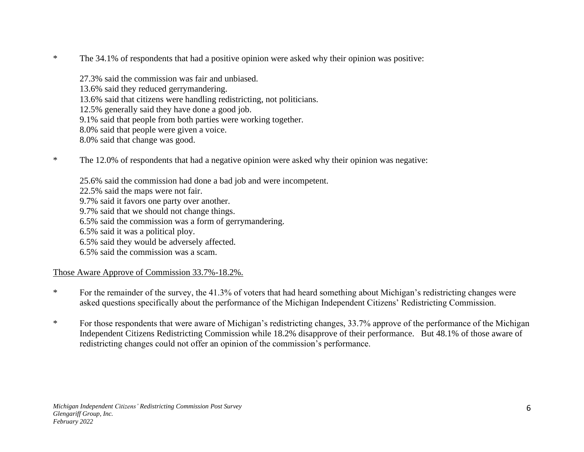- \* The 34.1% of respondents that had a positive opinion were asked why their opinion was positive:
	- 27.3% said the commission was fair and unbiased. 13.6% said they reduced gerrymandering. 13.6% said that citizens were handling redistricting, not politicians. 12.5% generally said they have done a good job. 9.1% said that people from both parties were working together. 8.0% said that people were given a voice. 8.0% said that change was good.
- \* The 12.0% of respondents that had a negative opinion were asked why their opinion was negative:
	- 25.6% said the commission had done a bad job and were incompetent.
	- 22.5% said the maps were not fair.
	- 9.7% said it favors one party over another.
	- 9.7% said that we should not change things.
	- 6.5% said the commission was a form of gerrymandering.
	- 6.5% said it was a political ploy.
	- 6.5% said they would be adversely affected.
	- 6.5% said the commission was a scam.

# Those Aware Approve of Commission 33.7%-18.2%.

- \* For the remainder of the survey, the 41.3% of voters that had heard something about Michigan's redistricting changes were asked questions specifically about the performance of the Michigan Independent Citizens' Redistricting Commission.
- \* For those respondents that were aware of Michigan's redistricting changes, 33.7% approve of the performance of the Michigan Independent Citizens Redistricting Commission while 18.2% disapprove of their performance. But 48.1% of those aware of redistricting changes could not offer an opinion of the commission's performance.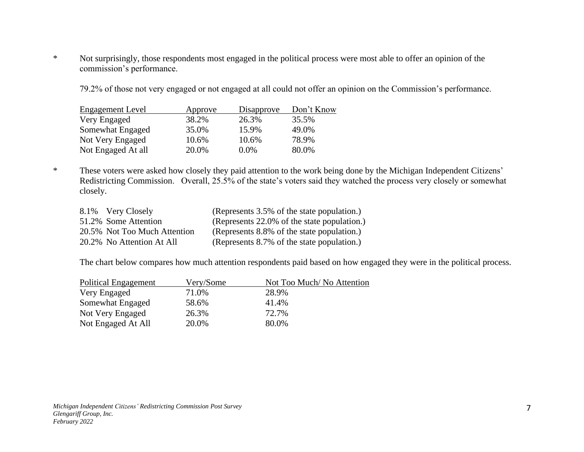\* Not surprisingly, those respondents most engaged in the political process were most able to offer an opinion of the commission's performance.

79.2% of those not very engaged or not engaged at all could not offer an opinion on the Commission's performance.

| <b>Engagement Level</b> | Approve | Disapprove | Don't Know |
|-------------------------|---------|------------|------------|
| Very Engaged            | 38.2%   | 26.3%      | 35.5%      |
| Somewhat Engaged        | 35.0%   | 15.9%      | 49.0%      |
| Not Very Engaged        | 10.6%   | 10.6%      | 78.9%      |
| Not Engaged At all      | 20.0%   | $0.0\%$    | 80.0%      |

\* These voters were asked how closely they paid attention to the work being done by the Michigan Independent Citizens' Redistricting Commission. Overall, 25.5% of the state's voters said they watched the process very closely or somewhat closely.

| 8.1% Very Closely            | (Represents 3.5% of the state population.)  |
|------------------------------|---------------------------------------------|
| 51.2% Some Attention         | (Represents 22.0% of the state population.) |
| 20.5% Not Too Much Attention | (Represents 8.8% of the state population.)  |
| 20.2% No Attention At All    | (Represents 8.7% of the state population.)  |

The chart below compares how much attention respondents paid based on how engaged they were in the political process.

| <b>Political Engagement</b> | Very/Some | Not Too Much/No Attention |
|-----------------------------|-----------|---------------------------|
| Very Engaged                | 71.0%     | 28.9%                     |
| Somewhat Engaged            | 58.6%     | 41.4%                     |
| Not Very Engaged            | 26.3%     | 72.7%                     |
| Not Engaged At All          | 20.0%     | 80.0%                     |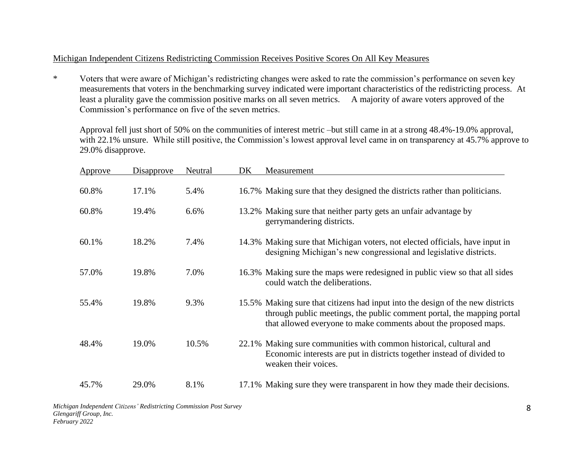### Michigan Independent Citizens Redistricting Commission Receives Positive Scores On All Key Measures

\* Voters that were aware of Michigan's redistricting changes were asked to rate the commission's performance on seven key measurements that voters in the benchmarking survey indicated were important characteristics of the redistricting process. At least a plurality gave the commission positive marks on all seven metrics. A majority of aware voters approved of the Commission's performance on five of the seven metrics.

Approval fell just short of 50% on the communities of interest metric –but still came in at a strong 48.4%-19.0% approval, with 22.1% unsure. While still positive, the Commission's lowest approval level came in on transparency at 45.7% approve to 29.0% disapprove.

| Approve | Disapprove | Neutral | DK | Measurement                                                                                                                                                                                                                 |
|---------|------------|---------|----|-----------------------------------------------------------------------------------------------------------------------------------------------------------------------------------------------------------------------------|
| 60.8%   | 17.1%      | 5.4%    |    | 16.7% Making sure that they designed the districts rather than politicians.                                                                                                                                                 |
| 60.8%   | 19.4%      | 6.6%    |    | 13.2% Making sure that neither party gets an unfair advantage by<br>gerrymandering districts.                                                                                                                               |
| 60.1%   | 18.2%      | 7.4%    |    | 14.3% Making sure that Michigan voters, not elected officials, have input in<br>designing Michigan's new congressional and legislative districts.                                                                           |
| 57.0%   | 19.8%      | 7.0%    |    | 16.3% Making sure the maps were redesigned in public view so that all sides<br>could watch the deliberations.                                                                                                               |
| 55.4%   | 19.8%      | 9.3%    |    | 15.5% Making sure that citizens had input into the design of the new districts<br>through public meetings, the public comment portal, the mapping portal<br>that allowed everyone to make comments about the proposed maps. |
| 48.4%   | 19.0%      | 10.5%   |    | 22.1% Making sure communities with common historical, cultural and<br>Economic interests are put in districts together instead of divided to<br>weaken their voices.                                                        |
| 45.7%   | 29.0%      | 8.1%    |    | 17.1% Making sure they were transparent in how they made their decisions.                                                                                                                                                   |

*Michigan Independent Citizens' Redistricting Commission Post Survey Glengariff Group, Inc. February 2022*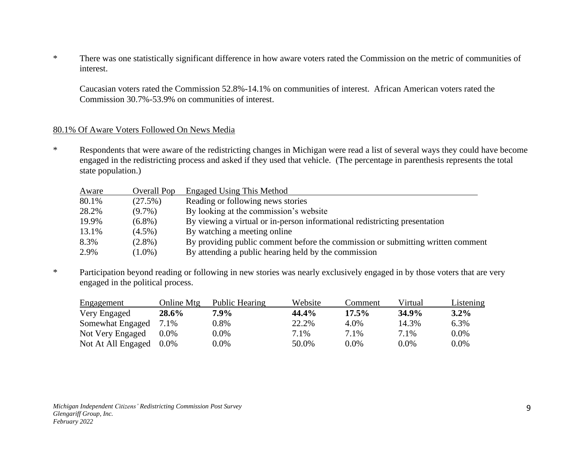\* There was one statistically significant difference in how aware voters rated the Commission on the metric of communities of interest.

Caucasian voters rated the Commission 52.8%-14.1% on communities of interest. African American voters rated the Commission 30.7%-53.9% on communities of interest.

#### 80.1% Of Aware Voters Followed On News Media

\* Respondents that were aware of the redistricting changes in Michigan were read a list of several ways they could have become engaged in the redistricting process and asked if they used that vehicle. (The percentage in parenthesis represents the total state population.)

| Aware | Overall Pop | <b>Engaged Using This Method</b>                                                |
|-------|-------------|---------------------------------------------------------------------------------|
| 80.1% | $(27.5\%)$  | Reading or following news stories                                               |
| 28.2% | $(9.7\%)$   | By looking at the commission's website                                          |
| 19.9% | $(6.8\%)$   | By viewing a virtual or in-person informational redistricting presentation      |
| 13.1% | $(4.5\%)$   | By watching a meeting online                                                    |
| 8.3%  | $(2.8\%)$   | By providing public comment before the commission or submitting written comment |
| 2.9%  | $(1.0\%)$   | By attending a public hearing held by the commission                            |
|       |             |                                                                                 |

\* Participation beyond reading or following in new stories was nearly exclusively engaged in by those voters that are very engaged in the political process.

| <b>Engagement</b>  | Online Mtg | Public Hearing | Website | Comment  | Virtual | Listening |
|--------------------|------------|----------------|---------|----------|---------|-----------|
| Very Engaged       | 28.6%      | 7.9%           | 44.4%   | $17.5\%$ | 34.9%   | $3.2\%$   |
| Somewhat Engaged   | 7.1%       | $0.8\%$        | 22.2%   | 4.0%     | 14.3%   | 6.3%      |
| Not Very Engaged   | $0.0\%$    | $0.0\%$        | 7.1%    | 7.1%     | 7.1%    | $0.0\%$   |
| Not At All Engaged | $0.0\%$    | $0.0\%$        | 50.0%   | $0.0\%$  | $0.0\%$ | $0.0\%$   |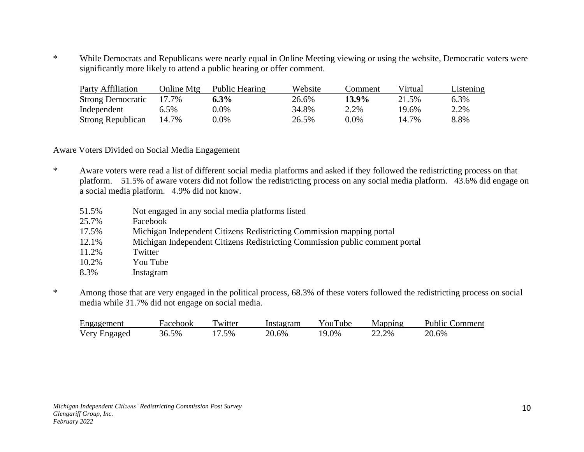\* While Democrats and Republicans were nearly equal in Online Meeting viewing or using the website, Democratic voters were significantly more likely to attend a public hearing or offer comment.

| <b>Party Affiliation</b> | Online Mtg | Public Hearing | Website | Comment) | Virtual | Listening |
|--------------------------|------------|----------------|---------|----------|---------|-----------|
| <b>Strong Democratic</b> | 17.7%      | $6.3\%$        | 26.6%   | $13.9\%$ | 21.5%   | 6.3%      |
| Independent              | 6.5%       | $0.0\%$        | 34.8%   | 2.2%     | 19.6%   | 2.2%      |
| Strong Republican        | 14.7%      | $0.0\%$        | 26.5%   | $0.0\%$  | 14.7%   | 8.8%      |

#### Aware Voters Divided on Social Media Engagement

- \* Aware voters were read a list of different social media platforms and asked if they followed the redistricting process on that platform. 51.5% of aware voters did not follow the redistricting process on any social media platform. 43.6% did engage on a social media platform. 4.9% did not know.
	- 51.5% Not engaged in any social media platforms listed
	- 25.7% Facebook
	- 17.5% Michigan Independent Citizens Redistricting Commission mapping portal
	- 12.1% Michigan Independent Citizens Redistricting Commission public comment portal
	- 11.2% Twitter
	- 10.2% You Tube
	- 8.3% Instagram
- \* Among those that are very engaged in the political process, 68.3% of these voters followed the redistricting process on social media while 31.7% did not engage on social media.

| Engagement   | Facebook | Twitter | Instagram | YouTube | Mapping | <b>Public Comment</b> |
|--------------|----------|---------|-----------|---------|---------|-----------------------|
| Very Engaged | 36.5%    | $7.5\%$ | 20.6%     | 19.0%   | 22.2%   | 20.6%                 |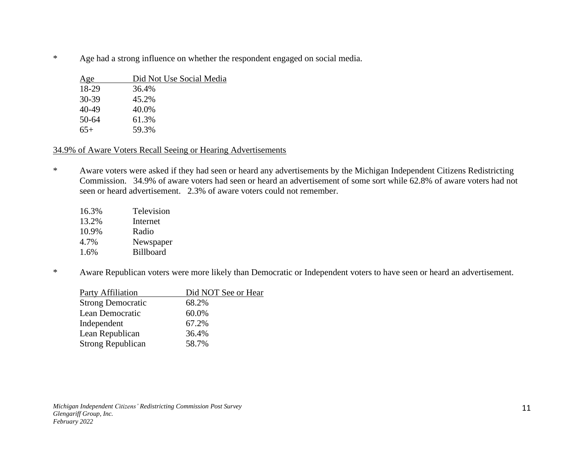\* Age had a strong influence on whether the respondent engaged on social media.

| Age   | Did Not Use Social Media |
|-------|--------------------------|
| 18-29 | 36.4%                    |
| 30-39 | 45.2%                    |
| 40-49 | 40.0%                    |
| 50-64 | 61.3%                    |
| $65+$ | 59.3%                    |
|       |                          |

## 34.9% of Aware Voters Recall Seeing or Hearing Advertisements

\* Aware voters were asked if they had seen or heard any advertisements by the Michigan Independent Citizens Redistricting Commission. 34.9% of aware voters had seen or heard an advertisement of some sort while 62.8% of aware voters had not seen or heard advertisement. 2.3% of aware voters could not remember.

| 16.3% | Television       |
|-------|------------------|
| 13.2% | Internet         |
| 10.9% | Radio            |
| 4.7%  | Newspaper        |
| 1.6%  | <b>Billboard</b> |

\* Aware Republican voters were more likely than Democratic or Independent voters to have seen or heard an advertisement.

| Did NOT See or Hear |
|---------------------|
| 68.2%               |
| 60.0%               |
| 67.2%               |
| 36.4%               |
| 58.7%               |
|                     |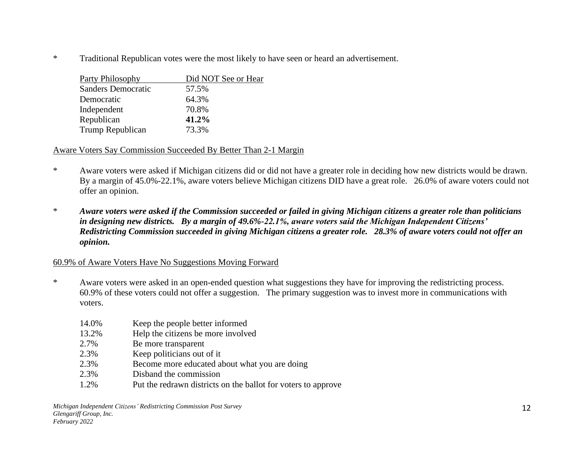\* Traditional Republican votes were the most likely to have seen or heard an advertisement.

| Party Philosophy          | Did NOT See or Hear |
|---------------------------|---------------------|
| <b>Sanders Democratic</b> | 57.5%               |
| Democratic                | 64.3%               |
| Independent               | 70.8%               |
| Republican                | 41.2%               |
| Trump Republican          | 73.3%               |
|                           |                     |

## Aware Voters Say Commission Succeeded By Better Than 2-1 Margin

- \* Aware voters were asked if Michigan citizens did or did not have a greater role in deciding how new districts would be drawn. By a margin of 45.0%-22.1%, aware voters believe Michigan citizens DID have a great role. 26.0% of aware voters could not offer an opinion.
- \* *Aware voters were asked if the Commission succeeded or failed in giving Michigan citizens a greater role than politicians in designing new districts. By a margin of 49.6%-22.1%, aware voters said the Michigan Independent Citizens' Redistricting Commission succeeded in giving Michigan citizens a greater role. 28.3% of aware voters could not offer an opinion.*

## 60.9% of Aware Voters Have No Suggestions Moving Forward

- \* Aware voters were asked in an open-ended question what suggestions they have for improving the redistricting process. 60.9% of these voters could not offer a suggestion. The primary suggestion was to invest more in communications with voters.
	- 14.0% Keep the people better informed
	- 13.2% Help the citizens be more involved
	- 2.7% Be more transparent
	- 2.3% Keep politicians out of it
	- 2.3% Become more educated about what you are doing
	- 2.3% Disband the commission
	- 1.2% Put the redrawn districts on the ballot for voters to approve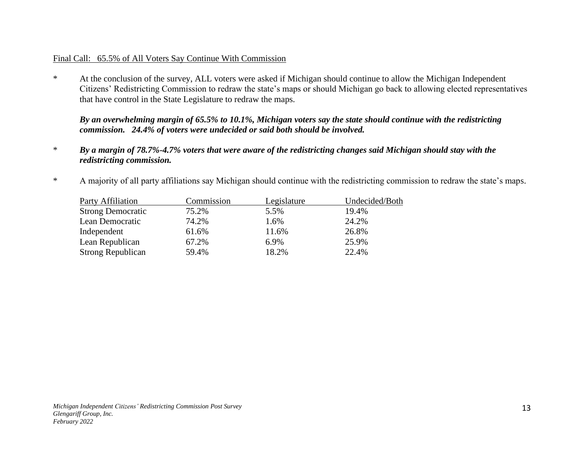#### Final Call: 65.5% of All Voters Say Continue With Commission

\* At the conclusion of the survey, ALL voters were asked if Michigan should continue to allow the Michigan Independent Citizens' Redistricting Commission to redraw the state's maps or should Michigan go back to allowing elected representatives that have control in the State Legislature to redraw the maps.

*By an overwhelming margin of 65.5% to 10.1%, Michigan voters say the state should continue with the redistricting commission. 24.4% of voters were undecided or said both should be involved.*

- \* *By a margin of 78.7%-4.7% voters that were aware of the redistricting changes said Michigan should stay with the redistricting commission.*
- \* A majority of all party affiliations say Michigan should continue with the redistricting commission to redraw the state's maps.

| <b>Party Affiliation</b> | Commission | Legislature | Undecided/Both |
|--------------------------|------------|-------------|----------------|
| <b>Strong Democratic</b> | 75.2%      | 5.5%        | 19.4%          |
| Lean Democratic          | 74.2%      | 1.6%        | 24.2%          |
| Independent              | 61.6%      | 11.6%       | 26.8%          |
| Lean Republican          | 67.2%      | 6.9%        | 25.9%          |
| <b>Strong Republican</b> | 59.4%      | 18.2%       | 22.4%          |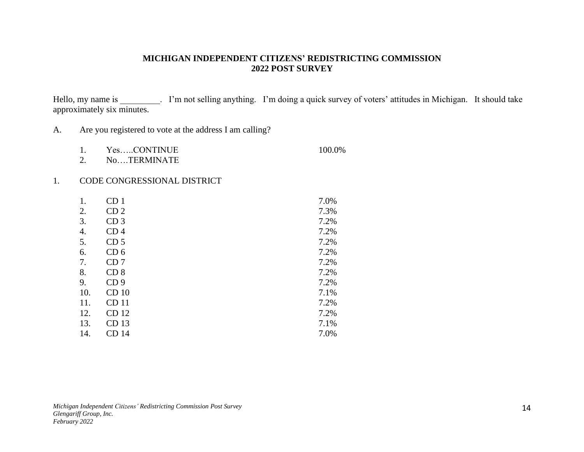#### **MICHIGAN INDEPENDENT CITIZENS' REDISTRICTING COMMISSION 2022 POST SURVEY**

Hello, my name is \_\_\_\_\_\_\_\_\_. I'm not selling anything. I'm doing a quick survey of voters' attitudes in Michigan. It should take approximately six minutes.

A. Are you registered to vote at the address I am calling?

|   | YesCONTINUE  | 100.0% |
|---|--------------|--------|
| - | ____________ |        |

2. No….TERMINATE

#### 1. CODE CONGRESSIONAL DISTRICT

| 1.  | CD <sub>1</sub>  | 7.0% |
|-----|------------------|------|
| 2.  | CD <sub>2</sub>  | 7.3% |
| 3.  | CD <sub>3</sub>  | 7.2% |
| 4.  | CD <sub>4</sub>  | 7.2% |
| 5.  | CD <sub>5</sub>  | 7.2% |
| 6.  | CD <sub>6</sub>  | 7.2% |
| 7.  | CD <sub>7</sub>  | 7.2% |
| 8.  | CD <sub>8</sub>  | 7.2% |
| 9.  | CD <sub>9</sub>  | 7.2% |
| 10. | CD <sub>10</sub> | 7.1% |
| 11. | CD <sub>11</sub> | 7.2% |
| 12. | CD 12            | 7.2% |
| 13. | CD <sub>13</sub> | 7.1% |
| 14. | CD 14            | 7.0% |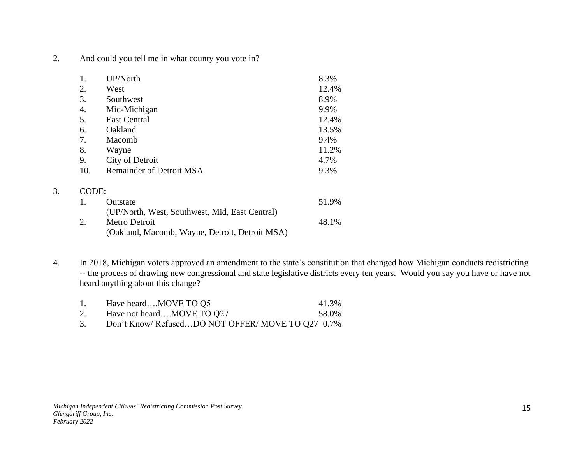2. And could you tell me in what county you vote in?

|       | UP/North                        | 8.3%  |
|-------|---------------------------------|-------|
| 2.    | West                            | 12.4% |
| 3.    | Southwest                       | 8.9%  |
| 4.    | Mid-Michigan                    | 9.9%  |
| 5.    | <b>East Central</b>             | 12.4% |
| 6.    | Oakland                         | 13.5% |
| 7.    | Macomb                          | 9.4%  |
| 8.    | Wayne                           | 11.2% |
| 9.    | City of Detroit                 | 4.7%  |
| 10.   | <b>Remainder of Detroit MSA</b> | 9.3%  |
| CODE: |                                 |       |

| $\pm$ | <b>Outstate</b>                                | 51.9% |
|-------|------------------------------------------------|-------|
|       | (UP/North, West, Southwest, Mid, East Central) |       |
|       | Metro Detroit                                  | 48.1% |
|       | (Oakland, Macomb, Wayne, Detroit, Detroit MSA) |       |

4. In 2018, Michigan voters approved an amendment to the state's constitution that changed how Michigan conducts redistricting -- the process of drawing new congressional and state legislative districts every ten years. Would you say you have or have not heard anything about this change?

- 1. Have heard....MOVE TO Q5 41.3%
- 2. Have not heard....MOVE TO Q27 58.0%
- 3. Don't Know/ Refused…DO NOT OFFER/ MOVE TO Q27 0.7%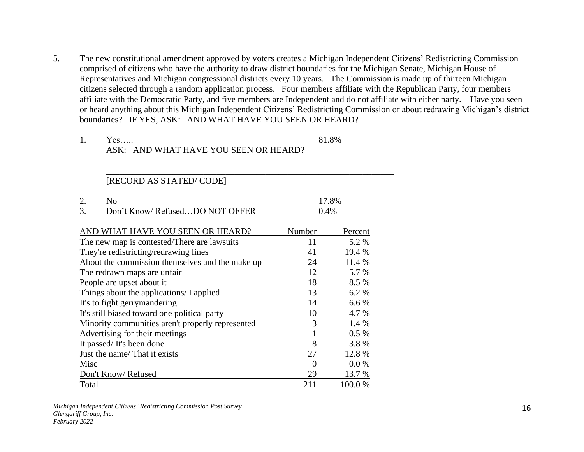5. The new constitutional amendment approved by voters creates a Michigan Independent Citizens' Redistricting Commission comprised of citizens who have the authority to draw district boundaries for the Michigan Senate, Michigan House of Representatives and Michigan congressional districts every 10 years. The Commission is made up of thirteen Michigan citizens selected through a random application process. Four members affiliate with the Republican Party, four members affiliate with the Democratic Party, and five members are Independent and do not affiliate with either party. Have you seen or heard anything about this Michigan Independent Citizens' Redistricting Commission or about redrawing Michigan's district boundaries? IF YES, ASK: AND WHAT HAVE YOU SEEN OR HEARD?

| Yes                                   | 81.8% |
|---------------------------------------|-------|
| ASK: AND WHAT HAVE YOU SEEN OR HEARD? |       |

\_\_\_\_\_\_\_\_\_\_\_\_\_\_\_\_\_\_\_\_\_\_\_\_\_\_\_\_\_\_\_\_\_\_\_\_\_\_\_\_\_\_\_\_\_\_\_\_\_\_\_\_\_\_\_\_\_\_\_\_\_\_\_\_\_

| No.                            | 17.8%   |
|--------------------------------|---------|
| Don't Know/RefusedDO NOT OFFER | $0.4\%$ |

| AND WHAT HAVE YOU SEEN OR HEARD?                 | Number | Percent |
|--------------------------------------------------|--------|---------|
| The new map is contested/There are lawsuits      | 11     | 5.2 %   |
| They're redistricting/redrawing lines            | 41     | 19.4 %  |
| About the commission themselves and the make up  | 24     | 11.4 %  |
| The redrawn maps are unfair                      | 12     | 5.7 %   |
| People are upset about it                        | 18     | 8.5 %   |
| Things about the applications/ I applied         | 13     | 6.2 %   |
| It's to fight gerrymandering                     | 14     | 6.6 %   |
| It's still biased toward one political party     | 10     | 4.7 %   |
| Minority communities aren't properly represented | 3      | 1.4 %   |
| Advertising for their meetings                   |        | $0.5\%$ |
| It passed/It's been done                         | 8      | 3.8%    |
| Just the name/ That it exists                    | 27     | 12.8%   |
| Misc                                             | 0      | $0.0\%$ |
| Don't Know/Refused                               | 29     | 13.7 %  |
| Total                                            | 211    | 100.0%  |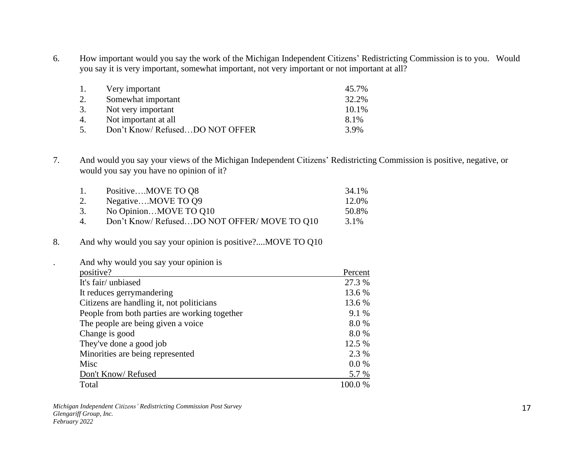6. How important would you say the work of the Michigan Independent Citizens' Redistricting Commission is to you. Would you say it is very important, somewhat important, not very important or not important at all?

| 1. | Very important                 | 45.7% |
|----|--------------------------------|-------|
|    | Somewhat important             | 32.2% |
| 3. | Not very important             | 10.1% |
| 4. | Not important at all           | 8.1%  |
| 5. | Don't Know/RefusedDO NOT OFFER | 3.9%  |

7. And would you say your views of the Michigan Independent Citizens' Redistricting Commission is positive, negative, or would you say you have no opinion of it?

| 1. | PositiveMOVE TO Q8                         | 34.1% |
|----|--------------------------------------------|-------|
| 2. | NegativeMOVE TO Q9                         | 12.0% |
| 3. | No OpinionMOVE TO Q10                      | 50.8% |
| 4. | Don't Know/RefusedDO NOT OFFER/MOVE TO 010 | 3.1%  |

# 8. And why would you say your opinion is positive?....MOVE TO Q10

#### . And why would you say your opinion is

| positive?                                     | Percent |
|-----------------------------------------------|---------|
| It's fair/unbiased                            | 27.3 %  |
| It reduces gerrymandering                     | 13.6 %  |
| Citizens are handling it, not politicians     | 13.6 %  |
| People from both parties are working together | 9.1 %   |
| The people are being given a voice            | 8.0%    |
| Change is good                                | 8.0%    |
| They've done a good job                       | 12.5 %  |
| Minorities are being represented              | 2.3 %   |
| Misc                                          | 0.0 %   |
| Don't Know/Refused                            | 5.7 %   |
| Total                                         | 100.0%  |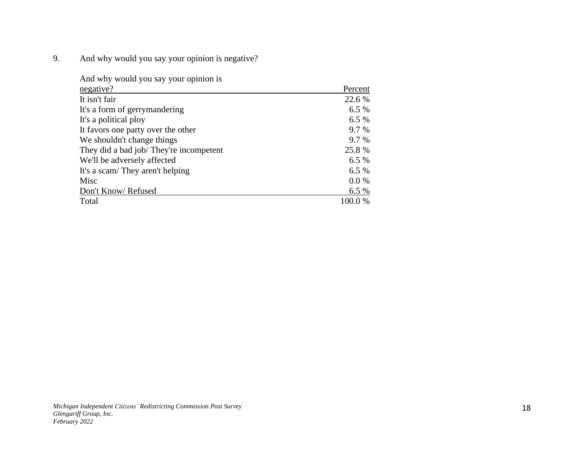9. And why would you say your opinion is negative?

| And why would you say your opinion is  |         |
|----------------------------------------|---------|
| negative?                              | Percent |
| It isn't fair                          | 22.6 %  |
| It's a form of gerrymandering          | 6.5%    |
| It's a political ploy                  | 6.5%    |
| It favors one party over the other     | 9.7 %   |
| We shouldn't change things             | 9.7 %   |
| They did a bad job/They're incompetent | 25.8%   |
| We'll be adversely affected            | 6.5%    |
| It's a scam/ They aren't helping       | 6.5%    |
| Misc                                   | 0.0 %   |
| Don't Know/Refused                     | 6.5%    |
| Total                                  | 100.0 % |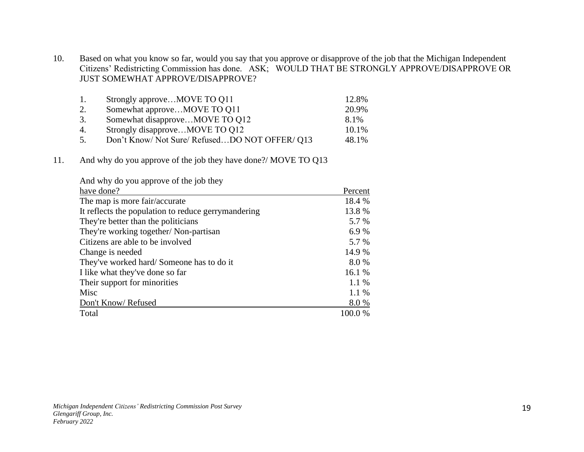10. Based on what you know so far, would you say that you approve or disapprove of the job that the Michigan Independent Citizens' Redistricting Commission has done. ASK; WOULD THAT BE STRONGLY APPROVE/DISAPPROVE OR JUST SOMEWHAT APPROVE/DISAPPROVE?

| 1.             | Strongly approveMOVE TO Q11                 | 12.8% |
|----------------|---------------------------------------------|-------|
| 2.             | Somewhat approveMOVE TO Q11                 | 20.9% |
| 3.             | Somewhat disapproveMOVE TO Q12              | 8.1%  |
| 4.             | Strongly disapproveMOVE TO Q12              | 10.1% |
| 5 <sub>1</sub> | Don't Know/Not Sure/RefusedDO NOT OFFER/013 | 48.1% |

11. And why do you approve of the job they have done?/ MOVE TO Q13

| And why do you approve of the job they              |           |
|-----------------------------------------------------|-----------|
| have done?                                          | Percent   |
| The map is more fair/accurate                       | 18.4 %    |
| It reflects the population to reduce gerrymandering | 13.8%     |
| They're better than the politicians                 | 5.7 %     |
| They're working together/ Non-partisan              | 6.9 %     |
| Citizens are able to be involved                    | 5.7 %     |
| Change is needed                                    | 14.9 %    |
| They've worked hard/Someone has to do it            | 8.0 %     |
| I like what they've done so far                     | 16.1 %    |
| Their support for minorities                        | $1.1\%$   |
| Misc                                                | 1.1 %     |
| Don't Know/Refused                                  | 8.0%      |
| Total                                               | $100.0\%$ |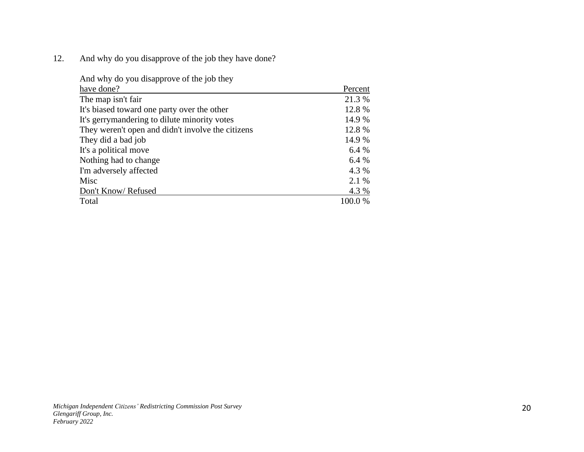12. And why do you disapprove of the job they have done?

| And why do you disapprove of the job they         |         |
|---------------------------------------------------|---------|
| have done?                                        | Percent |
| The map isn't fair                                | 21.3 %  |
| It's biased toward one party over the other       | 12.8%   |
| It's gerrymandering to dilute minority votes      | 14.9 %  |
| They weren't open and didn't involve the citizens | 12.8 %  |
| They did a bad job                                | 14.9 %  |
| It's a political move                             | 6.4 %   |
| Nothing had to change                             | 6.4 %   |
| I'm adversely affected                            | 4.3 %   |
| Misc                                              | 2.1 %   |
| Don't Know/Refused                                | 4.3 %   |
| Total                                             | 100.0%  |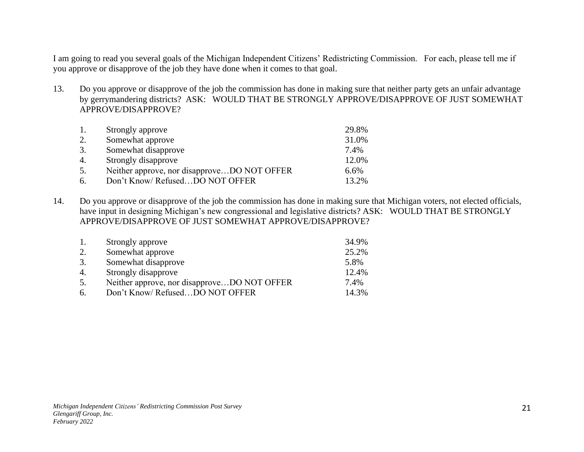I am going to read you several goals of the Michigan Independent Citizens' Redistricting Commission. For each, please tell me if you approve or disapprove of the job they have done when it comes to that goal.

13. Do you approve or disapprove of the job the commission has done in making sure that neither party gets an unfair advantage by gerrymandering districts? ASK: WOULD THAT BE STRONGLY APPROVE/DISAPPROVE OF JUST SOMEWHAT APPROVE/DISAPPROVE?

| 1. | Strongly approve                            | 29.8%   |
|----|---------------------------------------------|---------|
| 2. | Somewhat approve                            | 31.0%   |
| 3. | Somewhat disapprove                         | 7.4%    |
| 4. | Strongly disapprove                         | 12.0%   |
| 5. | Neither approve, nor disapproveDO NOT OFFER | $6.6\%$ |
| 6. | Don't Know/RefusedDO NOT OFFER              | 13.2%   |

14. Do you approve or disapprove of the job the commission has done in making sure that Michigan voters, not elected officials, have input in designing Michigan's new congressional and legislative districts? ASK: WOULD THAT BE STRONGLY APPROVE/DISAPPROVE OF JUST SOMEWHAT APPROVE/DISAPPROVE?

| Strongly approve                            | 34.9% |
|---------------------------------------------|-------|
| Somewhat approve                            | 25.2% |
| Somewhat disapprove                         | 5.8%  |
| Strongly disapprove                         | 12.4% |
| Neither approve, nor disapproveDO NOT OFFER | 7.4%  |
| Don't Know/RefusedDO NOT OFFER              | 14.3% |
|                                             |       |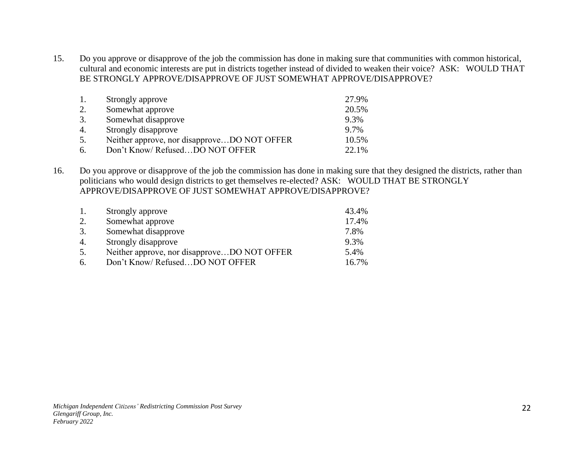15. Do you approve or disapprove of the job the commission has done in making sure that communities with common historical, cultural and economic interests are put in districts together instead of divided to weaken their voice? ASK: WOULD THAT BE STRONGLY APPROVE/DISAPPROVE OF JUST SOMEWHAT APPROVE/DISAPPROVE?

| 1. | Strongly approve                            | 27.9% |
|----|---------------------------------------------|-------|
| 2. | Somewhat approve                            | 20.5% |
| 3. | Somewhat disapprove                         | 9.3%  |
| 4. | Strongly disapprove                         | 9.7%  |
| 5. | Neither approve, nor disapproveDO NOT OFFER | 10.5% |
| 6. | Don't Know/RefusedDO NOT OFFER              | 22.1% |

16. Do you approve or disapprove of the job the commission has done in making sure that they designed the districts, rather than politicians who would design districts to get themselves re-elected? ASK: WOULD THAT BE STRONGLY APPROVE/DISAPPROVE OF JUST SOMEWHAT APPROVE/DISAPPROVE?

| -1. | Strongly approve                            | 43.4% |
|-----|---------------------------------------------|-------|
| 2.  | Somewhat approve                            | 17.4% |
| 3.  | Somewhat disapprove                         | 7.8%  |
| 4.  | Strongly disapprove                         | 9.3%  |
| 5.  | Neither approve, nor disapproveDO NOT OFFER | 5.4%  |
| 6.  | Don't Know/RefusedDO NOT OFFER              | 16.7% |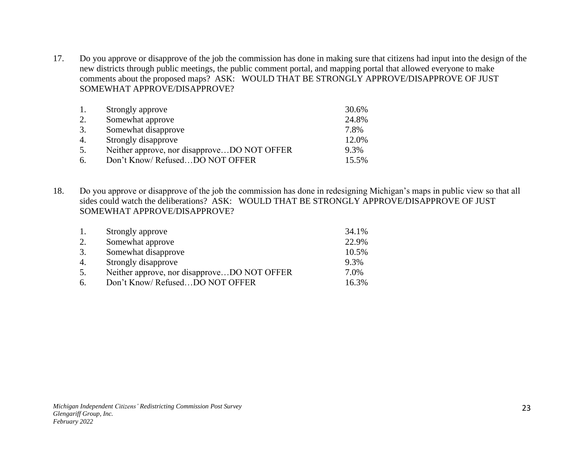17. Do you approve or disapprove of the job the commission has done in making sure that citizens had input into the design of the new districts through public meetings, the public comment portal, and mapping portal that allowed everyone to make comments about the proposed maps? ASK: WOULD THAT BE STRONGLY APPROVE/DISAPPROVE OF JUST SOMEWHAT APPROVE/DISAPPROVE?

| 1. | Strongly approve                            | 30.6% |
|----|---------------------------------------------|-------|
| 2. | Somewhat approve                            | 24.8% |
| 3. | Somewhat disapprove                         | 7.8%  |
| 4. | Strongly disapprove                         | 12.0% |
| 5. | Neither approve, nor disapproveDO NOT OFFER | 9.3%  |
| б. | Don't Know/RefusedDO NOT OFFER              | 15.5% |

18. Do you approve or disapprove of the job the commission has done in redesigning Michigan's maps in public view so that all sides could watch the deliberations? ASK: WOULD THAT BE STRONGLY APPROVE/DISAPPROVE OF JUST SOMEWHAT APPROVE/DISAPPROVE?

| 1. | Strongly approve                            | 34.1% |
|----|---------------------------------------------|-------|
| 2. | Somewhat approve                            | 22.9% |
| 3. | Somewhat disapprove                         | 10.5% |
| 4. | Strongly disapprove                         | 9.3%  |
| 5. | Neither approve, nor disapproveDO NOT OFFER | 7.0%  |
| 6. | Don't Know/ RefusedDO NOT OFFER             | 16.3% |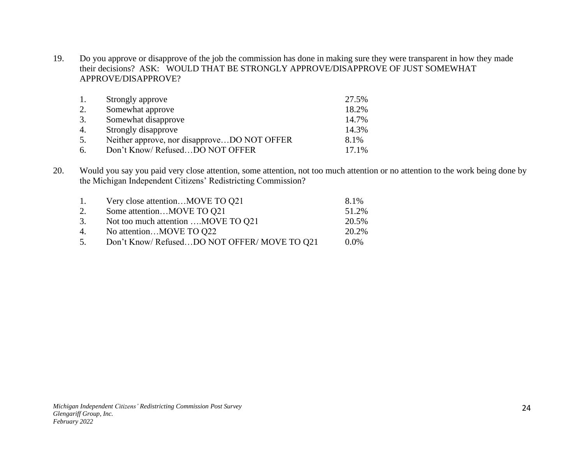19. Do you approve or disapprove of the job the commission has done in making sure they were transparent in how they made their decisions? ASK: WOULD THAT BE STRONGLY APPROVE/DISAPPROVE OF JUST SOMEWHAT APPROVE/DISAPPROVE?

| 1.               | Strongly approve                            | 27.5% |
|------------------|---------------------------------------------|-------|
| 2.               | Somewhat approve                            | 18.2% |
| 3.               | Somewhat disapprove                         | 14.7% |
| $\overline{4}$ . | Strongly disapprove                         | 14.3% |
| 5.               | Neither approve, nor disapproveDO NOT OFFER | 8.1%  |
| 6.               | Don't Know/RefusedDO NOT OFFER              | 17.1% |

20. Would you say you paid very close attention, some attention, not too much attention or no attention to the work being done by the Michigan Independent Citizens' Redistricting Commission?

| 1. | Very close attentionMOVE TO Q21            | 8.1%    |
|----|--------------------------------------------|---------|
| 2. | Some attentionMOVE TO Q21                  | 51.2%   |
| 3. | Not too much attention MOVE TO Q21         | 20.5%   |
| 4. | No attentionMOVE TO Q22                    | 20.2%   |
| 5. | Don't Know/RefusedDO NOT OFFER/MOVE TO 021 | $0.0\%$ |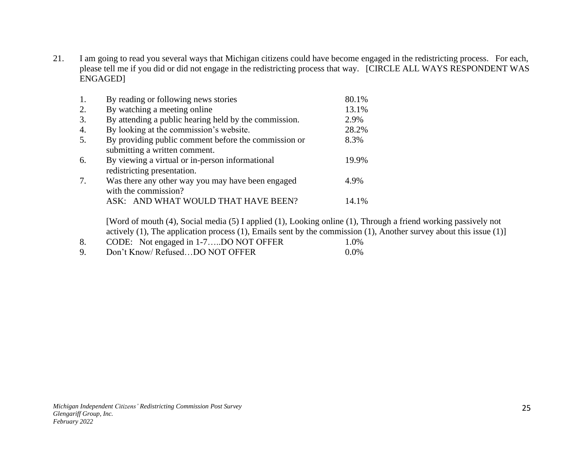21. I am going to read you several ways that Michigan citizens could have become engaged in the redistricting process. For each, please tell me if you did or did not engage in the redistricting process that way. [CIRCLE ALL WAYS RESPONDENT WAS ENGAGED]

| 1. | By reading or following news stories                                                  | 80.1% |
|----|---------------------------------------------------------------------------------------|-------|
| 2. | By watching a meeting online                                                          | 13.1% |
| 3. | By attending a public hearing held by the commission.                                 | 2.9%  |
| 4. | By looking at the commission's website.                                               | 28.2% |
| 5. | By providing public comment before the commission or<br>submitting a written comment. | 8.3%  |
| 6. | By viewing a virtual or in-person informational<br>redistricting presentation.        | 19.9% |
| 7. | Was there any other way you may have been engaged<br>with the commission?             | 4.9%  |
|    | ASK: AND WHAT WOULD THAT HAVE BEEN?                                                   | 14.1% |

[Word of mouth (4), Social media (5) I applied (1), Looking online (1), Through a friend working passively not actively (1), The application process (1), Emails sent by the commission (1), Another survey about this issue (1)]

- 8. CODE: Not engaged in 1-7....DO NOT OFFER 1.0%
- 9. Don't Know/ Refused...DO NOT OFFER 0.0%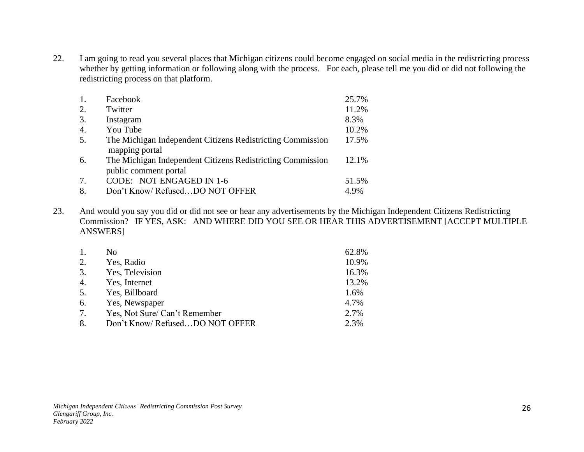22. I am going to read you several places that Michigan citizens could become engaged on social media in the redistricting process whether by getting information or following along with the process. For each, please tell me you did or did not following the redistricting process on that platform.

|    | Facebook                                                   | 25.7% |
|----|------------------------------------------------------------|-------|
| 2. | Twitter                                                    | 11.2% |
| 3. | Instagram                                                  | 8.3%  |
| 4. | You Tube                                                   | 10.2% |
| 5. | The Michigan Independent Citizens Redistricting Commission | 17.5% |
|    | mapping portal                                             |       |
| 6. | The Michigan Independent Citizens Redistricting Commission | 12.1% |
|    | public comment portal                                      |       |
| 7. | CODE: NOT ENGAGED IN 1-6                                   | 51.5% |
| 8. | Don't Know/ RefusedDO NOT OFFER                            | 4.9%  |

23. And would you say you did or did not see or hear any advertisements by the Michigan Independent Citizens Redistricting Commission? IF YES, ASK: AND WHERE DID YOU SEE OR HEAR THIS ADVERTISEMENT [ACCEPT MULTIPLE ANSWERS]

| 1. | No                             | 62.8% |
|----|--------------------------------|-------|
| 2. | Yes, Radio                     | 10.9% |
| 3. | Yes, Television                | 16.3% |
| 4. | Yes, Internet                  | 13.2% |
| 5. | Yes, Billboard                 | 1.6%  |
| 6. | Yes, Newspaper                 | 4.7%  |
| 7. | Yes, Not Sure/ Can't Remember  | 2.7%  |
| 8. | Don't Know/RefusedDO NOT OFFER | 2.3%  |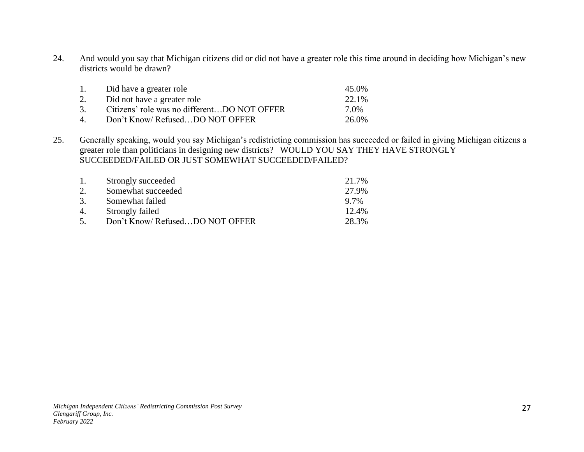24. And would you say that Michigan citizens did or did not have a greater role this time around in deciding how Michigan's new districts would be drawn?

| $\mathbf{1}$ .     | Did have a greater role                     | 45.0% |
|--------------------|---------------------------------------------|-------|
| 2.                 | Did not have a greater role                 | 22.1% |
| 3.                 | Citizens' role was no differentDO NOT OFFER | 7.0%  |
| $\mathbf{\Lambda}$ | Don't Know/RefusedDO NOT OFFER              | 26.0% |

25. Generally speaking, would you say Michigan's redistricting commission has succeeded or failed in giving Michigan citizens a greater role than politicians in designing new districts? WOULD YOU SAY THEY HAVE STRONGLY SUCCEEDED/FAILED OR JUST SOMEWHAT SUCCEEDED/FAILED?

| 1.     | Strongly succeeded             | 21.7% |
|--------|--------------------------------|-------|
| 2.     | Somewhat succeeded             | 27.9% |
| 3.     | Somewhat failed                | 9.7%  |
| 4.     | Strongly failed                | 12.4% |
| $\sim$ | Don't Know/RefusedDO NOT OFFER | 28.3% |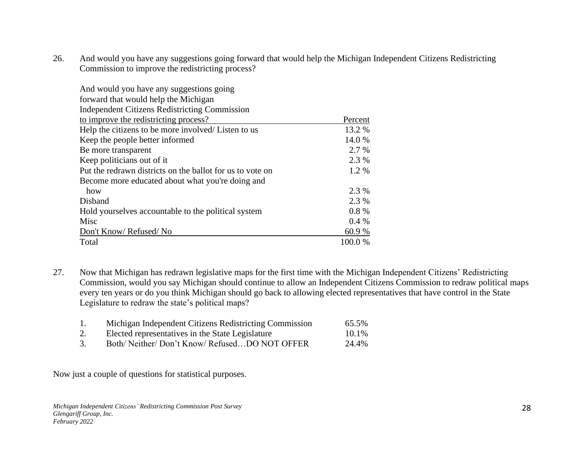26. And would you have any suggestions going forward that would help the Michigan Independent Citizens Redistricting Commission to improve the redistricting process?

| And would you have any suggestions going                  |          |
|-----------------------------------------------------------|----------|
| forward that would help the Michigan                      |          |
| <b>Independent Citizens Redistricting Commission</b>      |          |
| to improve the redistricting process?                     | Percent  |
| Help the citizens to be more involved/ Listen to us       | 13.2 %   |
| Keep the people better informed                           | 14.0 %   |
| Be more transparent                                       | 2.7 %    |
| Keep politicians out of it.                               | 2.3 %    |
| Put the redrawn districts on the ballot for us to vote on | 1.2 %    |
| Become more educated about what you're doing and          |          |
| how                                                       | 2.3 %    |
| Disband                                                   | 2.3 %    |
| Hold yourselves accountable to the political system       | $0.8 \%$ |
| Misc                                                      | $0.4\%$  |
| Don't Know/Refused/No                                     | 60.9%    |
| Total                                                     | 100.0%   |

- 27. Now that Michigan has redrawn legislative maps for the first time with the Michigan Independent Citizens' Redistricting Commission, would you say Michigan should continue to allow an Independent Citizens Commission to redraw political maps every ten years or do you think Michigan should go back to allowing elected representatives that have control in the State Legislature to redraw the state's political maps?
	- 1. Michigan Independent Citizens Redistricting Commission 65.5%
	- 2. Elected representatives in the State Legislature 10.1%
	- 3. Both/ Neither/ Don't Know/ Refused…DO NOT OFFER 24.4%

Now just a couple of questions for statistical purposes.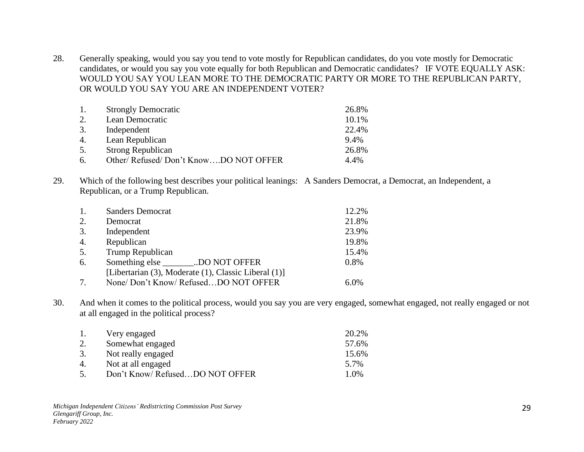28. Generally speaking, would you say you tend to vote mostly for Republican candidates, do you vote mostly for Democratic candidates, or would you say you vote equally for both Republican and Democratic candidates? IF VOTE EQUALLY ASK: WOULD YOU SAY YOU LEAN MORE TO THE DEMOCRATIC PARTY OR MORE TO THE REPUBLICAN PARTY, OR WOULD YOU SAY YOU ARE AN INDEPENDENT VOTER?

| 1. | <b>Strongly Democratic</b>           | 26.8% |
|----|--------------------------------------|-------|
| 2. | Lean Democratic                      | 10.1% |
| 3. | Independent                          | 22.4% |
| 4. | Lean Republican                      | 9.4%  |
| 5. | <b>Strong Republican</b>             | 26.8% |
| 6. | Other/Refused/Don't KnowDO NOT OFFER | 4.4%  |

29. Which of the following best describes your political leanings: A Sanders Democrat, a Democrat, an Independent, a Republican, or a Trump Republican.

|    | <b>Sanders Democrat</b>                              | 12.2% |
|----|------------------------------------------------------|-------|
| 2. | Democrat                                             | 21.8% |
| 3. | Independent                                          | 23.9% |
| 4. | Republican                                           | 19.8% |
| 5. | Trump Republican                                     | 15.4% |
| 6. | Something else ________.DO NOT OFFER                 | 0.8%  |
|    | [Libertarian (3), Moderate (1), Classic Liberal (1)] |       |
|    | None/ Don't Know/ RefusedDO NOT OFFER                | 6.0%  |

30. And when it comes to the political process, would you say you are very engaged, somewhat engaged, not really engaged or not at all engaged in the political process?

| 1. | Very engaged                   | 20.2% |
|----|--------------------------------|-------|
|    | Somewhat engaged               | 57.6% |
| 3. | Not really engaged             | 15.6% |
| 4. | Not at all engaged             | 5.7%  |
| 5. | Don't Know/RefusedDO NOT OFFER | 1.0%  |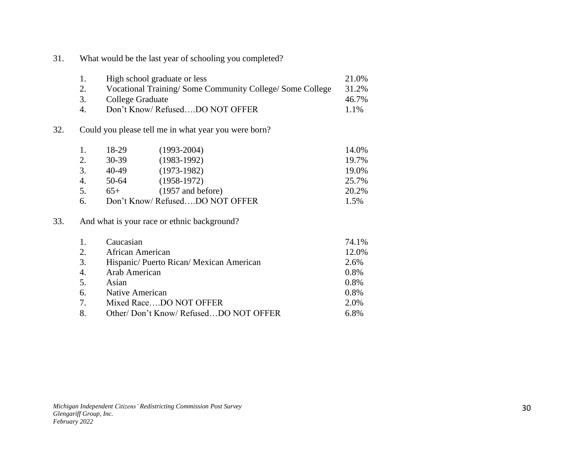31. What would be the last year of schooling you completed?

|     | 1.                                                                                      | High school graduate or less                         | 21.0%                                       |       |  |
|-----|-----------------------------------------------------------------------------------------|------------------------------------------------------|---------------------------------------------|-------|--|
|     | 2.<br>Vocational Training/Some Community College/Some College<br>3.<br>College Graduate |                                                      |                                             | 31.2% |  |
|     |                                                                                         |                                                      |                                             | 46.7% |  |
|     | $\overline{4}$ .                                                                        |                                                      | Don't Know/RefusedDO NOT OFFER              | 1.1%  |  |
| 32. |                                                                                         | Could you please tell me in what year you were born? |                                             |       |  |
|     | 1.                                                                                      | 18-29                                                | $(1993 - 2004)$                             | 14.0% |  |
|     | 2.                                                                                      | $30 - 39$                                            | $(1983-1992)$                               | 19.7% |  |
|     | 3.                                                                                      | 40-49                                                | $(1973-1982)$                               | 19.0% |  |
|     | 4.                                                                                      | 50-64                                                | $(1958-1972)$                               | 25.7% |  |
|     | 5.                                                                                      | $65+$                                                | $(1957$ and before)                         | 20.2% |  |
|     | 6.                                                                                      |                                                      | Don't Know/ RefusedDO NOT OFFER             | 1.5%  |  |
| 33. |                                                                                         |                                                      | And what is your race or ethnic background? |       |  |
|     | 1.                                                                                      | Caucasian                                            |                                             | 74.1% |  |
|     | 2.                                                                                      | African American                                     |                                             | 12.0% |  |
|     | 3.                                                                                      |                                                      | Hispanic/ Puerto Rican/ Mexican American    | 2.6%  |  |
|     | 4.                                                                                      | Arab American                                        |                                             | 0.8%  |  |
|     | 5.                                                                                      | Asian                                                |                                             | 0.8%  |  |
|     |                                                                                         |                                                      |                                             | 0.021 |  |

|    | 3. Hispanic/ Puerto Rican/ Mexican American | $\angle .0\%$ |
|----|---------------------------------------------|---------------|
| 4. | Arab American                               | $0.8\%$       |
| 5. | Asian                                       | $0.8\%$       |
| 6. | Native American                             | $0.8\%$       |
| 7  | Mixed RaceDO NOT OFFER                      | 2.0%          |
|    | Other/Don't Know/RefusedDO NOT OFFER        | $6.8\%$       |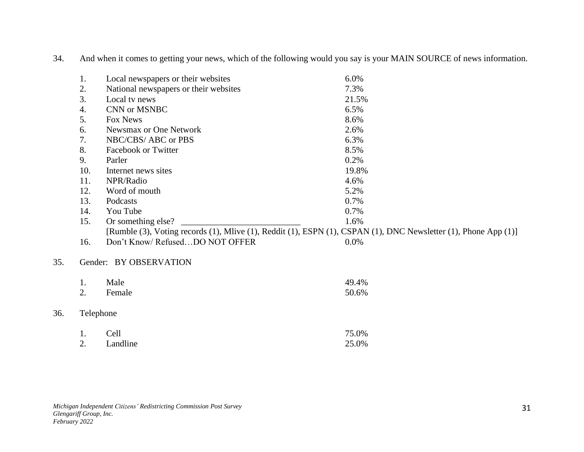34. And when it comes to getting your news, which of the following would you say is your MAIN SOURCE of news information.

|     | 1.  | Local newspapers or their websites                                                                              | 6.0%    |  |  |  |
|-----|-----|-----------------------------------------------------------------------------------------------------------------|---------|--|--|--|
|     | 2.  | National newspapers or their websites                                                                           | 7.3%    |  |  |  |
|     | 3.  | Local tv news                                                                                                   | 21.5%   |  |  |  |
|     | 4.  | CNN or MSNBC                                                                                                    | 6.5%    |  |  |  |
|     | 5.  | Fox News                                                                                                        | 8.6%    |  |  |  |
|     | 6.  | Newsmax or One Network                                                                                          | 2.6%    |  |  |  |
|     | 7.  | NBC/CBS/ ABC or PBS                                                                                             | 6.3%    |  |  |  |
|     | 8.  | Facebook or Twitter                                                                                             | 8.5%    |  |  |  |
|     | 9.  | Parler                                                                                                          | 0.2%    |  |  |  |
|     | 10. | Internet news sites                                                                                             | 19.8%   |  |  |  |
|     | 11. | NPR/Radio                                                                                                       | 4.6%    |  |  |  |
|     | 12. | Word of mouth                                                                                                   | 5.2%    |  |  |  |
|     | 13. | Podcasts                                                                                                        | 0.7%    |  |  |  |
|     | 14. | You Tube                                                                                                        | 0.7%    |  |  |  |
|     | 15. | Or something else?                                                                                              | 1.6%    |  |  |  |
|     |     | [Rumble (3), Voting records (1), Mlive (1), Reddit (1), ESPN (1), CSPAN (1), DNC Newsletter (1), Phone App (1)] |         |  |  |  |
|     | 16. | Don't Know/RefusedDO NOT OFFER                                                                                  | $0.0\%$ |  |  |  |
| 35. |     | Gender: BY OBSERVATION                                                                                          |         |  |  |  |
|     | 1.  | Male                                                                                                            | 49.4%   |  |  |  |
|     | 2.  | Female                                                                                                          | 50.6%   |  |  |  |
| 36. |     | Telephone                                                                                                       |         |  |  |  |
|     | 1.  | Cell                                                                                                            | 75.0%   |  |  |  |
|     | 2.  | Landline                                                                                                        | 25.0%   |  |  |  |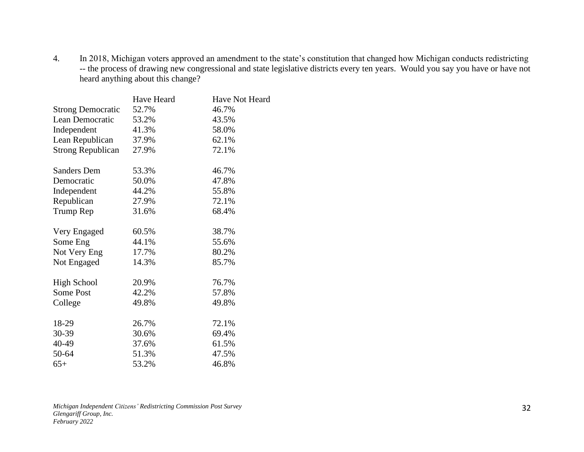4. In 2018, Michigan voters approved an amendment to the state's constitution that changed how Michigan conducts redistricting -- the process of drawing new congressional and state legislative districts every ten years. Would you say you have or have not heard anything about this change?

|                          | Have Heard | Have Not Heard |
|--------------------------|------------|----------------|
| <b>Strong Democratic</b> | 52.7%      | 46.7%          |
| Lean Democratic          | 53.2%      | 43.5%          |
| Independent              | 41.3%      | 58.0%          |
| Lean Republican          | 37.9%      | 62.1%          |
| <b>Strong Republican</b> | 27.9%      | 72.1%          |
| <b>Sanders Dem</b>       | 53.3%      | 46.7%          |
| Democratic               | 50.0%      | 47.8%          |
| Independent              | 44.2%      | 55.8%          |
| Republican               | 27.9%      | 72.1%          |
| Trump Rep                | 31.6%      | 68.4%          |
| Very Engaged             | 60.5%      | 38.7%          |
| Some Eng                 | 44.1%      | 55.6%          |
| Not Very Eng             | 17.7%      | 80.2%          |
| Not Engaged              | 14.3%      | 85.7%          |
| <b>High School</b>       | 20.9%      | 76.7%          |
| Some Post                | 42.2%      | 57.8%          |
| College                  | 49.8%      | 49.8%          |
| 18-29                    | 26.7%      | 72.1%          |
| 30-39                    | 30.6%      | 69.4%          |
| 40-49                    | 37.6%      | 61.5%          |
| 50-64                    | 51.3%      | 47.5%          |
| $65+$                    | 53.2%      | 46.8%          |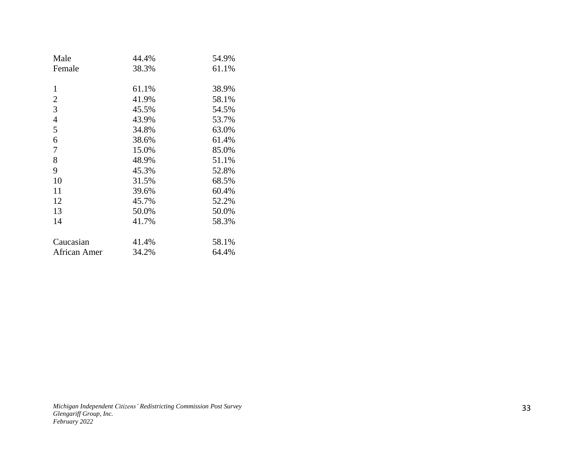| 44.4% | 54.9% |
|-------|-------|
| 38.3% | 61.1% |
|       |       |
| 61.1% | 38.9% |
| 41.9% | 58.1% |
| 45.5% | 54.5% |
| 43.9% | 53.7% |
| 34.8% | 63.0% |
| 38.6% | 61.4% |
| 15.0% | 85.0% |
| 48.9% | 51.1% |
| 45.3% | 52.8% |
| 31.5% | 68.5% |
| 39.6% | 60.4% |
| 45.7% | 52.2% |
| 50.0% | 50.0% |
| 41.7% | 58.3% |
|       |       |
| 41.4% | 58.1% |
| 34.2% | 64.4% |
|       |       |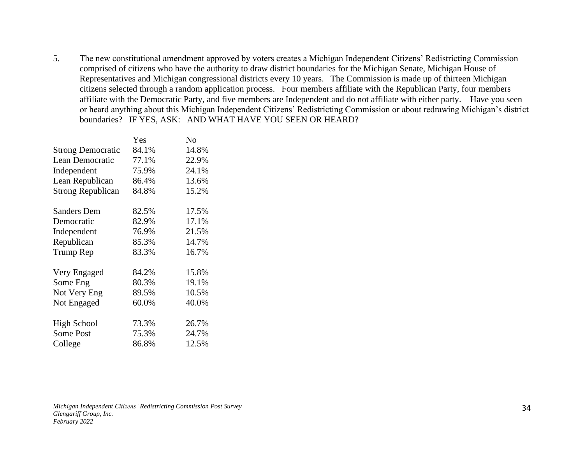5. The new constitutional amendment approved by voters creates a Michigan Independent Citizens' Redistricting Commission comprised of citizens who have the authority to draw district boundaries for the Michigan Senate, Michigan House of Representatives and Michigan congressional districts every 10 years. The Commission is made up of thirteen Michigan citizens selected through a random application process. Four members affiliate with the Republican Party, four members affiliate with the Democratic Party, and five members are Independent and do not affiliate with either party. Have you seen or heard anything about this Michigan Independent Citizens' Redistricting Commission or about redrawing Michigan's district boundaries? IF YES, ASK: AND WHAT HAVE YOU SEEN OR HEARD?

|                          | Yes   | No    |
|--------------------------|-------|-------|
| <b>Strong Democratic</b> | 84.1% | 14.8% |
| Lean Democratic          | 77.1% | 22.9% |
| Independent              | 75.9% | 24.1% |
| Lean Republican          | 86.4% | 13.6% |
| <b>Strong Republican</b> | 84.8% | 15.2% |
| <b>Sanders Dem</b>       | 82.5% | 17.5% |
| Democratic               | 82.9% | 17.1% |
| Independent              | 76.9% | 21.5% |
| Republican               | 85.3% | 14.7% |
| Trump Rep                | 83.3% | 16.7% |
| Very Engaged             | 84.2% | 15.8% |
| Some Eng                 | 80.3% | 19.1% |
| Not Very Eng             | 89.5% | 10.5% |
| Not Engaged              | 60.0% | 40.0% |
| <b>High School</b>       | 73.3% | 26.7% |
| Some Post                | 75.3% | 24.7% |
| College                  | 86.8% | 12.5% |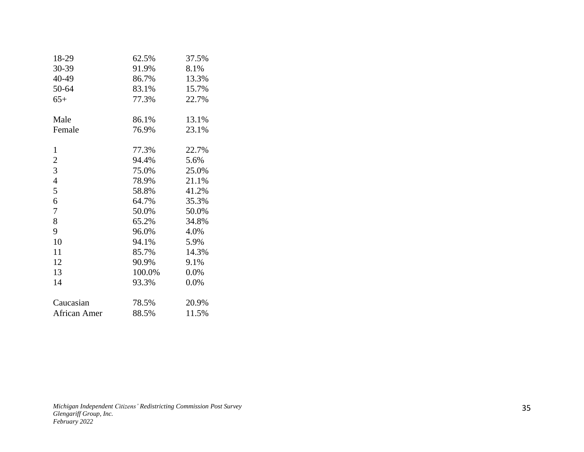| 18-29               | 62.5%  | 37.5% |
|---------------------|--------|-------|
| 30-39               | 91.9%  | 8.1%  |
| 40-49               | 86.7%  | 13.3% |
| 50-64               | 83.1%  | 15.7% |
| $65+$               | 77.3%  | 22.7% |
| Male                | 86.1%  | 13.1% |
| Female              | 76.9%  | 23.1% |
| 1                   | 77.3%  | 22.7% |
| $\overline{c}$      | 94.4%  | 5.6%  |
| 3                   | 75.0%  | 25.0% |
| 4                   | 78.9%  | 21.1% |
| 5                   | 58.8%  | 41.2% |
| 6                   | 64.7%  | 35.3% |
| 7                   | 50.0%  | 50.0% |
| 8                   | 65.2%  | 34.8% |
| 9                   | 96.0%  | 4.0%  |
| 10                  | 94.1%  | 5.9%  |
| 11                  | 85.7%  | 14.3% |
| 12                  | 90.9%  | 9.1%  |
| 13                  | 100.0% | 0.0%  |
| 14                  | 93.3%  | 0.0%  |
| Caucasian           | 78.5%  | 20.9% |
| <b>African Amer</b> | 88.5%  | 11.5% |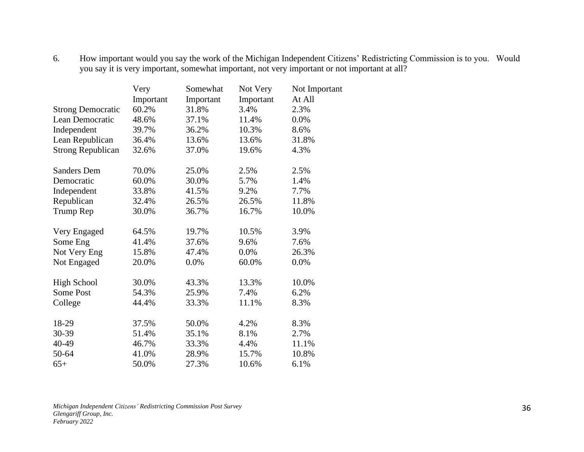#### 6. How important would you say the work of the Michigan Independent Citizens' Redistricting Commission is to you. Would you say it is very important, somewhat important, not very important or not important at all?

|                          | Very      | Somewhat  | Not Very  | Not Important |
|--------------------------|-----------|-----------|-----------|---------------|
|                          | Important | Important | Important | At All        |
| <b>Strong Democratic</b> | 60.2%     | 31.8%     | 3.4%      | 2.3%          |
| Lean Democratic          | 48.6%     | 37.1%     | 11.4%     | 0.0%          |
| Independent              | 39.7%     | 36.2%     | 10.3%     | 8.6%          |
| Lean Republican          | 36.4%     | 13.6%     | 13.6%     | 31.8%         |
| <b>Strong Republican</b> | 32.6%     | 37.0%     | 19.6%     | 4.3%          |
| <b>Sanders Dem</b>       | 70.0%     | 25.0%     | 2.5%      | 2.5%          |
| Democratic               | 60.0%     | 30.0%     | 5.7%      | 1.4%          |
| Independent              | 33.8%     | 41.5%     | 9.2%      | 7.7%          |
| Republican               | 32.4%     | 26.5%     | 26.5%     | 11.8%         |
| Trump Rep                | 30.0%     | 36.7%     | 16.7%     | 10.0%         |
| Very Engaged             | 64.5%     | 19.7%     | 10.5%     | 3.9%          |
| Some Eng                 | 41.4%     | 37.6%     | 9.6%      | 7.6%          |
| Not Very Eng             | 15.8%     | 47.4%     | 0.0%      | 26.3%         |
| Not Engaged              | 20.0%     | 0.0%      | 60.0%     | 0.0%          |
| <b>High School</b>       | 30.0%     | 43.3%     | 13.3%     | 10.0%         |
| Some Post                | 54.3%     | 25.9%     | 7.4%      | 6.2%          |
| College                  | 44.4%     | 33.3%     | 11.1%     | 8.3%          |
| 18-29                    | 37.5%     | 50.0%     | 4.2%      | 8.3%          |
| 30-39                    | 51.4%     | 35.1%     | 8.1%      | 2.7%          |
| 40-49                    | 46.7%     | 33.3%     | 4.4%      | 11.1%         |
| 50-64                    | 41.0%     | 28.9%     | 15.7%     | 10.8%         |
| $65+$                    | 50.0%     | 27.3%     | 10.6%     | 6.1%          |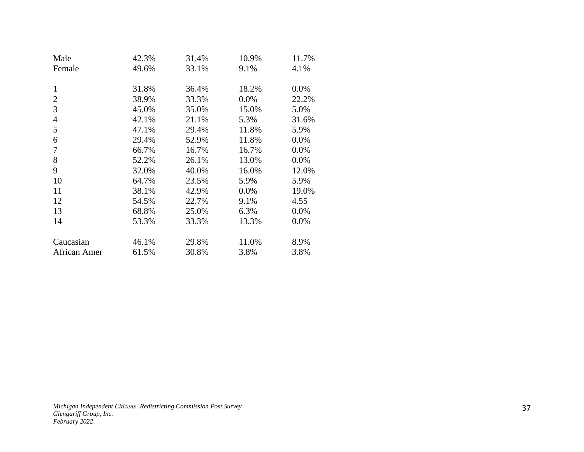| Male           | 42.3% | 31.4% | 10.9% | 11.7% |
|----------------|-------|-------|-------|-------|
| Female         | 49.6% | 33.1% | 9.1%  | 4.1%  |
|                |       |       |       |       |
| $\mathbf{1}$   | 31.8% | 36.4% | 18.2% | 0.0%  |
| 2              | 38.9% | 33.3% | 0.0%  | 22.2% |
| 3              | 45.0% | 35.0% | 15.0% | 5.0%  |
| $\overline{4}$ | 42.1% | 21.1% | 5.3%  | 31.6% |
| 5              | 47.1% | 29.4% | 11.8% | 5.9%  |
| 6              | 29.4% | 52.9% | 11.8% | 0.0%  |
| 7              | 66.7% | 16.7% | 16.7% | 0.0%  |
| 8              | 52.2% | 26.1% | 13.0% | 0.0%  |
| 9              | 32.0% | 40.0% | 16.0% | 12.0% |
| 10             | 64.7% | 23.5% | 5.9%  | 5.9%  |
| 11             | 38.1% | 42.9% | 0.0%  | 19.0% |
| 12             | 54.5% | 22.7% | 9.1%  | 4.55  |
| 13             | 68.8% | 25.0% | 6.3%  | 0.0%  |
| 14             | 53.3% | 33.3% | 13.3% | 0.0%  |
|                |       |       |       |       |
| Caucasian      | 46.1% | 29.8% | 11.0% | 8.9%  |
| African Amer   | 61.5% | 30.8% | 3.8%  | 3.8%  |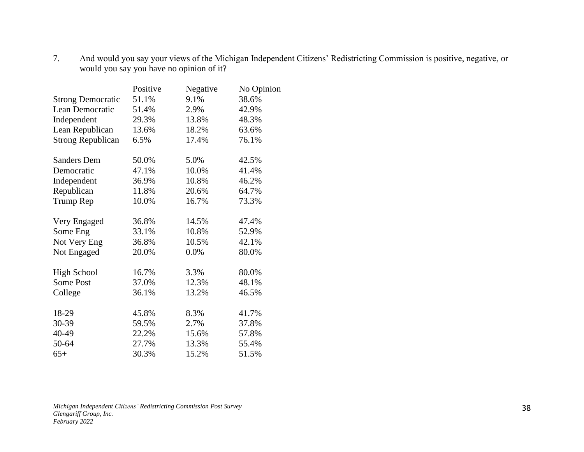7. And would you say your views of the Michigan Independent Citizens' Redistricting Commission is positive, negative, or would you say you have no opinion of it?

|                          | Positive | Negative | No Opinion |
|--------------------------|----------|----------|------------|
| <b>Strong Democratic</b> | 51.1%    | 9.1%     | 38.6%      |
| Lean Democratic          | 51.4%    | 2.9%     | 42.9%      |
| Independent              | 29.3%    | 13.8%    | 48.3%      |
| Lean Republican          | 13.6%    | 18.2%    | 63.6%      |
| <b>Strong Republican</b> | 6.5%     | 17.4%    | 76.1%      |
| <b>Sanders Dem</b>       | 50.0%    | 5.0%     | 42.5%      |
| Democratic               | 47.1%    | 10.0%    | 41.4%      |
| Independent              | 36.9%    | 10.8%    | 46.2%      |
| Republican               | 11.8%    | 20.6%    | 64.7%      |
| Trump Rep                | 10.0%    | 16.7%    | 73.3%      |
| Very Engaged             | 36.8%    | 14.5%    | 47.4%      |
| Some Eng                 | 33.1%    | 10.8%    | 52.9%      |
| Not Very Eng             | 36.8%    | 10.5%    | 42.1%      |
| Not Engaged              | 20.0%    | 0.0%     | 80.0%      |
| <b>High School</b>       | 16.7%    | 3.3%     | 80.0%      |
| Some Post                | 37.0%    | 12.3%    | 48.1%      |
| College                  | 36.1%    | 13.2%    | 46.5%      |
| 18-29                    | 45.8%    | 8.3%     | 41.7%      |
| 30-39                    | 59.5%    | 2.7%     | 37.8%      |
| 40-49                    | 22.2%    | 15.6%    | 57.8%      |
| 50-64                    | 27.7%    | 13.3%    | 55.4%      |
| $65+$                    | 30.3%    | 15.2%    | 51.5%      |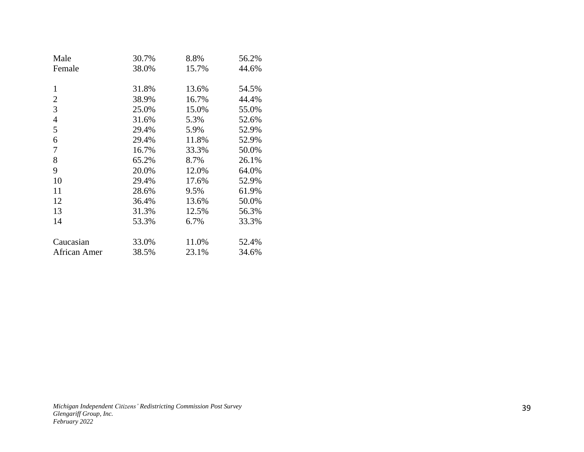| Male           | 30.7% | 8.8%  | 56.2% |
|----------------|-------|-------|-------|
| Female         | 38.0% | 15.7% | 44.6% |
|                |       |       |       |
| 1              | 31.8% | 13.6% | 54.5% |
| $\overline{2}$ | 38.9% | 16.7% | 44.4% |
| 3              | 25.0% | 15.0% | 55.0% |
| 4              | 31.6% | 5.3%  | 52.6% |
| 5              | 29.4% | 5.9%  | 52.9% |
| 6              | 29.4% | 11.8% | 52.9% |
| 7              | 16.7% | 33.3% | 50.0% |
| 8              | 65.2% | 8.7%  | 26.1% |
| 9              | 20.0% | 12.0% | 64.0% |
| 10             | 29.4% | 17.6% | 52.9% |
| 11             | 28.6% | 9.5%  | 61.9% |
| 12             | 36.4% | 13.6% | 50.0% |
| 13             | 31.3% | 12.5% | 56.3% |
| 14             | 53.3% | 6.7%  | 33.3% |
|                |       |       |       |
| Caucasian      | 33.0% | 11.0% | 52.4% |
| African Amer   | 38.5% | 23.1% | 34.6% |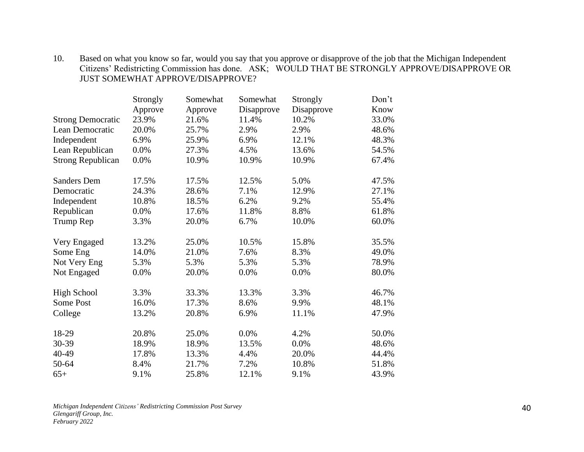# 10. Based on what you know so far, would you say that you approve or disapprove of the job that the Michigan Independent Citizens' Redistricting Commission has done. ASK; WOULD THAT BE STRONGLY APPROVE/DISAPPROVE OR JUST SOMEWHAT APPROVE/DISAPPROVE?

|                          | Strongly | Somewhat | Somewhat   | Strongly   | Don't |
|--------------------------|----------|----------|------------|------------|-------|
|                          | Approve  | Approve  | Disapprove | Disapprove | Know  |
| <b>Strong Democratic</b> | 23.9%    | 21.6%    | 11.4%      | 10.2%      | 33.0% |
| Lean Democratic          | 20.0%    | 25.7%    | 2.9%       | 2.9%       | 48.6% |
| Independent              | 6.9%     | 25.9%    | 6.9%       | 12.1%      | 48.3% |
| Lean Republican          | 0.0%     | 27.3%    | 4.5%       | 13.6%      | 54.5% |
| <b>Strong Republican</b> | 0.0%     | 10.9%    | 10.9%      | 10.9%      | 67.4% |
| <b>Sanders Dem</b>       | 17.5%    | 17.5%    | 12.5%      | 5.0%       | 47.5% |
| Democratic               | 24.3%    | 28.6%    | 7.1%       | 12.9%      | 27.1% |
| Independent              | 10.8%    | 18.5%    | 6.2%       | 9.2%       | 55.4% |
| Republican               | 0.0%     | 17.6%    | 11.8%      | 8.8%       | 61.8% |
| Trump Rep                | 3.3%     | 20.0%    | 6.7%       | 10.0%      | 60.0% |
| Very Engaged             | 13.2%    | 25.0%    | 10.5%      | 15.8%      | 35.5% |
| Some Eng                 | 14.0%    | 21.0%    | 7.6%       | 8.3%       | 49.0% |
| Not Very Eng             | 5.3%     | 5.3%     | 5.3%       | 5.3%       | 78.9% |
| Not Engaged              | 0.0%     | 20.0%    | 0.0%       | 0.0%       | 80.0% |
| <b>High School</b>       | 3.3%     | 33.3%    | 13.3%      | 3.3%       | 46.7% |
| <b>Some Post</b>         | 16.0%    | 17.3%    | 8.6%       | 9.9%       | 48.1% |
| College                  | 13.2%    | 20.8%    | 6.9%       | 11.1%      | 47.9% |
| 18-29                    | 20.8%    | 25.0%    | 0.0%       | 4.2%       | 50.0% |
| 30-39                    | 18.9%    | 18.9%    | 13.5%      | 0.0%       | 48.6% |
| 40-49                    | 17.8%    | 13.3%    | 4.4%       | 20.0%      | 44.4% |
| 50-64                    | 8.4%     | 21.7%    | 7.2%       | 10.8%      | 51.8% |
| $65+$                    | 9.1%     | 25.8%    | 12.1%      | 9.1%       | 43.9% |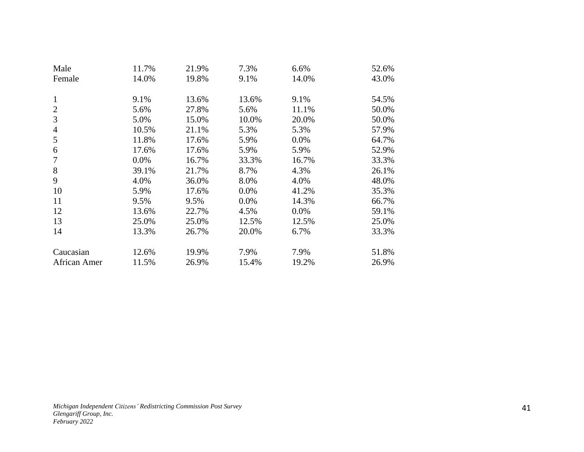| Male           | 11.7%   | 21.9% | 7.3%  | 6.6%  | 52.6% |
|----------------|---------|-------|-------|-------|-------|
| Female         | 14.0%   | 19.8% | 9.1%  | 14.0% | 43.0% |
|                |         |       |       |       |       |
| 1              | 9.1%    | 13.6% | 13.6% | 9.1%  | 54.5% |
| $\overline{2}$ | 5.6%    | 27.8% | 5.6%  | 11.1% | 50.0% |
| 3              | 5.0%    | 15.0% | 10.0% | 20.0% | 50.0% |
| 4              | 10.5%   | 21.1% | 5.3%  | 5.3%  | 57.9% |
| 5              | 11.8%   | 17.6% | 5.9%  | 0.0%  | 64.7% |
| 6              | 17.6%   | 17.6% | 5.9%  | 5.9%  | 52.9% |
| 7              | $0.0\%$ | 16.7% | 33.3% | 16.7% | 33.3% |
| 8              | 39.1%   | 21.7% | 8.7%  | 4.3%  | 26.1% |
| 9              | 4.0%    | 36.0% | 8.0%  | 4.0%  | 48.0% |
| 10             | 5.9%    | 17.6% | 0.0%  | 41.2% | 35.3% |
| 11             | 9.5%    | 9.5%  | 0.0%  | 14.3% | 66.7% |
| 12             | 13.6%   | 22.7% | 4.5%  | 0.0%  | 59.1% |
| 13             | 25.0%   | 25.0% | 12.5% | 12.5% | 25.0% |
| 14             | 13.3%   | 26.7% | 20.0% | 6.7%  | 33.3% |
|                |         |       |       |       |       |
| Caucasian      | 12.6%   | 19.9% | 7.9%  | 7.9%  | 51.8% |
| African Amer   | 11.5%   | 26.9% | 15.4% | 19.2% | 26.9% |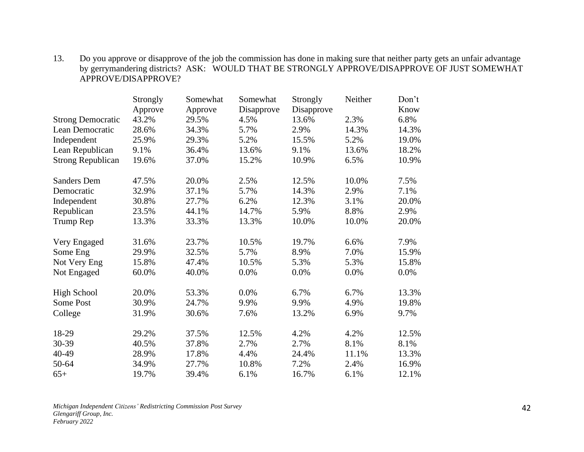### 13. Do you approve or disapprove of the job the commission has done in making sure that neither party gets an unfair advantage by gerrymandering districts? ASK: WOULD THAT BE STRONGLY APPROVE/DISAPPROVE OF JUST SOMEWHAT APPROVE/DISAPPROVE?

|                          | Strongly | Somewhat | Somewhat   | Strongly   | Neither | Don't |
|--------------------------|----------|----------|------------|------------|---------|-------|
|                          | Approve  | Approve  | Disapprove | Disapprove |         | Know  |
| <b>Strong Democratic</b> | 43.2%    | 29.5%    | 4.5%       | 13.6%      | 2.3%    | 6.8%  |
| Lean Democratic          | 28.6%    | 34.3%    | 5.7%       | 2.9%       | 14.3%   | 14.3% |
| Independent              | 25.9%    | 29.3%    | 5.2%       | 15.5%      | 5.2%    | 19.0% |
| Lean Republican          | 9.1%     | 36.4%    | 13.6%      | 9.1%       | 13.6%   | 18.2% |
| <b>Strong Republican</b> | 19.6%    | 37.0%    | 15.2%      | 10.9%      | 6.5%    | 10.9% |
| <b>Sanders Dem</b>       | 47.5%    | 20.0%    | 2.5%       | 12.5%      | 10.0%   | 7.5%  |
| Democratic               | 32.9%    | 37.1%    | 5.7%       | 14.3%      | 2.9%    | 7.1%  |
| Independent              | 30.8%    | 27.7%    | 6.2%       | 12.3%      | 3.1%    | 20.0% |
| Republican               | 23.5%    | 44.1%    | 14.7%      | 5.9%       | 8.8%    | 2.9%  |
| Trump Rep                | 13.3%    | 33.3%    | 13.3%      | 10.0%      | 10.0%   | 20.0% |
| Very Engaged             | 31.6%    | 23.7%    | 10.5%      | 19.7%      | 6.6%    | 7.9%  |
| Some Eng                 | 29.9%    | 32.5%    | 5.7%       | 8.9%       | 7.0%    | 15.9% |
| Not Very Eng             | 15.8%    | 47.4%    | 10.5%      | 5.3%       | 5.3%    | 15.8% |
| Not Engaged              | 60.0%    | 40.0%    | 0.0%       | 0.0%       | 0.0%    | 0.0%  |
| <b>High School</b>       | 20.0%    | 53.3%    | 0.0%       | 6.7%       | 6.7%    | 13.3% |
| Some Post                | 30.9%    | 24.7%    | 9.9%       | 9.9%       | 4.9%    | 19.8% |
| College                  | 31.9%    | 30.6%    | 7.6%       | 13.2%      | 6.9%    | 9.7%  |
| 18-29                    | 29.2%    | 37.5%    | 12.5%      | 4.2%       | 4.2%    | 12.5% |
| 30-39                    | 40.5%    | 37.8%    | 2.7%       | 2.7%       | 8.1%    | 8.1%  |
| 40-49                    | 28.9%    | 17.8%    | 4.4%       | 24.4%      | 11.1%   | 13.3% |
| 50-64                    | 34.9%    | 27.7%    | 10.8%      | 7.2%       | 2.4%    | 16.9% |
| $65+$                    | 19.7%    | 39.4%    | 6.1%       | 16.7%      | 6.1%    | 12.1% |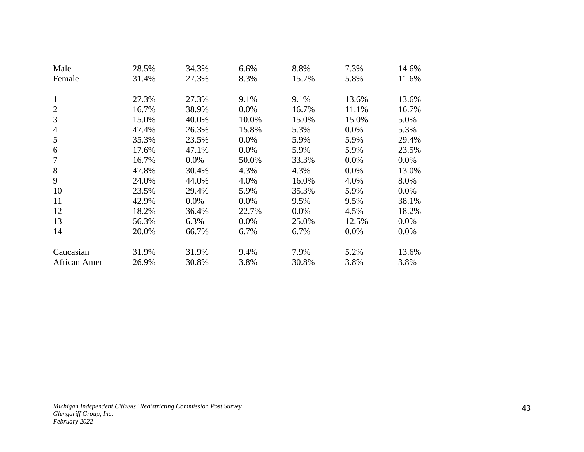| Male           | 28.5% | 34.3%   | 6.6%  | 8.8%  | 7.3%  | 14.6%   |
|----------------|-------|---------|-------|-------|-------|---------|
| Female         | 31.4% | 27.3%   | 8.3%  | 15.7% | 5.8%  | 11.6%   |
|                |       |         |       |       |       |         |
| 1              | 27.3% | 27.3%   | 9.1%  | 9.1%  | 13.6% | 13.6%   |
| 2              | 16.7% | 38.9%   | 0.0%  | 16.7% | 11.1% | 16.7%   |
| 3              | 15.0% | 40.0%   | 10.0% | 15.0% | 15.0% | 5.0%    |
| $\overline{4}$ | 47.4% | 26.3%   | 15.8% | 5.3%  | 0.0%  | 5.3%    |
| 5              | 35.3% | 23.5%   | 0.0%  | 5.9%  | 5.9%  | 29.4%   |
| 6              | 17.6% | 47.1%   | 0.0%  | 5.9%  | 5.9%  | 23.5%   |
| 7              | 16.7% | $0.0\%$ | 50.0% | 33.3% | 0.0%  | $0.0\%$ |
| 8              | 47.8% | 30.4%   | 4.3%  | 4.3%  | 0.0%  | 13.0%   |
| 9              | 24.0% | 44.0%   | 4.0%  | 16.0% | 4.0%  | 8.0%    |
| 10             | 23.5% | 29.4%   | 5.9%  | 35.3% | 5.9%  | 0.0%    |
| 11             | 42.9% | 0.0%    | 0.0%  | 9.5%  | 9.5%  | 38.1%   |
| 12             | 18.2% | 36.4%   | 22.7% | 0.0%  | 4.5%  | 18.2%   |
| 13             | 56.3% | 6.3%    | 0.0%  | 25.0% | 12.5% | 0.0%    |
| 14             | 20.0% | 66.7%   | 6.7%  | 6.7%  | 0.0%  | $0.0\%$ |
|                |       |         |       |       |       |         |
| Caucasian      | 31.9% | 31.9%   | 9.4%  | 7.9%  | 5.2%  | 13.6%   |
| African Amer   | 26.9% | 30.8%   | 3.8%  | 30.8% | 3.8%  | 3.8%    |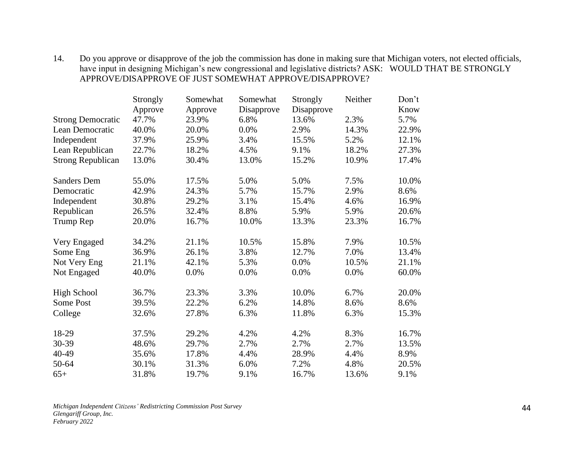### 14. Do you approve or disapprove of the job the commission has done in making sure that Michigan voters, not elected officials, have input in designing Michigan's new congressional and legislative districts? ASK: WOULD THAT BE STRONGLY APPROVE/DISAPPROVE OF JUST SOMEWHAT APPROVE/DISAPPROVE?

|                          | Strongly | Somewhat | Somewhat   | Strongly   | Neither | Don't |
|--------------------------|----------|----------|------------|------------|---------|-------|
|                          | Approve  | Approve  | Disapprove | Disapprove |         | Know  |
| <b>Strong Democratic</b> | 47.7%    | 23.9%    | 6.8%       | 13.6%      | 2.3%    | 5.7%  |
| Lean Democratic          | 40.0%    | 20.0%    | 0.0%       | 2.9%       | 14.3%   | 22.9% |
| Independent              | 37.9%    | 25.9%    | 3.4%       | 15.5%      | 5.2%    | 12.1% |
| Lean Republican          | 22.7%    | 18.2%    | 4.5%       | 9.1%       | 18.2%   | 27.3% |
| <b>Strong Republican</b> | 13.0%    | 30.4%    | 13.0%      | 15.2%      | 10.9%   | 17.4% |
| <b>Sanders Dem</b>       | 55.0%    | 17.5%    | 5.0%       | 5.0%       | 7.5%    | 10.0% |
| Democratic               | 42.9%    | 24.3%    | 5.7%       | 15.7%      | 2.9%    | 8.6%  |
| Independent              | 30.8%    | 29.2%    | 3.1%       | 15.4%      | 4.6%    | 16.9% |
| Republican               | 26.5%    | 32.4%    | 8.8%       | 5.9%       | 5.9%    | 20.6% |
| Trump Rep                | 20.0%    | 16.7%    | 10.0%      | 13.3%      | 23.3%   | 16.7% |
| Very Engaged             | 34.2%    | 21.1%    | 10.5%      | 15.8%      | 7.9%    | 10.5% |
| Some Eng                 | 36.9%    | 26.1%    | 3.8%       | 12.7%      | 7.0%    | 13.4% |
| Not Very Eng             | 21.1%    | 42.1%    | 5.3%       | 0.0%       | 10.5%   | 21.1% |
| Not Engaged              | 40.0%    | 0.0%     | 0.0%       | 0.0%       | 0.0%    | 60.0% |
| <b>High School</b>       | 36.7%    | 23.3%    | 3.3%       | 10.0%      | 6.7%    | 20.0% |
| Some Post                | 39.5%    | 22.2%    | 6.2%       | 14.8%      | 8.6%    | 8.6%  |
| College                  | 32.6%    | 27.8%    | 6.3%       | 11.8%      | 6.3%    | 15.3% |
| 18-29                    | 37.5%    | 29.2%    | 4.2%       | 4.2%       | 8.3%    | 16.7% |
| 30-39                    | 48.6%    | 29.7%    | 2.7%       | 2.7%       | 2.7%    | 13.5% |
| 40-49                    | 35.6%    | 17.8%    | 4.4%       | 28.9%      | 4.4%    | 8.9%  |
| 50-64                    | 30.1%    | 31.3%    | 6.0%       | 7.2%       | 4.8%    | 20.5% |
| $65+$                    | 31.8%    | 19.7%    | 9.1%       | 16.7%      | 13.6%   | 9.1%  |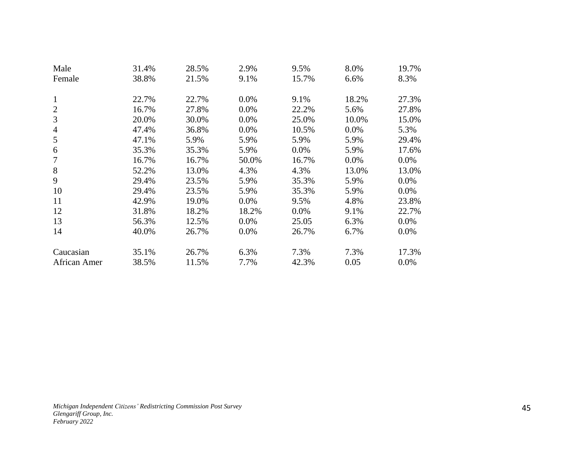| Male           | 31.4% | 28.5% | 2.9%  | 9.5%  | 8.0%  | 19.7%   |
|----------------|-------|-------|-------|-------|-------|---------|
| Female         | 38.8% | 21.5% | 9.1%  | 15.7% | 6.6%  | 8.3%    |
|                |       |       |       |       |       |         |
| 1              | 22.7% | 22.7% | 0.0%  | 9.1%  | 18.2% | 27.3%   |
| 2              | 16.7% | 27.8% | 0.0%  | 22.2% | 5.6%  | 27.8%   |
| 3              | 20.0% | 30.0% | 0.0%  | 25.0% | 10.0% | 15.0%   |
| $\overline{4}$ | 47.4% | 36.8% | 0.0%  | 10.5% | 0.0%  | 5.3%    |
| 5              | 47.1% | 5.9%  | 5.9%  | 5.9%  | 5.9%  | 29.4%   |
| 6              | 35.3% | 35.3% | 5.9%  | 0.0%  | 5.9%  | 17.6%   |
| 7              | 16.7% | 16.7% | 50.0% | 16.7% | 0.0%  | $0.0\%$ |
| 8              | 52.2% | 13.0% | 4.3%  | 4.3%  | 13.0% | 13.0%   |
| 9              | 29.4% | 23.5% | 5.9%  | 35.3% | 5.9%  | 0.0%    |
| 10             | 29.4% | 23.5% | 5.9%  | 35.3% | 5.9%  | 0.0%    |
| 11             | 42.9% | 19.0% | 0.0%  | 9.5%  | 4.8%  | 23.8%   |
| 12             | 31.8% | 18.2% | 18.2% | 0.0%  | 9.1%  | 22.7%   |
| 13             | 56.3% | 12.5% | 0.0%  | 25.05 | 6.3%  | 0.0%    |
| 14             | 40.0% | 26.7% | 0.0%  | 26.7% | 6.7%  | $0.0\%$ |
|                |       |       |       |       |       |         |
| Caucasian      | 35.1% | 26.7% | 6.3%  | 7.3%  | 7.3%  | 17.3%   |
| African Amer   | 38.5% | 11.5% | 7.7%  | 42.3% | 0.05  | $0.0\%$ |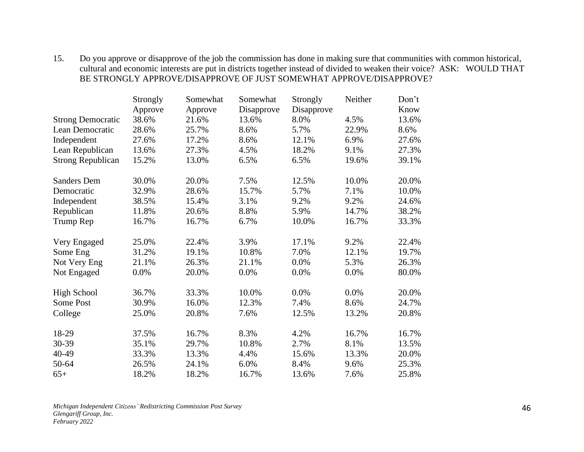### 15. Do you approve or disapprove of the job the commission has done in making sure that communities with common historical, cultural and economic interests are put in districts together instead of divided to weaken their voice? ASK: WOULD THAT BE STRONGLY APPROVE/DISAPPROVE OF JUST SOMEWHAT APPROVE/DISAPPROVE?

|                          | Strongly | Somewhat | Somewhat   | Strongly   | Neither | Don't |
|--------------------------|----------|----------|------------|------------|---------|-------|
|                          | Approve  | Approve  | Disapprove | Disapprove |         | Know  |
| <b>Strong Democratic</b> | 38.6%    | 21.6%    | 13.6%      | 8.0%       | 4.5%    | 13.6% |
| Lean Democratic          | 28.6%    | 25.7%    | 8.6%       | 5.7%       | 22.9%   | 8.6%  |
| Independent              | 27.6%    | 17.2%    | 8.6%       | 12.1%      | 6.9%    | 27.6% |
| Lean Republican          | 13.6%    | 27.3%    | 4.5%       | 18.2%      | 9.1%    | 27.3% |
| <b>Strong Republican</b> | 15.2%    | 13.0%    | 6.5%       | 6.5%       | 19.6%   | 39.1% |
| <b>Sanders Dem</b>       | 30.0%    | 20.0%    | 7.5%       | 12.5%      | 10.0%   | 20.0% |
| Democratic               | 32.9%    | 28.6%    | 15.7%      | 5.7%       | 7.1%    | 10.0% |
| Independent              | 38.5%    | 15.4%    | 3.1%       | 9.2%       | 9.2%    | 24.6% |
| Republican               | 11.8%    | 20.6%    | 8.8%       | 5.9%       | 14.7%   | 38.2% |
| Trump Rep                | 16.7%    | 16.7%    | 6.7%       | 10.0%      | 16.7%   | 33.3% |
| Very Engaged             | 25.0%    | 22.4%    | 3.9%       | 17.1%      | 9.2%    | 22.4% |
| Some Eng                 | 31.2%    | 19.1%    | 10.8%      | 7.0%       | 12.1%   | 19.7% |
| Not Very Eng             | 21.1%    | 26.3%    | 21.1%      | 0.0%       | 5.3%    | 26.3% |
| Not Engaged              | 0.0%     | 20.0%    | 0.0%       | 0.0%       | 0.0%    | 80.0% |
| <b>High School</b>       | 36.7%    | 33.3%    | 10.0%      | 0.0%       | 0.0%    | 20.0% |
| Some Post                | 30.9%    | 16.0%    | 12.3%      | 7.4%       | 8.6%    | 24.7% |
| College                  | 25.0%    | 20.8%    | 7.6%       | 12.5%      | 13.2%   | 20.8% |
| 18-29                    | 37.5%    | 16.7%    | 8.3%       | 4.2%       | 16.7%   | 16.7% |
| 30-39                    | 35.1%    | 29.7%    | 10.8%      | 2.7%       | 8.1%    | 13.5% |
| 40-49                    | 33.3%    | 13.3%    | 4.4%       | 15.6%      | 13.3%   | 20.0% |
| 50-64                    | 26.5%    | 24.1%    | 6.0%       | 8.4%       | 9.6%    | 25.3% |
| $65+$                    | 18.2%    | 18.2%    | 16.7%      | 13.6%      | 7.6%    | 25.8% |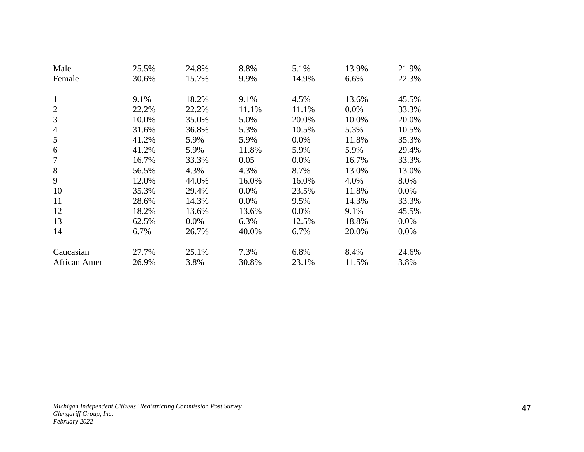| Male           | 25.5% | 24.8%   | 8.8%  | 5.1%  | 13.9% | 21.9%   |
|----------------|-------|---------|-------|-------|-------|---------|
| Female         | 30.6% | 15.7%   | 9.9%  | 14.9% | 6.6%  | 22.3%   |
|                |       |         |       |       |       |         |
| 1              | 9.1%  | 18.2%   | 9.1%  | 4.5%  | 13.6% | 45.5%   |
| 2              | 22.2% | 22.2%   | 11.1% | 11.1% | 0.0%  | 33.3%   |
| 3              | 10.0% | 35.0%   | 5.0%  | 20.0% | 10.0% | 20.0%   |
| $\overline{4}$ | 31.6% | 36.8%   | 5.3%  | 10.5% | 5.3%  | 10.5%   |
| 5              | 41.2% | 5.9%    | 5.9%  | 0.0%  | 11.8% | 35.3%   |
| 6              | 41.2% | 5.9%    | 11.8% | 5.9%  | 5.9%  | 29.4%   |
| 7              | 16.7% | 33.3%   | 0.05  | 0.0%  | 16.7% | 33.3%   |
| 8              | 56.5% | 4.3%    | 4.3%  | 8.7%  | 13.0% | 13.0%   |
| 9              | 12.0% | 44.0%   | 16.0% | 16.0% | 4.0%  | 8.0%    |
| 10             | 35.3% | 29.4%   | 0.0%  | 23.5% | 11.8% | 0.0%    |
| 11             | 28.6% | 14.3%   | 0.0%  | 9.5%  | 14.3% | 33.3%   |
| 12             | 18.2% | 13.6%   | 13.6% | 0.0%  | 9.1%  | 45.5%   |
| 13             | 62.5% | $0.0\%$ | 6.3%  | 12.5% | 18.8% | 0.0%    |
| 14             | 6.7%  | 26.7%   | 40.0% | 6.7%  | 20.0% | $0.0\%$ |
|                |       |         |       |       |       |         |
| Caucasian      | 27.7% | 25.1%   | 7.3%  | 6.8%  | 8.4%  | 24.6%   |
| African Amer   | 26.9% | 3.8%    | 30.8% | 23.1% | 11.5% | 3.8%    |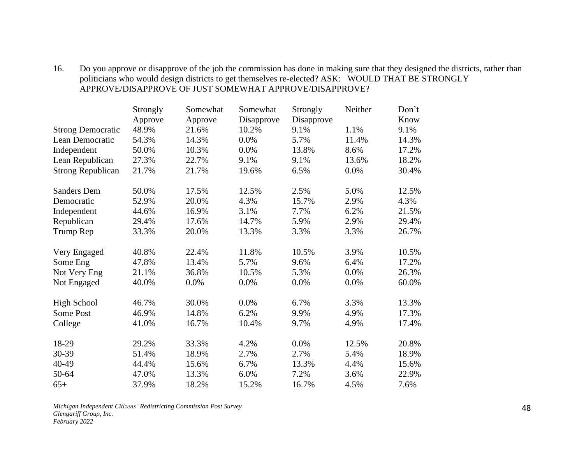# 16. Do you approve or disapprove of the job the commission has done in making sure that they designed the districts, rather than politicians who would design districts to get themselves re-elected? ASK: WOULD THAT BE STRONGLY APPROVE/DISAPPROVE OF JUST SOMEWHAT APPROVE/DISAPPROVE?

|                          | Strongly | Somewhat | Somewhat   | Strongly   | Neither | Don't |
|--------------------------|----------|----------|------------|------------|---------|-------|
|                          | Approve  | Approve  | Disapprove | Disapprove |         | Know  |
| <b>Strong Democratic</b> | 48.9%    | 21.6%    | 10.2%      | 9.1%       | 1.1%    | 9.1%  |
| Lean Democratic          | 54.3%    | 14.3%    | 0.0%       | 5.7%       | 11.4%   | 14.3% |
| Independent              | 50.0%    | 10.3%    | 0.0%       | 13.8%      | 8.6%    | 17.2% |
| Lean Republican          | 27.3%    | 22.7%    | 9.1%       | 9.1%       | 13.6%   | 18.2% |
| <b>Strong Republican</b> | 21.7%    | 21.7%    | 19.6%      | 6.5%       | 0.0%    | 30.4% |
| <b>Sanders Dem</b>       | 50.0%    | 17.5%    | 12.5%      | 2.5%       | 5.0%    | 12.5% |
| Democratic               | 52.9%    | 20.0%    | 4.3%       | 15.7%      | 2.9%    | 4.3%  |
| Independent              | 44.6%    | 16.9%    | 3.1%       | 7.7%       | 6.2%    | 21.5% |
| Republican               | 29.4%    | 17.6%    | 14.7%      | 5.9%       | 2.9%    | 29.4% |
| Trump Rep                | 33.3%    | 20.0%    | 13.3%      | 3.3%       | 3.3%    | 26.7% |
| Very Engaged             | 40.8%    | 22.4%    | 11.8%      | 10.5%      | 3.9%    | 10.5% |
| Some Eng                 | 47.8%    | 13.4%    | 5.7%       | 9.6%       | 6.4%    | 17.2% |
| Not Very Eng             | 21.1%    | 36.8%    | 10.5%      | 5.3%       | 0.0%    | 26.3% |
| Not Engaged              | 40.0%    | 0.0%     | 0.0%       | 0.0%       | 0.0%    | 60.0% |
| <b>High School</b>       | 46.7%    | 30.0%    | 0.0%       | 6.7%       | 3.3%    | 13.3% |
| Some Post                | 46.9%    | 14.8%    | 6.2%       | 9.9%       | 4.9%    | 17.3% |
| College                  | 41.0%    | 16.7%    | 10.4%      | 9.7%       | 4.9%    | 17.4% |
| 18-29                    | 29.2%    | 33.3%    | 4.2%       | 0.0%       | 12.5%   | 20.8% |
| 30-39                    | 51.4%    | 18.9%    | 2.7%       | 2.7%       | 5.4%    | 18.9% |
| 40-49                    | 44.4%    | 15.6%    | 6.7%       | 13.3%      | 4.4%    | 15.6% |
| 50-64                    | 47.0%    | 13.3%    | 6.0%       | 7.2%       | 3.6%    | 22.9% |
| $65+$                    | 37.9%    | 18.2%    | 15.2%      | 16.7%      | 4.5%    | 7.6%  |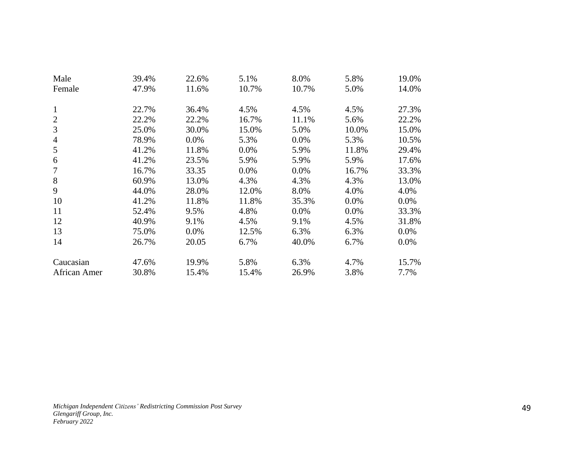| Male           | 39.4% | 22.6%   | 5.1%    | 8.0%    | 5.8%  | 19.0% |
|----------------|-------|---------|---------|---------|-------|-------|
| Female         | 47.9% | 11.6%   | 10.7%   | 10.7%   | 5.0%  | 14.0% |
|                |       |         |         |         |       |       |
| $\mathbf{1}$   | 22.7% | 36.4%   | 4.5%    | 4.5%    | 4.5%  | 27.3% |
| $\overline{2}$ | 22.2% | 22.2%   | 16.7%   | 11.1%   | 5.6%  | 22.2% |
| 3              | 25.0% | 30.0%   | 15.0%   | 5.0%    | 10.0% | 15.0% |
| $\overline{4}$ | 78.9% | $0.0\%$ | 5.3%    | 0.0%    | 5.3%  | 10.5% |
| 5              | 41.2% | 11.8%   | 0.0%    | 5.9%    | 11.8% | 29.4% |
| 6              | 41.2% | 23.5%   | 5.9%    | 5.9%    | 5.9%  | 17.6% |
| 7              | 16.7% | 33.35   | $0.0\%$ | $0.0\%$ | 16.7% | 33.3% |
| 8              | 60.9% | 13.0%   | 4.3%    | 4.3%    | 4.3%  | 13.0% |
| 9              | 44.0% | 28.0%   | 12.0%   | 8.0%    | 4.0%  | 4.0%  |
| 10             | 41.2% | 11.8%   | 11.8%   | 35.3%   | 0.0%  | 0.0%  |
| 11             | 52.4% | 9.5%    | 4.8%    | 0.0%    | 0.0%  | 33.3% |
| 12             | 40.9% | 9.1%    | 4.5%    | 9.1%    | 4.5%  | 31.8% |
| 13             | 75.0% | $0.0\%$ | 12.5%   | 6.3%    | 6.3%  | 0.0%  |
| 14             | 26.7% | 20.05   | 6.7%    | 40.0%   | 6.7%  | 0.0%  |
|                |       |         |         |         |       |       |
| Caucasian      | 47.6% | 19.9%   | 5.8%    | 6.3%    | 4.7%  | 15.7% |
| African Amer   | 30.8% | 15.4%   | 15.4%   | 26.9%   | 3.8%  | 7.7%  |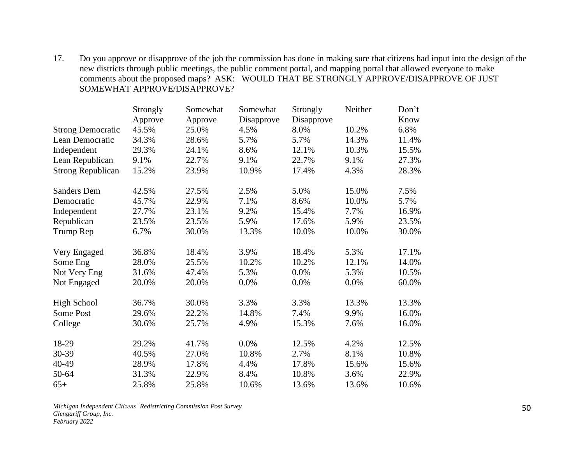17. Do you approve or disapprove of the job the commission has done in making sure that citizens had input into the design of the new districts through public meetings, the public comment portal, and mapping portal that allowed everyone to make comments about the proposed maps? ASK: WOULD THAT BE STRONGLY APPROVE/DISAPPROVE OF JUST SOMEWHAT APPROVE/DISAPPROVE?

|                          | Strongly | Somewhat | Somewhat   | Strongly   | Neither | Don't |
|--------------------------|----------|----------|------------|------------|---------|-------|
|                          | Approve  | Approve  | Disapprove | Disapprove |         | Know  |
| <b>Strong Democratic</b> | 45.5%    | 25.0%    | 4.5%       | 8.0%       | 10.2%   | 6.8%  |
| Lean Democratic          | 34.3%    | 28.6%    | 5.7%       | 5.7%       | 14.3%   | 11.4% |
| Independent              | 29.3%    | 24.1%    | 8.6%       | 12.1%      | 10.3%   | 15.5% |
| Lean Republican          | 9.1%     | 22.7%    | 9.1%       | 22.7%      | 9.1%    | 27.3% |
| <b>Strong Republican</b> | 15.2%    | 23.9%    | 10.9%      | 17.4%      | 4.3%    | 28.3% |
| <b>Sanders Dem</b>       | 42.5%    | 27.5%    | 2.5%       | 5.0%       | 15.0%   | 7.5%  |
| Democratic               | 45.7%    | 22.9%    | 7.1%       | 8.6%       | 10.0%   | 5.7%  |
| Independent              | 27.7%    | 23.1%    | 9.2%       | 15.4%      | 7.7%    | 16.9% |
| Republican               | 23.5%    | 23.5%    | 5.9%       | 17.6%      | 5.9%    | 23.5% |
| Trump Rep                | 6.7%     | 30.0%    | 13.3%      | 10.0%      | 10.0%   | 30.0% |
| Very Engaged             | 36.8%    | 18.4%    | 3.9%       | 18.4%      | 5.3%    | 17.1% |
| Some Eng                 | 28.0%    | 25.5%    | 10.2%      | 10.2%      | 12.1%   | 14.0% |
| Not Very Eng             | 31.6%    | 47.4%    | 5.3%       | 0.0%       | 5.3%    | 10.5% |
| Not Engaged              | 20.0%    | 20.0%    | 0.0%       | 0.0%       | 0.0%    | 60.0% |
| <b>High School</b>       | 36.7%    | 30.0%    | 3.3%       | 3.3%       | 13.3%   | 13.3% |
| <b>Some Post</b>         | 29.6%    | 22.2%    | 14.8%      | 7.4%       | 9.9%    | 16.0% |
| College                  | 30.6%    | 25.7%    | 4.9%       | 15.3%      | 7.6%    | 16.0% |
| 18-29                    | 29.2%    | 41.7%    | 0.0%       | 12.5%      | 4.2%    | 12.5% |
| 30-39                    | 40.5%    | 27.0%    | 10.8%      | 2.7%       | 8.1%    | 10.8% |
| 40-49                    | 28.9%    | 17.8%    | 4.4%       | 17.8%      | 15.6%   | 15.6% |
| 50-64                    | 31.3%    | 22.9%    | 8.4%       | 10.8%      | 3.6%    | 22.9% |
| $65+$                    | 25.8%    | 25.8%    | 10.6%      | 13.6%      | 13.6%   | 10.6% |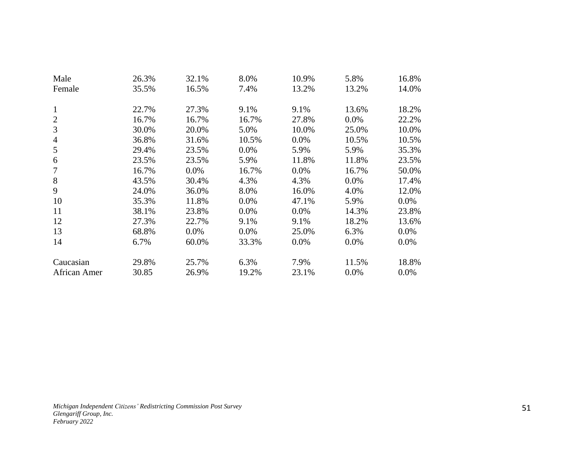| Male           | 26.3% | 32.1%   | 8.0%    | 10.9% | 5.8%  | 16.8%   |
|----------------|-------|---------|---------|-------|-------|---------|
| Female         | 35.5% | 16.5%   | 7.4%    | 13.2% | 13.2% | 14.0%   |
|                |       |         |         |       |       |         |
| $\mathbf{1}$   | 22.7% | 27.3%   | 9.1%    | 9.1%  | 13.6% | 18.2%   |
| $\overline{2}$ | 16.7% | 16.7%   | 16.7%   | 27.8% | 0.0%  | 22.2%   |
| 3              | 30.0% | 20.0%   | 5.0%    | 10.0% | 25.0% | 10.0%   |
| $\overline{4}$ | 36.8% | 31.6%   | 10.5%   | 0.0%  | 10.5% | 10.5%   |
| 5              | 29.4% | 23.5%   | 0.0%    | 5.9%  | 5.9%  | 35.3%   |
| 6              | 23.5% | 23.5%   | 5.9%    | 11.8% | 11.8% | 23.5%   |
| $\overline{7}$ | 16.7% | $0.0\%$ | 16.7%   | 0.0%  | 16.7% | 50.0%   |
| 8              | 43.5% | 30.4%   | 4.3%    | 4.3%  | 0.0%  | 17.4%   |
| 9              | 24.0% | 36.0%   | 8.0%    | 16.0% | 4.0%  | 12.0%   |
| 10             | 35.3% | 11.8%   | 0.0%    | 47.1% | 5.9%  | $0.0\%$ |
| 11             | 38.1% | 23.8%   | 0.0%    | 0.0%  | 14.3% | 23.8%   |
| 12             | 27.3% | 22.7%   | 9.1%    | 9.1%  | 18.2% | 13.6%   |
| 13             | 68.8% | $0.0\%$ | $0.0\%$ | 25.0% | 6.3%  | $0.0\%$ |
| 14             | 6.7%  | 60.0%   | 33.3%   | 0.0%  | 0.0%  | 0.0%    |
|                |       |         |         |       |       |         |
| Caucasian      | 29.8% | 25.7%   | 6.3%    | 7.9%  | 11.5% | 18.8%   |
| African Amer   | 30.85 | 26.9%   | 19.2%   | 23.1% | 0.0%  | 0.0%    |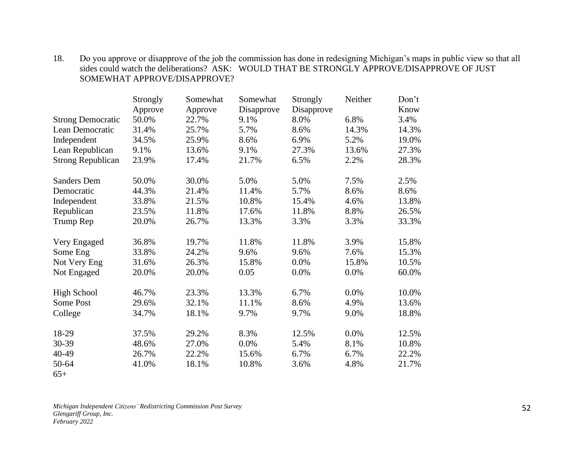#### 18. Do you approve or disapprove of the job the commission has done in redesigning Michigan's maps in public view so that all sides could watch the deliberations? ASK: WOULD THAT BE STRONGLY APPROVE/DISAPPROVE OF JUST SOMEWHAT APPROVE/DISAPPROVE?

|                          | Strongly | Somewhat | Somewhat   | Strongly   | Neither | Don't |
|--------------------------|----------|----------|------------|------------|---------|-------|
|                          | Approve  | Approve  | Disapprove | Disapprove |         | Know  |
| <b>Strong Democratic</b> | 50.0%    | 22.7%    | 9.1%       | 8.0%       | 6.8%    | 3.4%  |
| Lean Democratic          | 31.4%    | 25.7%    | 5.7%       | 8.6%       | 14.3%   | 14.3% |
| Independent              | 34.5%    | 25.9%    | 8.6%       | 6.9%       | 5.2%    | 19.0% |
| Lean Republican          | 9.1%     | 13.6%    | 9.1%       | 27.3%      | 13.6%   | 27.3% |
| <b>Strong Republican</b> | 23.9%    | 17.4%    | 21.7%      | 6.5%       | 2.2%    | 28.3% |
| <b>Sanders Dem</b>       | 50.0%    | 30.0%    | 5.0%       | 5.0%       | 7.5%    | 2.5%  |
| Democratic               | 44.3%    | 21.4%    | 11.4%      | 5.7%       | 8.6%    | 8.6%  |
| Independent              | 33.8%    | 21.5%    | 10.8%      | 15.4%      | 4.6%    | 13.8% |
| Republican               | 23.5%    | 11.8%    | 17.6%      | 11.8%      | 8.8%    | 26.5% |
| Trump Rep                | 20.0%    | 26.7%    | 13.3%      | 3.3%       | 3.3%    | 33.3% |
| Very Engaged             | 36.8%    | 19.7%    | 11.8%      | 11.8%      | 3.9%    | 15.8% |
| Some Eng                 | 33.8%    | 24.2%    | 9.6%       | 9.6%       | 7.6%    | 15.3% |
| Not Very Eng             | 31.6%    | 26.3%    | 15.8%      | 0.0%       | 15.8%   | 10.5% |
| Not Engaged              | 20.0%    | 20.0%    | 0.05       | 0.0%       | 0.0%    | 60.0% |
| <b>High School</b>       | 46.7%    | 23.3%    | 13.3%      | 6.7%       | 0.0%    | 10.0% |
| Some Post                | 29.6%    | 32.1%    | 11.1%      | 8.6%       | 4.9%    | 13.6% |
| College                  | 34.7%    | 18.1%    | 9.7%       | 9.7%       | 9.0%    | 18.8% |
| 18-29                    | 37.5%    | 29.2%    | 8.3%       | 12.5%      | 0.0%    | 12.5% |
| 30-39                    | 48.6%    | 27.0%    | 0.0%       | 5.4%       | 8.1%    | 10.8% |
| 40-49                    | 26.7%    | 22.2%    | 15.6%      | 6.7%       | 6.7%    | 22.2% |
| 50-64                    | 41.0%    | 18.1%    | 10.8%      | 3.6%       | 4.8%    | 21.7% |
| $65+$                    |          |          |            |            |         |       |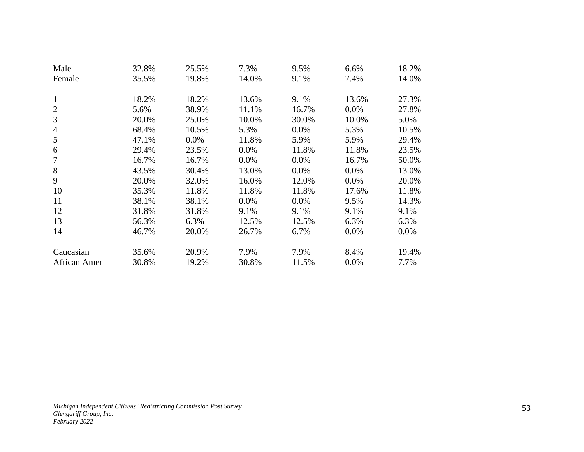| Male           | 32.8% | 25.5%   | 7.3%  | 9.5%  | 6.6%  | 18.2%   |
|----------------|-------|---------|-------|-------|-------|---------|
| Female         | 35.5% | 19.8%   | 14.0% | 9.1%  | 7.4%  | 14.0%   |
|                |       |         |       |       |       |         |
| 1              | 18.2% | 18.2%   | 13.6% | 9.1%  | 13.6% | 27.3%   |
| $\overline{2}$ | 5.6%  | 38.9%   | 11.1% | 16.7% | 0.0%  | 27.8%   |
| 3              | 20.0% | 25.0%   | 10.0% | 30.0% | 10.0% | 5.0%    |
| $\overline{4}$ | 68.4% | 10.5%   | 5.3%  | 0.0%  | 5.3%  | 10.5%   |
| 5              | 47.1% | $0.0\%$ | 11.8% | 5.9%  | 5.9%  | 29.4%   |
| 6              | 29.4% | 23.5%   | 0.0%  | 11.8% | 11.8% | 23.5%   |
| 7              | 16.7% | 16.7%   | 0.0%  | 0.0%  | 16.7% | 50.0%   |
| 8              | 43.5% | 30.4%   | 13.0% | 0.0%  | 0.0%  | 13.0%   |
| 9              | 20.0% | 32.0%   | 16.0% | 12.0% | 0.0%  | 20.0%   |
| 10             | 35.3% | 11.8%   | 11.8% | 11.8% | 17.6% | 11.8%   |
| 11             | 38.1% | 38.1%   | 0.0%  | 0.0%  | 9.5%  | 14.3%   |
| 12             | 31.8% | 31.8%   | 9.1%  | 9.1%  | 9.1%  | 9.1%    |
| 13             | 56.3% | 6.3%    | 12.5% | 12.5% | 6.3%  | 6.3%    |
| 14             | 46.7% | 20.0%   | 26.7% | 6.7%  | 0.0%  | $0.0\%$ |
|                |       |         |       |       |       |         |
| Caucasian      | 35.6% | 20.9%   | 7.9%  | 7.9%  | 8.4%  | 19.4%   |
| African Amer   | 30.8% | 19.2%   | 30.8% | 11.5% | 0.0%  | 7.7%    |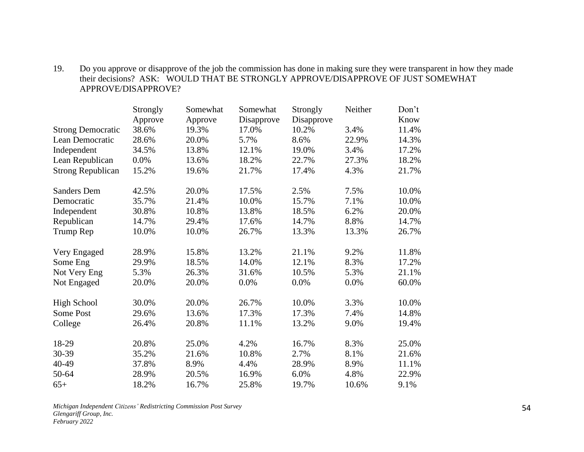# 19. Do you approve or disapprove of the job the commission has done in making sure they were transparent in how they made their decisions? ASK: WOULD THAT BE STRONGLY APPROVE/DISAPPROVE OF JUST SOMEWHAT APPROVE/DISAPPROVE?

|                          | Strongly | Somewhat | Somewhat   | Strongly   | Neither | Don't |
|--------------------------|----------|----------|------------|------------|---------|-------|
|                          | Approve  | Approve  | Disapprove | Disapprove |         | Know  |
| <b>Strong Democratic</b> | 38.6%    | 19.3%    | 17.0%      | 10.2%      | 3.4%    | 11.4% |
| Lean Democratic          | 28.6%    | 20.0%    | 5.7%       | 8.6%       | 22.9%   | 14.3% |
| Independent              | 34.5%    | 13.8%    | 12.1%      | 19.0%      | 3.4%    | 17.2% |
| Lean Republican          | 0.0%     | 13.6%    | 18.2%      | 22.7%      | 27.3%   | 18.2% |
| <b>Strong Republican</b> | 15.2%    | 19.6%    | 21.7%      | 17.4%      | 4.3%    | 21.7% |
| <b>Sanders Dem</b>       | 42.5%    | 20.0%    | 17.5%      | 2.5%       | 7.5%    | 10.0% |
| Democratic               | 35.7%    | 21.4%    | 10.0%      | 15.7%      | 7.1%    | 10.0% |
| Independent              | 30.8%    | 10.8%    | 13.8%      | 18.5%      | 6.2%    | 20.0% |
| Republican               | 14.7%    | 29.4%    | 17.6%      | 14.7%      | 8.8%    | 14.7% |
| Trump Rep                | 10.0%    | 10.0%    | 26.7%      | 13.3%      | 13.3%   | 26.7% |
| Very Engaged             | 28.9%    | 15.8%    | 13.2%      | 21.1%      | 9.2%    | 11.8% |
| Some Eng                 | 29.9%    | 18.5%    | 14.0%      | 12.1%      | 8.3%    | 17.2% |
| Not Very Eng             | 5.3%     | 26.3%    | 31.6%      | 10.5%      | 5.3%    | 21.1% |
| Not Engaged              | 20.0%    | 20.0%    | 0.0%       | 0.0%       | 0.0%    | 60.0% |
| <b>High School</b>       | 30.0%    | 20.0%    | 26.7%      | 10.0%      | 3.3%    | 10.0% |
| Some Post                | 29.6%    | 13.6%    | 17.3%      | 17.3%      | 7.4%    | 14.8% |
| College                  | 26.4%    | 20.8%    | 11.1%      | 13.2%      | 9.0%    | 19.4% |
| 18-29                    | 20.8%    | 25.0%    | 4.2%       | 16.7%      | 8.3%    | 25.0% |
| 30-39                    | 35.2%    | 21.6%    | 10.8%      | 2.7%       | 8.1%    | 21.6% |
| 40-49                    | 37.8%    | 8.9%     | 4.4%       | 28.9%      | 8.9%    | 11.1% |
| 50-64                    | 28.9%    | 20.5%    | 16.9%      | 6.0%       | 4.8%    | 22.9% |
| $65+$                    | 18.2%    | 16.7%    | 25.8%      | 19.7%      | 10.6%   | 9.1%  |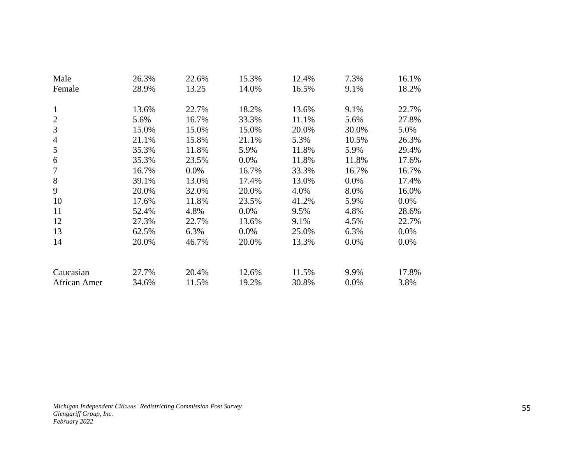| Male           | 26.3% | 22.6% | 15.3%   | 12.4% | 7.3%  | 16.1% |
|----------------|-------|-------|---------|-------|-------|-------|
| Female         | 28.9% | 13.25 | 14.0%   | 16.5% | 9.1%  | 18.2% |
|                |       |       |         |       |       |       |
| $\mathbf{1}$   | 13.6% | 22.7% | 18.2%   | 13.6% | 9.1%  | 22.7% |
| $\overline{2}$ | 5.6%  | 16.7% | 33.3%   | 11.1% | 5.6%  | 27.8% |
| 3              | 15.0% | 15.0% | 15.0%   | 20.0% | 30.0% | 5.0%  |
| $\overline{4}$ | 21.1% | 15.8% | 21.1%   | 5.3%  | 10.5% | 26.3% |
| 5              | 35.3% | 11.8% | 5.9%    | 11.8% | 5.9%  | 29.4% |
| 6              | 35.3% | 23.5% | $0.0\%$ | 11.8% | 11.8% | 17.6% |
| 7              | 16.7% | 0.0%  | 16.7%   | 33.3% | 16.7% | 16.7% |
| 8              | 39.1% | 13.0% | 17.4%   | 13.0% | 0.0%  | 17.4% |
| 9              | 20.0% | 32.0% | 20.0%   | 4.0%  | 8.0%  | 16.0% |
| 10             | 17.6% | 11.8% | 23.5%   | 41.2% | 5.9%  | 0.0%  |
| 11             | 52.4% | 4.8%  | $0.0\%$ | 9.5%  | 4.8%  | 28.6% |
| 12             | 27.3% | 22.7% | 13.6%   | 9.1%  | 4.5%  | 22.7% |
| 13             | 62.5% | 6.3%  | $0.0\%$ | 25.0% | 6.3%  | 0.0%  |
| 14             | 20.0% | 46.7% | 20.0%   | 13.3% | 0.0%  | 0.0%  |
|                |       |       |         |       |       |       |
|                |       |       |         |       |       |       |
| Caucasian      | 27.7% | 20.4% | 12.6%   | 11.5% | 9.9%  | 17.8% |
| African Amer   | 34.6% | 11.5% | 19.2%   | 30.8% | 0.0%  | 3.8%  |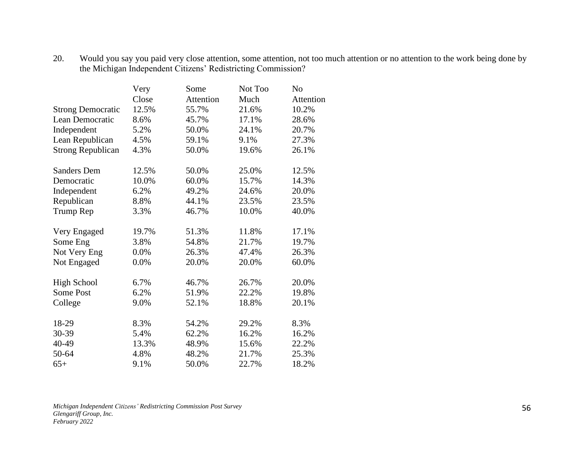#### 20. Would you say you paid very close attention, some attention, not too much attention or no attention to the work being done by the Michigan Independent Citizens' Redistricting Commission?

|                          | Very  | Some      | Not Too | N <sub>o</sub> |
|--------------------------|-------|-----------|---------|----------------|
|                          | Close | Attention | Much    | Attention      |
| <b>Strong Democratic</b> | 12.5% | 55.7%     | 21.6%   | 10.2%          |
| Lean Democratic          | 8.6%  | 45.7%     | 17.1%   | 28.6%          |
| Independent              | 5.2%  | 50.0%     | 24.1%   | 20.7%          |
| Lean Republican          | 4.5%  | 59.1%     | 9.1%    | 27.3%          |
| <b>Strong Republican</b> | 4.3%  | 50.0%     | 19.6%   | 26.1%          |
| <b>Sanders Dem</b>       | 12.5% | 50.0%     | 25.0%   | 12.5%          |
| Democratic               | 10.0% | 60.0%     | 15.7%   | 14.3%          |
| Independent              | 6.2%  | 49.2%     | 24.6%   | 20.0%          |
| Republican               | 8.8%  | 44.1%     | 23.5%   | 23.5%          |
| Trump Rep                | 3.3%  | 46.7%     | 10.0%   | 40.0%          |
| Very Engaged             | 19.7% | 51.3%     | 11.8%   | 17.1%          |
| Some Eng                 | 3.8%  | 54.8%     | 21.7%   | 19.7%          |
| Not Very Eng             | 0.0%  | 26.3%     | 47.4%   | 26.3%          |
| Not Engaged              | 0.0%  | 20.0%     | 20.0%   | 60.0%          |
| <b>High School</b>       | 6.7%  | 46.7%     | 26.7%   | 20.0%          |
| Some Post                | 6.2%  | 51.9%     | 22.2%   | 19.8%          |
| College                  | 9.0%  | 52.1%     | 18.8%   | 20.1%          |
| 18-29                    | 8.3%  | 54.2%     | 29.2%   | 8.3%           |
| 30-39                    | 5.4%  | 62.2%     | 16.2%   | 16.2%          |
| 40-49                    | 13.3% | 48.9%     | 15.6%   | 22.2%          |
| 50-64                    | 4.8%  | 48.2%     | 21.7%   | 25.3%          |
| $65+$                    | 9.1%  | 50.0%     | 22.7%   | 18.2%          |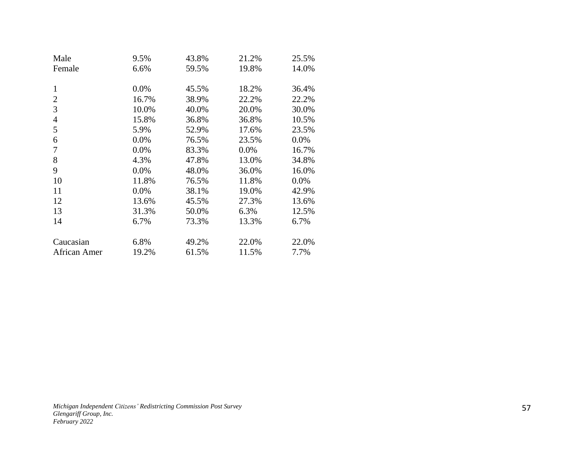| Male                     | 9.5%    | 43.8% | 21.2% | 25.5%   |
|--------------------------|---------|-------|-------|---------|
| Female                   | 6.6%    | 59.5% | 19.8% | 14.0%   |
|                          |         |       |       |         |
| 1                        | 0.0%    | 45.5% | 18.2% | 36.4%   |
| 2                        | 16.7%   | 38.9% | 22.2% | 22.2%   |
| 3                        | 10.0%   | 40.0% | 20.0% | 30.0%   |
| $\overline{\mathcal{A}}$ | 15.8%   | 36.8% | 36.8% | 10.5%   |
| 5                        | 5.9%    | 52.9% | 17.6% | 23.5%   |
| 6                        | 0.0%    | 76.5% | 23.5% | 0.0%    |
| 7                        | 0.0%    | 83.3% | 0.0%  | 16.7%   |
| 8                        | 4.3%    | 47.8% | 13.0% | 34.8%   |
| 9                        | 0.0%    | 48.0% | 36.0% | 16.0%   |
| 10                       | 11.8%   | 76.5% | 11.8% | $0.0\%$ |
| 11                       | $0.0\%$ | 38.1% | 19.0% | 42.9%   |
| 12                       | 13.6%   | 45.5% | 27.3% | 13.6%   |
| 13                       | 31.3%   | 50.0% | 6.3%  | 12.5%   |
| 14                       | 6.7%    | 73.3% | 13.3% | 6.7%    |
|                          |         |       |       |         |
| Caucasian                | 6.8%    | 49.2% | 22.0% | 22.0%   |
| African Amer             | 19.2%   | 61.5% | 11.5% | 7.7%    |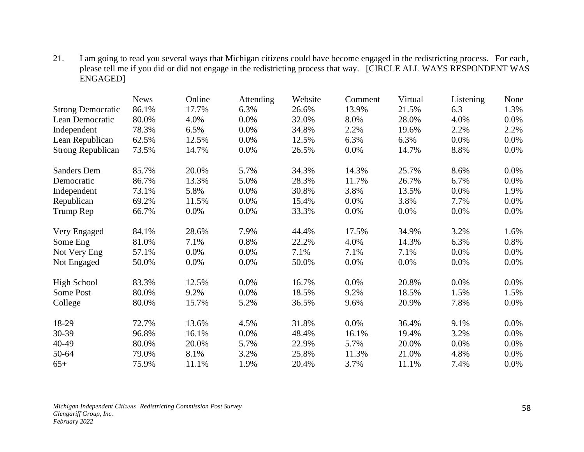21. I am going to read you several ways that Michigan citizens could have become engaged in the redistricting process. For each, please tell me if you did or did not engage in the redistricting process that way. [CIRCLE ALL WAYS RESPONDENT WAS ENGAGED]

|                          | <b>News</b> | Online | Attending | Website | Comment | Virtual | Listening | None    |
|--------------------------|-------------|--------|-----------|---------|---------|---------|-----------|---------|
| <b>Strong Democratic</b> | 86.1%       | 17.7%  | 6.3%      | 26.6%   | 13.9%   | 21.5%   | 6.3       | 1.3%    |
| Lean Democratic          | 80.0%       | 4.0%   | 0.0%      | 32.0%   | 8.0%    | 28.0%   | 4.0%      | 0.0%    |
| Independent              | 78.3%       | 6.5%   | 0.0%      | 34.8%   | 2.2%    | 19.6%   | 2.2%      | 2.2%    |
| Lean Republican          | 62.5%       | 12.5%  | 0.0%      | 12.5%   | 6.3%    | 6.3%    | 0.0%      | 0.0%    |
| <b>Strong Republican</b> | 73.5%       | 14.7%  | 0.0%      | 26.5%   | $0.0\%$ | 14.7%   | 8.8%      | $0.0\%$ |
| <b>Sanders Dem</b>       | 85.7%       | 20.0%  | 5.7%      | 34.3%   | 14.3%   | 25.7%   | 8.6%      | $0.0\%$ |
| Democratic               | 86.7%       | 13.3%  | 5.0%      | 28.3%   | 11.7%   | 26.7%   | 6.7%      | $0.0\%$ |
| Independent              | 73.1%       | 5.8%   | $0.0\%$   | 30.8%   | 3.8%    | 13.5%   | 0.0%      | 1.9%    |
| Republican               | 69.2%       | 11.5%  | 0.0%      | 15.4%   | $0.0\%$ | 3.8%    | 7.7%      | $0.0\%$ |
| Trump Rep                | 66.7%       | 0.0%   | 0.0%      | 33.3%   | 0.0%    | 0.0%    | 0.0%      | $0.0\%$ |
| Very Engaged             | 84.1%       | 28.6%  | 7.9%      | 44.4%   | 17.5%   | 34.9%   | 3.2%      | 1.6%    |
| Some Eng                 | 81.0%       | 7.1%   | 0.8%      | 22.2%   | 4.0%    | 14.3%   | 6.3%      | 0.8%    |
| Not Very Eng             | 57.1%       | 0.0%   | 0.0%      | 7.1%    | 7.1%    | 7.1%    | 0.0%      | $0.0\%$ |
| Not Engaged              | 50.0%       | 0.0%   | 0.0%      | 50.0%   | $0.0\%$ | 0.0%    | $0.0\%$   | $0.0\%$ |
| <b>High School</b>       | 83.3%       | 12.5%  | 0.0%      | 16.7%   | $0.0\%$ | 20.8%   | 0.0%      | $0.0\%$ |
| Some Post                | 80.0%       | 9.2%   | 0.0%      | 18.5%   | 9.2%    | 18.5%   | 1.5%      | 1.5%    |
| College                  | 80.0%       | 15.7%  | 5.2%      | 36.5%   | 9.6%    | 20.9%   | 7.8%      | $0.0\%$ |
| 18-29                    | 72.7%       | 13.6%  | 4.5%      | 31.8%   | 0.0%    | 36.4%   | 9.1%      | $0.0\%$ |
| 30-39                    | 96.8%       | 16.1%  | 0.0%      | 48.4%   | 16.1%   | 19.4%   | 3.2%      | $0.0\%$ |
| 40-49                    | 80.0%       | 20.0%  | 5.7%      | 22.9%   | 5.7%    | 20.0%   | 0.0%      | 0.0%    |
| 50-64                    | 79.0%       | 8.1%   | 3.2%      | 25.8%   | 11.3%   | 21.0%   | 4.8%      | 0.0%    |
| $65+$                    | 75.9%       | 11.1%  | 1.9%      | 20.4%   | 3.7%    | 11.1%   | 7.4%      | 0.0%    |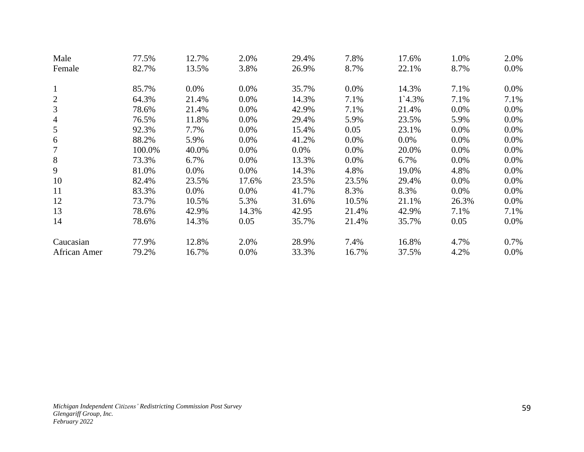| Male           | 77.5%  | 12.7%   | 2.0%    | 29.4%   | 7.8%    | 17.6%   | 1.0%    | 2.0%    |
|----------------|--------|---------|---------|---------|---------|---------|---------|---------|
| Female         | 82.7%  | 13.5%   | 3.8%    | 26.9%   | 8.7%    | 22.1%   | 8.7%    | $0.0\%$ |
| $\mathbf{1}$   | 85.7%  | $0.0\%$ | 0.0%    | 35.7%   | $0.0\%$ | 14.3%   | 7.1%    | $0.0\%$ |
| $\overline{2}$ | 64.3%  | 21.4%   | 0.0%    | 14.3%   | 7.1%    | 1`4.3%  | 7.1%    | 7.1%    |
| 3              | 78.6%  | 21.4%   | $0.0\%$ | 42.9%   | 7.1%    | 21.4%   | $0.0\%$ | 0.0%    |
| $\overline{4}$ | 76.5%  | 11.8%   | $0.0\%$ | 29.4%   | 5.9%    | 23.5%   | 5.9%    | $0.0\%$ |
| 5              | 92.3%  | 7.7%    | $0.0\%$ | 15.4%   | 0.05    | 23.1%   | $0.0\%$ | 0.0%    |
| 6              | 88.2%  | 5.9%    | 0.0%    | 41.2%   | 0.0%    | $0.0\%$ | $0.0\%$ | 0.0%    |
| 7              | 100.0% | 40.0%   | $0.0\%$ | $0.0\%$ | 0.0%    | 20.0%   | 0.0%    | $0.0\%$ |
| 8              | 73.3%  | 6.7%    | 0.0%    | 13.3%   | 0.0%    | 6.7%    | 0.0%    | $0.0\%$ |
| 9              | 81.0%  | $0.0\%$ | 0.0%    | 14.3%   | 4.8%    | 19.0%   | 4.8%    | $0.0\%$ |
| 10             | 82.4%  | 23.5%   | 17.6%   | 23.5%   | 23.5%   | 29.4%   | $0.0\%$ | 0.0%    |
| 11             | 83.3%  | $0.0\%$ | 0.0%    | 41.7%   | 8.3%    | 8.3%    | $0.0\%$ | 0.0%    |
| 12             | 73.7%  | 10.5%   | 5.3%    | 31.6%   | 10.5%   | 21.1%   | 26.3%   | 0.0%    |
| 13             | 78.6%  | 42.9%   | 14.3%   | 42.95   | 21.4%   | 42.9%   | 7.1%    | 7.1%    |
| 14             | 78.6%  | 14.3%   | 0.05    | 35.7%   | 21.4%   | 35.7%   | 0.05    | $0.0\%$ |
| Caucasian      | 77.9%  | 12.8%   | 2.0%    | 28.9%   | 7.4%    | 16.8%   | 4.7%    | 0.7%    |
| African Amer   | 79.2%  | 16.7%   | 0.0%    | 33.3%   | 16.7%   | 37.5%   | 4.2%    | $0.0\%$ |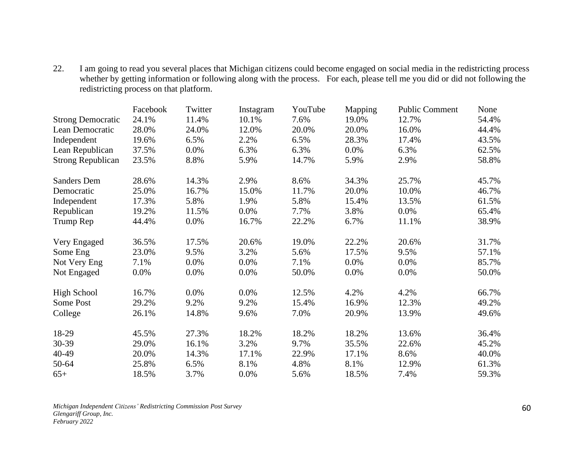22. I am going to read you several places that Michigan citizens could become engaged on social media in the redistricting process whether by getting information or following along with the process. For each, please tell me you did or did not following the redistricting process on that platform.

|                          | Facebook | Twitter | Instagram | YouTube | Mapping | <b>Public Comment</b> | None  |
|--------------------------|----------|---------|-----------|---------|---------|-----------------------|-------|
| <b>Strong Democratic</b> | 24.1%    | 11.4%   | 10.1%     | 7.6%    | 19.0%   | 12.7%                 | 54.4% |
| Lean Democratic          | 28.0%    | 24.0%   | 12.0%     | 20.0%   | 20.0%   | 16.0%                 | 44.4% |
| Independent              | 19.6%    | 6.5%    | 2.2%      | 6.5%    | 28.3%   | 17.4%                 | 43.5% |
| Lean Republican          | 37.5%    | 0.0%    | 6.3%      | 6.3%    | 0.0%    | 6.3%                  | 62.5% |
| <b>Strong Republican</b> | 23.5%    | 8.8%    | 5.9%      | 14.7%   | 5.9%    | 2.9%                  | 58.8% |
| <b>Sanders Dem</b>       | 28.6%    | 14.3%   | 2.9%      | 8.6%    | 34.3%   | 25.7%                 | 45.7% |
| Democratic               | 25.0%    | 16.7%   | 15.0%     | 11.7%   | 20.0%   | 10.0%                 | 46.7% |
| Independent              | 17.3%    | 5.8%    | 1.9%      | 5.8%    | 15.4%   | 13.5%                 | 61.5% |
| Republican               | 19.2%    | 11.5%   | 0.0%      | 7.7%    | 3.8%    | 0.0%                  | 65.4% |
| Trump Rep                | 44.4%    | $0.0\%$ | 16.7%     | 22.2%   | 6.7%    | 11.1%                 | 38.9% |
| Very Engaged             | 36.5%    | 17.5%   | 20.6%     | 19.0%   | 22.2%   | 20.6%                 | 31.7% |
| Some Eng                 | 23.0%    | 9.5%    | 3.2%      | 5.6%    | 17.5%   | 9.5%                  | 57.1% |
| Not Very Eng             | 7.1%     | 0.0%    | 0.0%      | 7.1%    | 0.0%    | 0.0%                  | 85.7% |
| Not Engaged              | 0.0%     | 0.0%    | 0.0%      | 50.0%   | 0.0%    | 0.0%                  | 50.0% |
| <b>High School</b>       | 16.7%    | 0.0%    | 0.0%      | 12.5%   | 4.2%    | 4.2%                  | 66.7% |
| Some Post                | 29.2%    | 9.2%    | 9.2%      | 15.4%   | 16.9%   | 12.3%                 | 49.2% |
| College                  | 26.1%    | 14.8%   | 9.6%      | 7.0%    | 20.9%   | 13.9%                 | 49.6% |
| 18-29                    | 45.5%    | 27.3%   | 18.2%     | 18.2%   | 18.2%   | 13.6%                 | 36.4% |
| 30-39                    | 29.0%    | 16.1%   | 3.2%      | 9.7%    | 35.5%   | 22.6%                 | 45.2% |
| 40-49                    | 20.0%    | 14.3%   | 17.1%     | 22.9%   | 17.1%   | 8.6%                  | 40.0% |
| 50-64                    | 25.8%    | 6.5%    | 8.1%      | 4.8%    | 8.1%    | 12.9%                 | 61.3% |
| $65+$                    | 18.5%    | 3.7%    | 0.0%      | 5.6%    | 18.5%   | 7.4%                  | 59.3% |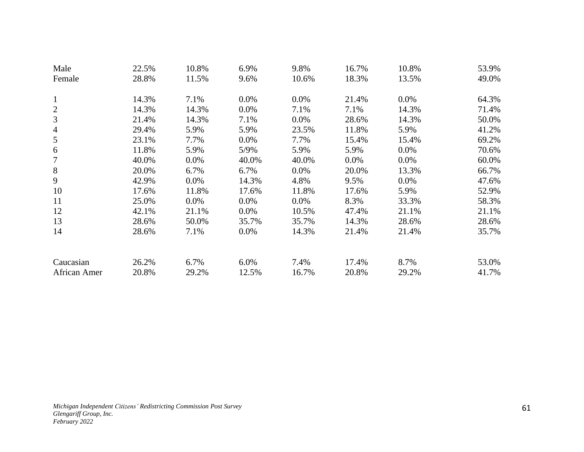| Male           | 22.5% | 10.8%   | 6.9%    | 9.8%    | 16.7%   | 10.8%   | 53.9% |
|----------------|-------|---------|---------|---------|---------|---------|-------|
| Female         | 28.8% | 11.5%   | 9.6%    | 10.6%   | 18.3%   | 13.5%   | 49.0% |
|                |       |         |         |         |         |         |       |
| $\mathbf{1}$   | 14.3% | 7.1%    | $0.0\%$ | 0.0%    | 21.4%   | $0.0\%$ | 64.3% |
| $\overline{2}$ | 14.3% | 14.3%   | $0.0\%$ | 7.1%    | 7.1%    | 14.3%   | 71.4% |
| 3              | 21.4% | 14.3%   | 7.1%    | 0.0%    | 28.6%   | 14.3%   | 50.0% |
| $\overline{4}$ | 29.4% | 5.9%    | 5.9%    | 23.5%   | 11.8%   | 5.9%    | 41.2% |
| 5              | 23.1% | 7.7%    | $0.0\%$ | 7.7%    | 15.4%   | 15.4%   | 69.2% |
| 6              | 11.8% | 5.9%    | 5/9%    | 5.9%    | 5.9%    | $0.0\%$ | 70.6% |
| 7              | 40.0% | 0.0%    | 40.0%   | 40.0%   | $0.0\%$ | $0.0\%$ | 60.0% |
| 8              | 20.0% | 6.7%    | 6.7%    | 0.0%    | 20.0%   | 13.3%   | 66.7% |
| 9              | 42.9% | $0.0\%$ | 14.3%   | 4.8%    | 9.5%    | $0.0\%$ | 47.6% |
| 10             | 17.6% | 11.8%   | 17.6%   | 11.8%   | 17.6%   | 5.9%    | 52.9% |
| 11             | 25.0% | $0.0\%$ | $0.0\%$ | $0.0\%$ | 8.3%    | 33.3%   | 58.3% |
| 12             | 42.1% | 21.1%   | $0.0\%$ | 10.5%   | 47.4%   | 21.1%   | 21.1% |
| 13             | 28.6% | 50.0%   | 35.7%   | 35.7%   | 14.3%   | 28.6%   | 28.6% |
| 14             | 28.6% | 7.1%    | $0.0\%$ | 14.3%   | 21.4%   | 21.4%   | 35.7% |
|                |       |         |         |         |         |         |       |
| Caucasian      | 26.2% | 6.7%    | $6.0\%$ | 7.4%    | 17.4%   | 8.7%    | 53.0% |
| African Amer   | 20.8% | 29.2%   | 12.5%   | 16.7%   | 20.8%   | 29.2%   | 41.7% |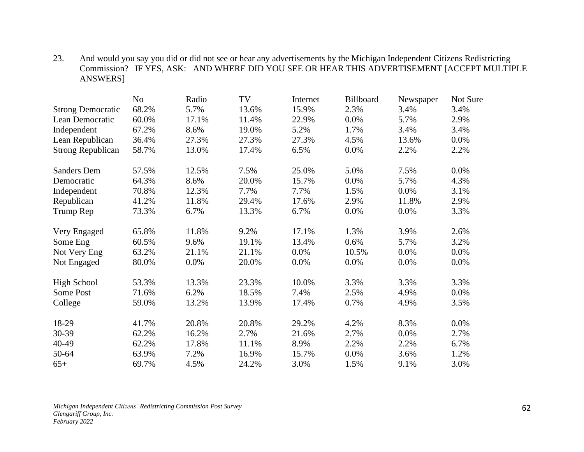23. And would you say you did or did not see or hear any advertisements by the Michigan Independent Citizens Redistricting Commission? IF YES, ASK: AND WHERE DID YOU SEE OR HEAR THIS ADVERTISEMENT [ACCEPT MULTIPLE ANSWERS]

|                          | N <sub>o</sub> | Radio | TV    | Internet | Billboard | Newspaper | Not Sure |
|--------------------------|----------------|-------|-------|----------|-----------|-----------|----------|
| <b>Strong Democratic</b> | 68.2%          | 5.7%  | 13.6% | 15.9%    | 2.3%      | 3.4%      | 3.4%     |
| Lean Democratic          | 60.0%          | 17.1% | 11.4% | 22.9%    | 0.0%      | 5.7%      | 2.9%     |
| Independent              | 67.2%          | 8.6%  | 19.0% | 5.2%     | 1.7%      | 3.4%      | 3.4%     |
| Lean Republican          | 36.4%          | 27.3% | 27.3% | 27.3%    | 4.5%      | 13.6%     | $0.0\%$  |
| <b>Strong Republican</b> | 58.7%          | 13.0% | 17.4% | 6.5%     | 0.0%      | 2.2%      | 2.2%     |
| <b>Sanders Dem</b>       | 57.5%          | 12.5% | 7.5%  | 25.0%    | 5.0%      | 7.5%      | $0.0\%$  |
| Democratic               | 64.3%          | 8.6%  | 20.0% | 15.7%    | 0.0%      | 5.7%      | 4.3%     |
| Independent              | 70.8%          | 12.3% | 7.7%  | 7.7%     | 1.5%      | 0.0%      | 3.1%     |
| Republican               | 41.2%          | 11.8% | 29.4% | 17.6%    | 2.9%      | 11.8%     | 2.9%     |
| Trump Rep                | 73.3%          | 6.7%  | 13.3% | 6.7%     | 0.0%      | 0.0%      | 3.3%     |
| Very Engaged             | 65.8%          | 11.8% | 9.2%  | 17.1%    | 1.3%      | 3.9%      | 2.6%     |
| Some Eng                 | 60.5%          | 9.6%  | 19.1% | 13.4%    | 0.6%      | 5.7%      | 3.2%     |
| Not Very Eng             | 63.2%          | 21.1% | 21.1% | 0.0%     | 10.5%     | 0.0%      | $0.0\%$  |
| Not Engaged              | 80.0%          | 0.0%  | 20.0% | 0.0%     | 0.0%      | 0.0%      | 0.0%     |
| <b>High School</b>       | 53.3%          | 13.3% | 23.3% | 10.0%    | 3.3%      | 3.3%      | 3.3%     |
| Some Post                | 71.6%          | 6.2%  | 18.5% | 7.4%     | 2.5%      | 4.9%      | $0.0\%$  |
| College                  | 59.0%          | 13.2% | 13.9% | 17.4%    | 0.7%      | 4.9%      | 3.5%     |
| 18-29                    | 41.7%          | 20.8% | 20.8% | 29.2%    | 4.2%      | 8.3%      | $0.0\%$  |
| 30-39                    | 62.2%          | 16.2% | 2.7%  | 21.6%    | 2.7%      | $0.0\%$   | 2.7%     |
| 40-49                    | 62.2%          | 17.8% | 11.1% | 8.9%     | 2.2%      | 2.2%      | 6.7%     |
| 50-64                    | 63.9%          | 7.2%  | 16.9% | 15.7%    | 0.0%      | 3.6%      | 1.2%     |
| $65+$                    | 69.7%          | 4.5%  | 24.2% | 3.0%     | 1.5%      | 9.1%      | 3.0%     |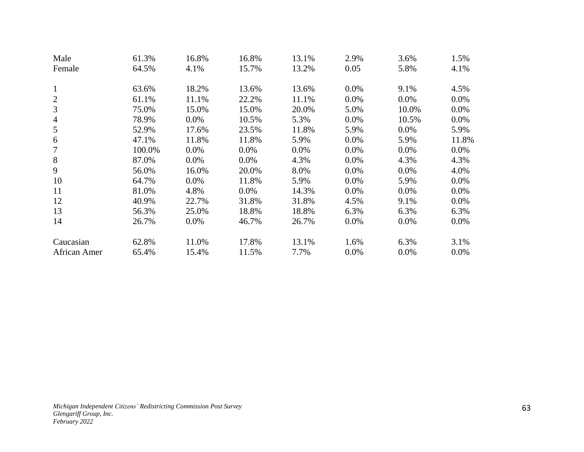| Male           | 61.3%  | 16.8% | 16.8%   | 13.1% | 2.9% | 3.6%    | 1.5%    |
|----------------|--------|-------|---------|-------|------|---------|---------|
| Female         | 64.5%  | 4.1%  | 15.7%   | 13.2% | 0.05 | 5.8%    | 4.1%    |
| $\mathbf{1}$   | 63.6%  | 18.2% | 13.6%   | 13.6% | 0.0% | 9.1%    | 4.5%    |
| $\overline{2}$ | 61.1%  | 11.1% | 22.2%   | 11.1% | 0.0% | $0.0\%$ | 0.0%    |
| 3              | 75.0%  | 15.0% | 15.0%   | 20.0% | 5.0% | 10.0%   | 0.0%    |
| 4              | 78.9%  | 0.0%  | 10.5%   | 5.3%  | 0.0% | 10.5%   | 0.0%    |
| 5              | 52.9%  | 17.6% | 23.5%   | 11.8% | 5.9% | 0.0%    | 5.9%    |
| 6              | 47.1%  | 11.8% | 11.8%   | 5.9%  | 0.0% | 5.9%    | 11.8%   |
| 7              | 100.0% | 0.0%  | $0.0\%$ | 0.0%  | 0.0% | 0.0%    | 0.0%    |
| 8              | 87.0%  | 0.0%  | $0.0\%$ | 4.3%  | 0.0% | 4.3%    | 4.3%    |
| 9              | 56.0%  | 16.0% | 20.0%   | 8.0%  | 0.0% | 0.0%    | 4.0%    |
| 10             | 64.7%  | 0.0%  | 11.8%   | 5.9%  | 0.0% | 5.9%    | 0.0%    |
| 11             | 81.0%  | 4.8%  | $0.0\%$ | 14.3% | 0.0% | 0.0%    | $0.0\%$ |
| 12             | 40.9%  | 22.7% | 31.8%   | 31.8% | 4.5% | 9.1%    | $0.0\%$ |
| 13             | 56.3%  | 25.0% | 18.8%   | 18.8% | 6.3% | 6.3%    | 6.3%    |
| 14             | 26.7%  | 0.0%  | 46.7%   | 26.7% | 0.0% | 0.0%    | 0.0%    |
| Caucasian      | 62.8%  | 11.0% | 17.8%   | 13.1% | 1.6% | 6.3%    | 3.1%    |
| African Amer   | 65.4%  | 15.4% | 11.5%   | 7.7%  | 0.0% | 0.0%    | $0.0\%$ |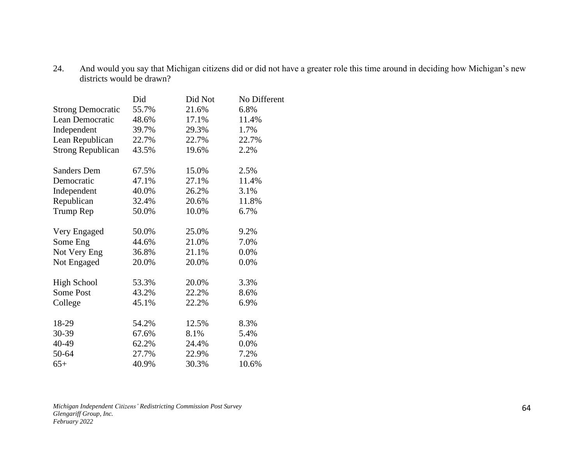24. And would you say that Michigan citizens did or did not have a greater role this time around in deciding how Michigan's new districts would be drawn?

|                          | Did   | Did Not | No Different |
|--------------------------|-------|---------|--------------|
| <b>Strong Democratic</b> | 55.7% | 21.6%   | 6.8%         |
| Lean Democratic          | 48.6% | 17.1%   | 11.4%        |
| Independent              | 39.7% | 29.3%   | 1.7%         |
| Lean Republican          | 22.7% | 22.7%   | 22.7%        |
| <b>Strong Republican</b> | 43.5% | 19.6%   | 2.2%         |
| Sanders Dem              | 67.5% | 15.0%   | 2.5%         |
| Democratic               | 47.1% | 27.1%   | 11.4%        |
| Independent              | 40.0% | 26.2%   | 3.1%         |
| Republican               | 32.4% | 20.6%   | 11.8%        |
| Trump Rep                | 50.0% | 10.0%   | 6.7%         |
| Very Engaged             | 50.0% | 25.0%   | 9.2%         |
| Some Eng                 | 44.6% | 21.0%   | 7.0%         |
| Not Very Eng             | 36.8% | 21.1%   | 0.0%         |
| Not Engaged              | 20.0% | 20.0%   | 0.0%         |
| <b>High School</b>       | 53.3% | 20.0%   | 3.3%         |
| Some Post                | 43.2% | 22.2%   | 8.6%         |
| College                  | 45.1% | 22.2%   | 6.9%         |
| 18-29                    | 54.2% | 12.5%   | 8.3%         |
| 30-39                    | 67.6% | 8.1%    | 5.4%         |
| 40-49                    | 62.2% | 24.4%   | 0.0%         |
| 50-64                    | 27.7% | 22.9%   | 7.2%         |
| $65+$                    | 40.9% | 30.3%   | 10.6%        |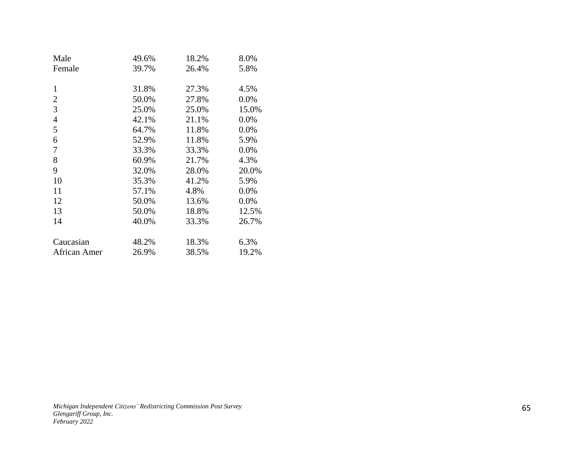| Male           | 49.6% | 18.2% | 8.0%    |
|----------------|-------|-------|---------|
| Female         | 39.7% | 26.4% | 5.8%    |
|                |       |       |         |
| 1              | 31.8% | 27.3% | 4.5%    |
| 2              | 50.0% | 27.8% | $0.0\%$ |
| 3              | 25.0% | 25.0% | 15.0%   |
| $\overline{4}$ | 42.1% | 21.1% | 0.0%    |
| 5              | 64.7% | 11.8% | 0.0%    |
| 6              | 52.9% | 11.8% | 5.9%    |
| 7              | 33.3% | 33.3% | 0.0%    |
| 8              | 60.9% | 21.7% | 4.3%    |
| 9              | 32.0% | 28.0% | 20.0%   |
| 10             | 35.3% | 41.2% | 5.9%    |
| 11             | 57.1% | 4.8%  | 0.0%    |
| 12             | 50.0% | 13.6% | 0.0%    |
| 13             | 50.0% | 18.8% | 12.5%   |
| 14             | 40.0% | 33.3% | 26.7%   |
|                |       |       |         |
| Caucasian      | 48.2% | 18.3% | 6.3%    |
| African Amer   | 26.9% | 38.5% | 19.2%   |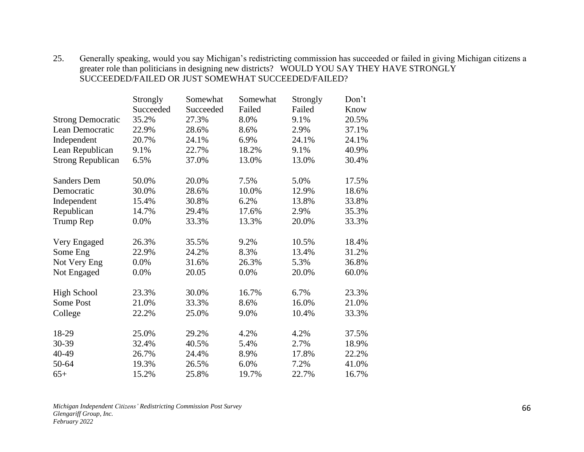| 25. Generally speaking, would you say Michigan's redistricting commission has succeeded or failed in giving Michigan citizens a |
|---------------------------------------------------------------------------------------------------------------------------------|
| greater role than politicians in designing new districts? WOULD YOU SAY THEY HAVE STRONGLY                                      |
| SUCCEEDED/FAILED OR JUST SOMEWHAT SUCCEEDED/FAILED?                                                                             |

|                          | Strongly  | Somewhat  | Somewhat | Strongly | Don't |
|--------------------------|-----------|-----------|----------|----------|-------|
|                          | Succeeded | Succeeded | Failed   | Failed   | Know  |
| <b>Strong Democratic</b> | 35.2%     | 27.3%     | 8.0%     | 9.1%     | 20.5% |
| Lean Democratic          | 22.9%     | 28.6%     | 8.6%     | 2.9%     | 37.1% |
| Independent              | 20.7%     | 24.1%     | 6.9%     | 24.1%    | 24.1% |
| Lean Republican          | 9.1%      | 22.7%     | 18.2%    | 9.1%     | 40.9% |
| <b>Strong Republican</b> | 6.5%      | 37.0%     | 13.0%    | 13.0%    | 30.4% |
| <b>Sanders Dem</b>       | 50.0%     | 20.0%     | 7.5%     | 5.0%     | 17.5% |
| Democratic               | 30.0%     | 28.6%     | 10.0%    | 12.9%    | 18.6% |
| Independent              | 15.4%     | 30.8%     | 6.2%     | 13.8%    | 33.8% |
| Republican               | 14.7%     | 29.4%     | 17.6%    | 2.9%     | 35.3% |
| Trump Rep                | 0.0%      | 33.3%     | 13.3%    | 20.0%    | 33.3% |
| Very Engaged             | 26.3%     | 35.5%     | 9.2%     | 10.5%    | 18.4% |
| Some Eng                 | 22.9%     | 24.2%     | 8.3%     | 13.4%    | 31.2% |
| Not Very Eng             | 0.0%      | 31.6%     | 26.3%    | 5.3%     | 36.8% |
| Not Engaged              | 0.0%      | 20.05     | 0.0%     | 20.0%    | 60.0% |
| <b>High School</b>       | 23.3%     | 30.0%     | 16.7%    | 6.7%     | 23.3% |
| Some Post                | 21.0%     | 33.3%     | 8.6%     | 16.0%    | 21.0% |
| College                  | 22.2%     | 25.0%     | 9.0%     | 10.4%    | 33.3% |
| 18-29                    | 25.0%     | 29.2%     | 4.2%     | 4.2%     | 37.5% |
| 30-39                    | 32.4%     | 40.5%     | 5.4%     | 2.7%     | 18.9% |
| 40-49                    | 26.7%     | 24.4%     | 8.9%     | 17.8%    | 22.2% |
| 50-64                    | 19.3%     | 26.5%     | 6.0%     | 7.2%     | 41.0% |
| $65+$                    | 15.2%     | 25.8%     | 19.7%    | 22.7%    | 16.7% |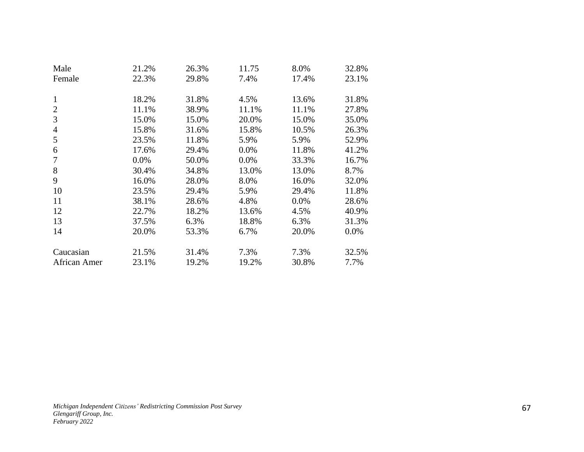| Male         | 21.2%   | 26.3% | 11.75 | 8.0%  | 32.8% |
|--------------|---------|-------|-------|-------|-------|
| Female       | 22.3%   | 29.8% | 7.4%  | 17.4% | 23.1% |
|              |         |       |       |       |       |
| 1            | 18.2%   | 31.8% | 4.5%  | 13.6% | 31.8% |
| 2            | 11.1%   | 38.9% | 11.1% | 11.1% | 27.8% |
| 3            | 15.0%   | 15.0% | 20.0% | 15.0% | 35.0% |
| 4            | 15.8%   | 31.6% | 15.8% | 10.5% | 26.3% |
| 5            | 23.5%   | 11.8% | 5.9%  | 5.9%  | 52.9% |
| 6            | 17.6%   | 29.4% | 0.0%  | 11.8% | 41.2% |
| 7            | $0.0\%$ | 50.0% | 0.0%  | 33.3% | 16.7% |
| 8            | 30.4%   | 34.8% | 13.0% | 13.0% | 8.7%  |
| 9            | 16.0%   | 28.0% | 8.0%  | 16.0% | 32.0% |
| 10           | 23.5%   | 29.4% | 5.9%  | 29.4% | 11.8% |
| 11           | 38.1%   | 28.6% | 4.8%  | 0.0%  | 28.6% |
| 12           | 22.7%   | 18.2% | 13.6% | 4.5%  | 40.9% |
| 13           | 37.5%   | 6.3%  | 18.8% | 6.3%  | 31.3% |
| 14           | 20.0%   | 53.3% | 6.7%  | 20.0% | 0.0%  |
|              |         |       |       |       |       |
| Caucasian    | 21.5%   | 31.4% | 7.3%  | 7.3%  | 32.5% |
| African Amer | 23.1%   | 19.2% | 19.2% | 30.8% | 7.7%  |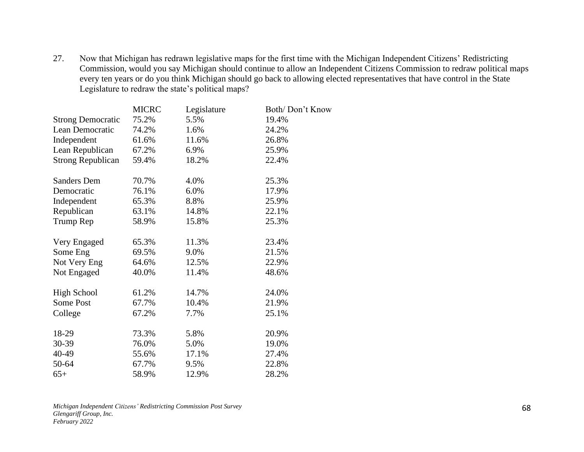27. Now that Michigan has redrawn legislative maps for the first time with the Michigan Independent Citizens' Redistricting Commission, would you say Michigan should continue to allow an Independent Citizens Commission to redraw political maps every ten years or do you think Michigan should go back to allowing elected representatives that have control in the State Legislature to redraw the state's political maps?

|                          | <b>MICRC</b> | Legislature | Both/Don't Know |
|--------------------------|--------------|-------------|-----------------|
| <b>Strong Democratic</b> | 75.2%        | 5.5%        | 19.4%           |
| Lean Democratic          | 74.2%        | 1.6%        | 24.2%           |
| Independent              | 61.6%        | 11.6%       | 26.8%           |
| Lean Republican          | 67.2%        | 6.9%        | 25.9%           |
| <b>Strong Republican</b> | 59.4%        | 18.2%       | 22.4%           |
| <b>Sanders Dem</b>       | 70.7%        | 4.0%        | 25.3%           |
| Democratic               | 76.1%        | 6.0%        | 17.9%           |
| Independent              | 65.3%        | 8.8%        | 25.9%           |
| Republican               | 63.1%        | 14.8%       | 22.1%           |
| Trump Rep                | 58.9%        | 15.8%       | 25.3%           |
| Very Engaged             | 65.3%        | 11.3%       | 23.4%           |
| Some Eng                 | 69.5%        | 9.0%        | 21.5%           |
| Not Very Eng             | 64.6%        | 12.5%       | 22.9%           |
| Not Engaged              | 40.0%        | 11.4%       | 48.6%           |
| <b>High School</b>       | 61.2%        | 14.7%       | 24.0%           |
| Some Post                | 67.7%        | 10.4%       | 21.9%           |
| College                  | 67.2%        | 7.7%        | 25.1%           |
| 18-29                    | 73.3%        | 5.8%        | 20.9%           |
| 30-39                    | 76.0%        | 5.0%        | 19.0%           |
| 40-49                    | 55.6%        | 17.1%       | 27.4%           |
| 50-64                    | 67.7%        | 9.5%        | 22.8%           |
| $65+$                    | 58.9%        | 12.9%       | 28.2%           |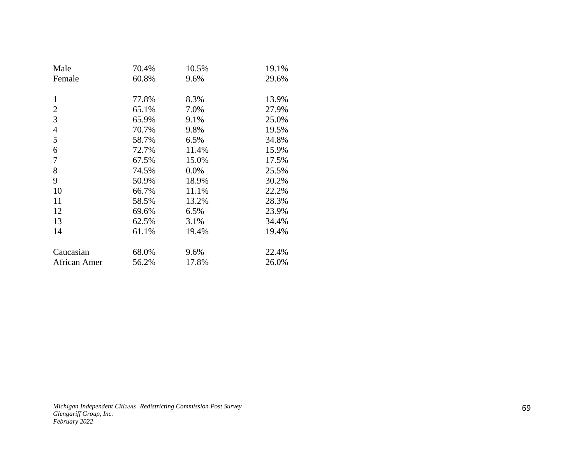| Male           | 70.4% | 10.5% | 19.1% |
|----------------|-------|-------|-------|
| Female         | 60.8% | 9.6%  | 29.6% |
|                |       |       |       |
| 1              | 77.8% | 8.3%  | 13.9% |
| 2              | 65.1% | 7.0%  | 27.9% |
| 3              | 65.9% | 9.1%  | 25.0% |
| $\overline{4}$ | 70.7% | 9.8%  | 19.5% |
| 5              | 58.7% | 6.5%  | 34.8% |
| 6              | 72.7% | 11.4% | 15.9% |
| 7              | 67.5% | 15.0% | 17.5% |
| 8              | 74.5% | 0.0%  | 25.5% |
| 9              | 50.9% | 18.9% | 30.2% |
| 10             | 66.7% | 11.1% | 22.2% |
| 11             | 58.5% | 13.2% | 28.3% |
| 12             | 69.6% | 6.5%  | 23.9% |
| 13             | 62.5% | 3.1%  | 34.4% |
| 14             | 61.1% | 19.4% | 19.4% |
|                |       |       |       |
| Caucasian      | 68.0% | 9.6%  | 22.4% |
| African Amer   | 56.2% | 17.8% | 26.0% |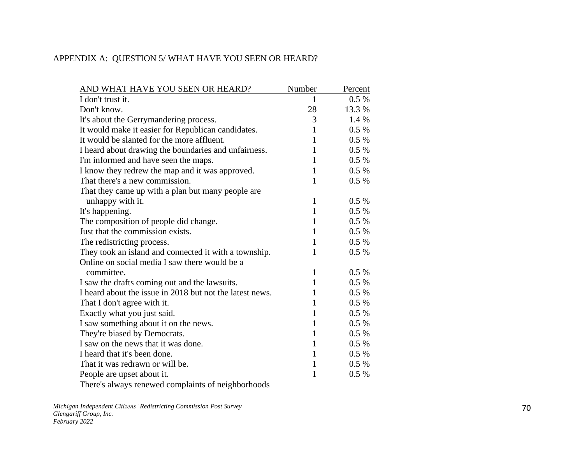## APPENDIX A: QUESTION 5/ WHAT HAVE YOU SEEN OR HEARD?

| AND WHAT HAVE YOU SEEN OR HEARD?                         | Number       | Percent  |
|----------------------------------------------------------|--------------|----------|
| I don't trust it.                                        | 1            | $0.5\%$  |
| Don't know.                                              | 28           | 13.3 %   |
| It's about the Gerrymandering process.                   | 3            | 1.4 %    |
| It would make it easier for Republican candidates.       | 1            | $0.5\%$  |
| It would be slanted for the more affluent.               | 1            | $0.5\%$  |
| I heard about drawing the boundaries and unfairness.     | 1            | $0.5\%$  |
| I'm informed and have seen the maps.                     | 1            | $0.5\%$  |
| I know they redrew the map and it was approved.          | $\mathbf{1}$ | $0.5\%$  |
| That there's a new commission.                           | $\mathbf{1}$ | $0.5\%$  |
| That they came up with a plan but many people are        |              |          |
| unhappy with it.                                         | $\mathbf{1}$ | $0.5 \%$ |
| It's happening.                                          | $\mathbf{1}$ | $0.5\%$  |
| The composition of people did change.                    | 1            | $0.5\%$  |
| Just that the commission exists.                         | $\mathbf{1}$ | $0.5\%$  |
| The redistricting process.                               | $\mathbf{1}$ | $0.5\%$  |
| They took an island and connected it with a township.    | $\mathbf{1}$ | $0.5 \%$ |
| Online on social media I saw there would be a            |              |          |
| committee.                                               | $\mathbf{1}$ | $0.5\%$  |
| I saw the drafts coming out and the lawsuits.            | 1            | $0.5\%$  |
| I heard about the issue in 2018 but not the latest news. | 1            | $0.5\%$  |
| That I don't agree with it.                              | $\mathbf{1}$ | $0.5\%$  |
| Exactly what you just said.                              | $\mathbf{1}$ | $0.5 \%$ |
| I saw something about it on the news.                    | $\mathbf{1}$ | $0.5 \%$ |
| They're biased by Democrats.                             | $\mathbf{1}$ | $0.5\%$  |
| I saw on the news that it was done.                      | $\mathbf{1}$ | $0.5 \%$ |
| I heard that it's been done.                             | $\mathbf{1}$ | $0.5\%$  |
| That it was redrawn or will be.                          | $\mathbf{1}$ | $0.5\%$  |
| People are upset about it.                               | 1            | $0.5\%$  |
| There's always renewed complaints of neighborhoods       |              |          |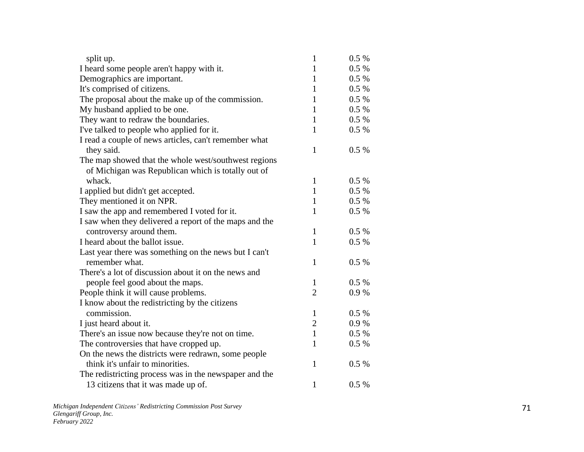| split up.                                              | $\mathbf{1}$   | 0.5%      |
|--------------------------------------------------------|----------------|-----------|
| I heard some people aren't happy with it.              | 1              | 0.5 %     |
| Demographics are important.                            | $\mathbf{1}$   | 0.5 %     |
| It's comprised of citizens.                            | $\mathbf{1}$   | $0.5\%$   |
| The proposal about the make up of the commission.      | 1              | $0.5\%$   |
| My husband applied to be one.                          | 1              | $0.5\ \%$ |
| They want to redraw the boundaries.                    | $\mathbf{1}$   | 0.5 %     |
| I've talked to people who applied for it.              | 1              | $0.5\%$   |
| I read a couple of news articles, can't remember what  |                |           |
| they said.                                             | $\mathbf{1}$   | 0.5 %     |
| The map showed that the whole west/southwest regions   |                |           |
| of Michigan was Republican which is totally out of     |                |           |
| whack.                                                 | $\mathbf{1}$   | 0.5%      |
| I applied but didn't get accepted.                     | $\mathbf{1}$   | $0.5\ \%$ |
| They mentioned it on NPR.                              | $\mathbf{1}$   | $0.5\%$   |
| I saw the app and remembered I voted for it.           | 1              | $0.5\%$   |
| I saw when they delivered a report of the maps and the |                |           |
| controversy around them.                               | $\mathbf{1}$   | 0.5 %     |
| I heard about the ballot issue.                        | $\mathbf{1}$   | $0.5\%$   |
| Last year there was something on the news but I can't  |                |           |
| remember what.                                         | $\mathbf{1}$   | 0.5 %     |
| There's a lot of discussion about it on the news and   |                |           |
| people feel good about the maps.                       | 1              | $0.5\%$   |
| People think it will cause problems.                   | $\overline{2}$ | 0.9%      |
| I know about the redistricting by the citizens         |                |           |
| commission.                                            | $\mathbf{1}$   | $0.5\%$   |
| I just heard about it.                                 | $\overline{2}$ | 0.9%      |
| There's an issue now because they're not on time.      | $\mathbf{1}$   | $0.5\%$   |
| The controversies that have cropped up.                | 1              | $0.5\%$   |
| On the news the districts were redrawn, some people    |                |           |
| think it's unfair to minorities.                       | $\mathbf{1}$   | $0.5\%$   |
| The redistricting process was in the newspaper and the |                |           |
| 13 citizens that it was made up of.                    | $\mathbf{1}$   | 0.5%      |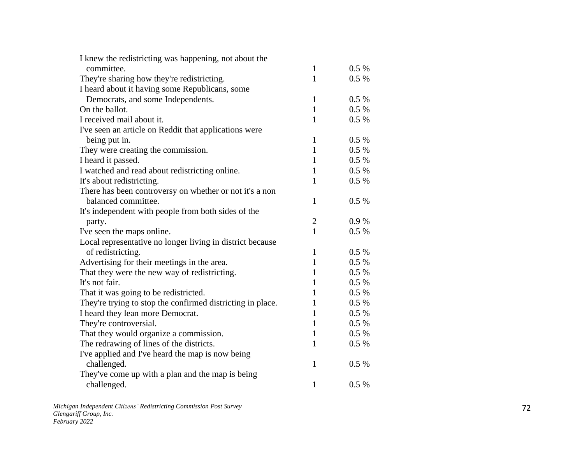| I knew the redistricting was happening, not about the      |              |         |
|------------------------------------------------------------|--------------|---------|
| committee.                                                 | $\mathbf{1}$ | $0.5\%$ |
| They're sharing how they're redistricting.                 | $\mathbf{1}$ | $0.5\%$ |
| I heard about it having some Republicans, some             |              |         |
| Democrats, and some Independents.                          | $\mathbf{1}$ | 0.5%    |
| On the ballot.                                             | $\mathbf{1}$ | $0.5\%$ |
| I received mail about it.                                  | $\mathbf{1}$ | $0.5\%$ |
| I've seen an article on Reddit that applications were      |              |         |
| being put in.                                              | $\mathbf{1}$ | 0.5 %   |
| They were creating the commission.                         | $\mathbf{1}$ | $0.5\%$ |
| I heard it passed.                                         | $\mathbf{1}$ | 0.5 %   |
| I watched and read about redistricting online.             | $\mathbf{1}$ | $0.5\%$ |
| It's about redistricting.                                  | $\mathbf{1}$ | $0.5\%$ |
| There has been controversy on whether or not it's a non    |              |         |
| balanced committee.                                        | 1            | 0.5%    |
| It's independent with people from both sides of the        |              |         |
| party.                                                     | $\mathbf{2}$ | 0.9%    |
| I've seen the maps online.                                 | $\mathbf{1}$ | 0.5%    |
| Local representative no longer living in district because  |              |         |
| of redistricting.                                          | $\mathbf{1}$ | $0.5\%$ |
| Advertising for their meetings in the area.                | $\mathbf{1}$ | $0.5\%$ |
| That they were the new way of redistricting.               | $\mathbf{1}$ | $0.5\%$ |
| It's not fair.                                             | $\mathbf{1}$ | 0.5 %   |
| That it was going to be redistricted.                      | $\mathbf{1}$ | 0.5 %   |
| They're trying to stop the confirmed districting in place. | $\mathbf{1}$ | $0.5\%$ |
| I heard they lean more Democrat.                           | $\mathbf{1}$ | $0.5\%$ |
| They're controversial.                                     | $\mathbf{1}$ | 0.5 %   |
| That they would organize a commission.                     | $\mathbf{1}$ | 0.5 %   |
| The redrawing of lines of the districts.                   | 1            | 0.5 %   |
| I've applied and I've heard the map is now being           |              |         |
| challenged.                                                | 1            | 0.5%    |
| They've come up with a plan and the map is being           |              |         |
| challenged.                                                | $\mathbf{1}$ | 0.5%    |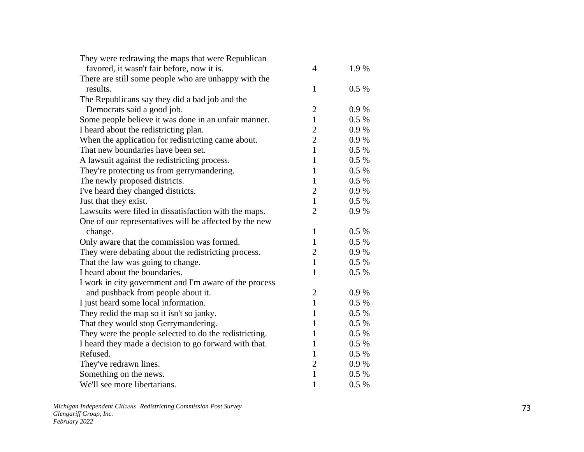| They were redrawing the maps that were Republican      |                |       |
|--------------------------------------------------------|----------------|-------|
| favored, it wasn't fair before, now it is.             | $\overline{4}$ | 1.9%  |
| There are still some people who are unhappy with the   |                |       |
| results.                                               | 1              | 0.5%  |
| The Republicans say they did a bad job and the         |                |       |
| Democrats said a good job.                             | $\overline{2}$ | 0.9%  |
| Some people believe it was done in an unfair manner.   | $\mathbf{1}$   | 0.5%  |
| I heard about the redistricting plan.                  | $\overline{2}$ | 0.9%  |
| When the application for redistricting came about.     | $\overline{2}$ | 0.9%  |
| That new boundaries have been set.                     | $\mathbf{1}$   | 0.5%  |
| A lawsuit against the redistricting process.           | $\mathbf{1}$   | 0.5%  |
| They're protecting us from gerrymandering.             | 1              | 0.5 % |
| The newly proposed districts.                          | $\mathbf{1}$   | 0.5 % |
| I've heard they changed districts.                     | $\overline{2}$ | 0.9%  |
| Just that they exist.                                  | $\mathbf{1}$   | 0.5%  |
| Lawsuits were filed in dissatisfaction with the maps.  | $\overline{2}$ | 0.9%  |
| One of our representatives will be affected by the new |                |       |
| change.                                                | 1              | 0.5%  |
| Only aware that the commission was formed.             | 1              | 0.5%  |
| They were debating about the redistricting process.    | $\overline{2}$ | 0.9 % |
| That the law was going to change.                      | 1              | 0.5%  |
| I heard about the boundaries.                          | 1              | 0.5%  |
| I work in city government and I'm aware of the process |                |       |
| and pushback from people about it.                     | $\overline{2}$ | 0.9%  |
| I just heard some local information.                   | 1              | 0.5%  |
| They redid the map so it isn't so janky.               | $\mathbf{1}$   | 0.5%  |
| That they would stop Gerrymandering.                   | $\mathbf{1}$   | 0.5 % |
| They were the people selected to do the redistricting. | 1              | 0.5%  |
| I heard they made a decision to go forward with that.  | 1              | 0.5 % |
| Refused.                                               | 1              | 0.5%  |
| They've redrawn lines.                                 | $\mathbf{2}$   | 0.9%  |
| Something on the news.                                 | $\mathbf{1}$   | 0.5 % |
| We'll see more libertarians.                           | $\mathbf{1}$   | 0.5%  |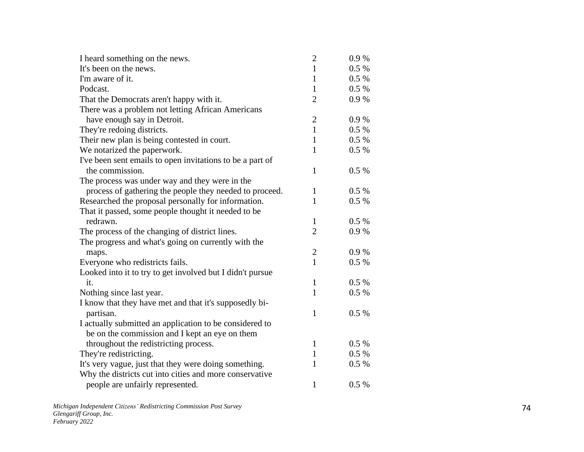| I heard something on the news.                            | $\mathbf{2}$   | 0.9%     |
|-----------------------------------------------------------|----------------|----------|
| It's been on the news.                                    | $\mathbf{1}$   | $0.5\%$  |
| I'm aware of it.                                          | $\mathbf{1}$   | $0.5 \%$ |
| Podcast.                                                  | $\mathbf{1}$   | $0.5\%$  |
| That the Democrats aren't happy with it.                  | $\overline{2}$ | 0.9%     |
| There was a problem not letting African Americans         |                |          |
| have enough say in Detroit.                               | $\overline{2}$ | 0.9%     |
| They're redoing districts.                                | $\mathbf{1}$   | $0.5\%$  |
| Their new plan is being contested in court.               | $\mathbf{1}$   | $0.5 \%$ |
| We notarized the paperwork.                               | $\mathbf{1}$   | $0.5\%$  |
| I've been sent emails to open invitations to be a part of |                |          |
| the commission.                                           | 1              | $0.5\%$  |
| The process was under way and they were in the            |                |          |
| process of gathering the people they needed to proceed.   | $\mathbf{1}$   | $0.5\%$  |
| Researched the proposal personally for information.       | 1              | $0.5\%$  |
| That it passed, some people thought it needed to be       |                |          |
| redrawn.                                                  | $\mathbf{1}$   | $0.5\%$  |
| The process of the changing of district lines.            | $\overline{2}$ | 0.9%     |
| The progress and what's going on currently with the       |                |          |
| maps.                                                     | $\overline{c}$ | 0.9%     |
| Everyone who redistricts fails.                           | $\mathbf{1}$   | $0.5\%$  |
| Looked into it to try to get involved but I didn't pursue |                |          |
| it.                                                       | $\mathbf{1}$   | $0.5\%$  |
| Nothing since last year.                                  | $\mathbf{1}$   | 0.5 %    |
| I know that they have met and that it's supposedly bi-    |                |          |
| partisan.                                                 | $\mathbf{1}$   | $0.5\%$  |
| I actually submitted an application to be considered to   |                |          |
| be on the commission and I kept an eye on them            |                |          |
| throughout the redistricting process.                     | 1              | $0.5\%$  |
| They're redistricting.                                    | $\mathbf{1}$   | $0.5 \%$ |
| It's very vague, just that they were doing something.     | 1              | 0.5 %    |
| Why the districts cut into cities and more conservative   |                |          |
| people are unfairly represented.                          | 1              | 0.5%     |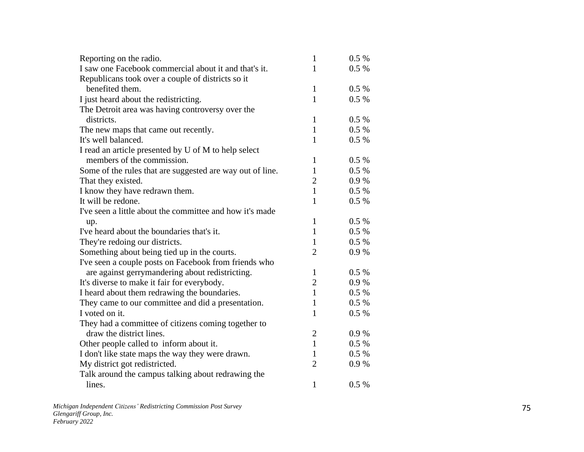| Reporting on the radio.                                   | $\mathbf{1}$   | 0.5 %   |
|-----------------------------------------------------------|----------------|---------|
| I saw one Facebook commercial about it and that's it.     | 1              | 0.5 %   |
| Republicans took over a couple of districts so it         |                |         |
| benefited them.                                           | $\mathbf{1}$   | 0.5%    |
| I just heard about the redistricting.                     | $\mathbf{1}$   | 0.5%    |
| The Detroit area was having controversy over the          |                |         |
| districts.                                                | $\mathbf{1}$   | 0.5%    |
| The new maps that came out recently.                      | $\mathbf{1}$   | 0.5 %   |
| It's well balanced.                                       | $\mathbf{1}$   | 0.5%    |
| I read an article presented by U of M to help select      |                |         |
| members of the commission.                                | $\mathbf{1}$   | 0.5 %   |
| Some of the rules that are suggested are way out of line. | $\mathbf{1}$   | 0.5 %   |
| That they existed.                                        | $\overline{2}$ | 0.9%    |
| I know they have redrawn them.                            | $\mathbf{1}$   | $0.5\%$ |
| It will be redone.                                        | $\mathbf{1}$   | $0.5\%$ |
| I've seen a little about the committee and how it's made  |                |         |
| up.                                                       | $\mathbf{1}$   | $0.5\%$ |
| I've heard about the boundaries that's it.                | $\mathbf{1}$   | $0.5\%$ |
| They're redoing our districts.                            | $\mathbf{1}$   | $0.5\%$ |
| Something about being tied up in the courts.              | $\overline{2}$ | 0.9 %   |
| I've seen a couple posts on Facebook from friends who     |                |         |
| are against gerrymandering about redistricting.           | $\mathbf{1}$   | 0.5 %   |
| It's diverse to make it fair for everybody.               | $\mathbf{2}$   | 0.9%    |
| I heard about them redrawing the boundaries.              | $\mathbf{1}$   | 0.5%    |
| They came to our committee and did a presentation.        | $\mathbf{1}$   | $0.5\%$ |
| I voted on it.                                            | $\mathbf{1}$   | 0.5 %   |
| They had a committee of citizens coming together to       |                |         |
| draw the district lines.                                  | $\mathbf{2}$   | 0.9%    |
| Other people called to inform about it.                   | $\mathbf{1}$   | $0.5\%$ |
| I don't like state maps the way they were drawn.          | $\mathbf{1}$   | $0.5\%$ |
| My district got redistricted.                             | $\overline{2}$ | 0.9%    |
| Talk around the campus talking about redrawing the        |                |         |
| lines.                                                    | $\mathbf{1}$   | 0.5%    |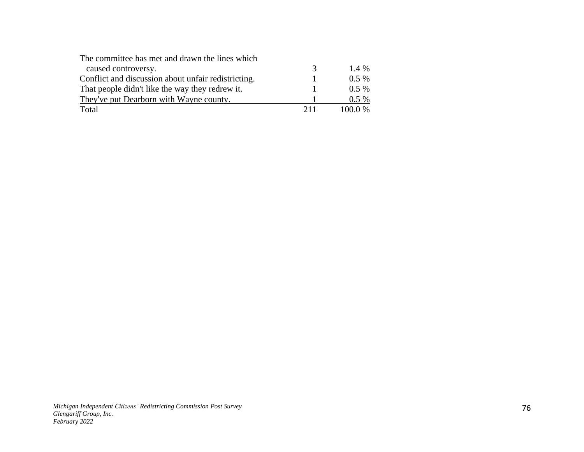| The committee has met and drawn the lines which     |     |           |
|-----------------------------------------------------|-----|-----------|
| caused controversy.                                 | 3   | $1.4\%$   |
| Conflict and discussion about unfair redistricting. |     | $0.5\%$   |
| That people didn't like the way they redrew it.     |     | $0.5\%$   |
| They've put Dearborn with Wayne county.             |     | $0.5\%$   |
| Total                                               | 211 | $100.0\%$ |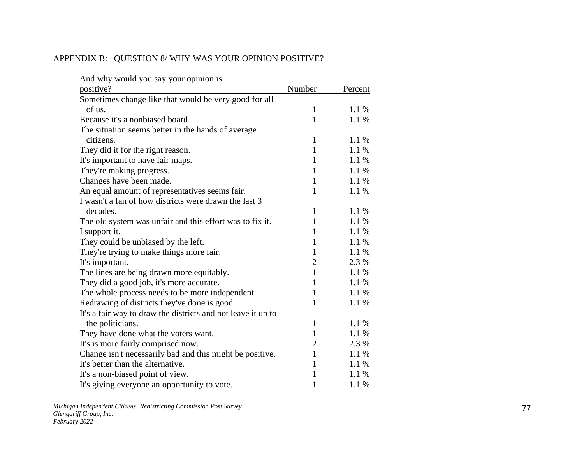### APPENDIX B: QUESTION 8/ WHY WAS YOUR OPINION POSITIVE?

| And why would you say your opinion is                        |                |         |
|--------------------------------------------------------------|----------------|---------|
| positive?                                                    | Number         | Percent |
| Sometimes change like that would be very good for all        |                |         |
| of us.                                                       | $\mathbf{1}$   | 1.1%    |
| Because it's a nonbiased board.                              | 1              | 1.1%    |
| The situation seems better in the hands of average           |                |         |
| citizens.                                                    | 1              | 1.1%    |
| They did it for the right reason.                            | $\mathbf{1}$   | 1.1 %   |
| It's important to have fair maps.                            | 1              | 1.1 %   |
| They're making progress.                                     | 1              | 1.1%    |
| Changes have been made.                                      | 1              | 1.1%    |
| An equal amount of representatives seems fair.               | 1              | 1.1 %   |
| I wasn't a fan of how districts were drawn the last 3        |                |         |
| decades.                                                     | 1              | 1.1%    |
| The old system was unfair and this effort was to fix it.     | $\mathbf{1}$   | 1.1 %   |
| I support it.                                                | 1              | 1.1%    |
| They could be unbiased by the left.                          | 1              | 1.1%    |
| They're trying to make things more fair.                     | 1              | $1.1\%$ |
| It's important.                                              | $\overline{2}$ | 2.3 %   |
| The lines are being drawn more equitably.                    | 1              | 1.1%    |
| They did a good job, it's more accurate.                     | 1              | 1.1%    |
| The whole process needs to be more independent.              | 1              | 1.1%    |
| Redrawing of districts they've done is good.                 | 1              | 1.1 %   |
| It's a fair way to draw the districts and not leave it up to |                |         |
| the politicians.                                             | 1              | 1.1 %   |
| They have done what the voters want.                         | 1              | 1.1 %   |
| It's is more fairly comprised now.                           | $\overline{c}$ | 2.3 %   |
| Change isn't necessarily bad and this might be positive.     | 1              | 1.1 %   |
| It's better than the alternative.                            | 1              | 1.1%    |
| It's a non-biased point of view.                             | 1              | $1.1\%$ |
| It's giving everyone an opportunity to vote.                 | 1              | 1.1 %   |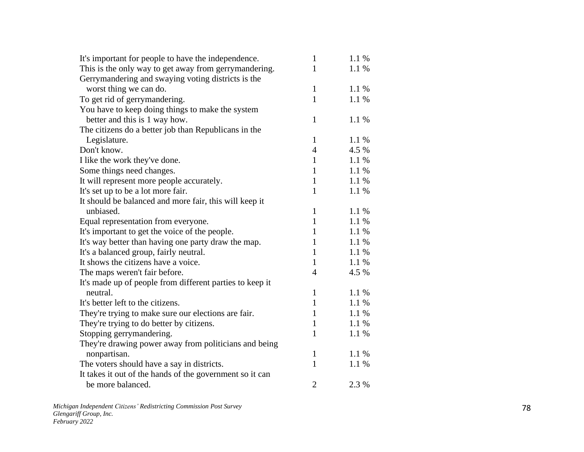| It's important for people to have the independence.      | $\mathbf{1}$   | 1.1 % |
|----------------------------------------------------------|----------------|-------|
| This is the only way to get away from gerrymandering.    | 1              | 1.1 % |
| Gerrymandering and swaying voting districts is the       |                |       |
| worst thing we can do.                                   | $\mathbf{1}$   | 1.1%  |
| To get rid of gerrymandering.                            | $\mathbf{1}$   | 1.1 % |
| You have to keep doing things to make the system         |                |       |
| better and this is 1 way how.                            | 1              | 1.1 % |
| The citizens do a better job than Republicans in the     |                |       |
| Legislature.                                             | 1              | 1.1 % |
| Don't know.                                              | $\overline{4}$ | 4.5 % |
| I like the work they've done.                            | 1              | 1.1 % |
| Some things need changes.                                | $\mathbf{1}$   | 1.1 % |
| It will represent more people accurately.                | 1              | 1.1%  |
| It's set up to be a lot more fair.                       | 1              | 1.1 % |
| It should be balanced and more fair, this will keep it   |                |       |
| unbiased.                                                | $\mathbf{1}$   | 1.1 % |
| Equal representation from everyone.                      | 1              | 1.1%  |
| It's important to get the voice of the people.           | 1              | 1.1 % |
| It's way better than having one party draw the map.      | 1              | 1.1 % |
| It's a balanced group, fairly neutral.                   | 1              | 1.1%  |
| It shows the citizens have a voice.                      | $\mathbf{1}$   | 1.1%  |
| The maps weren't fair before.                            | $\overline{4}$ | 4.5 % |
| It's made up of people from different parties to keep it |                |       |
| neutral.                                                 | 1              | 1.1 % |
| It's better left to the citizens.                        | $\mathbf{1}$   | 1.1 % |
| They're trying to make sure our elections are fair.      | 1              | 1.1%  |
| They're trying to do better by citizens.                 | $\mathbf{1}$   | 1.1 % |
| Stopping gerrymandering.                                 | 1              | 1.1 % |
| They're drawing power away from politicians and being    |                |       |
| nonpartisan.                                             | 1              | 1.1%  |
| The voters should have a say in districts.               | $\mathbf{1}$   | 1.1 % |
| It takes it out of the hands of the government so it can |                |       |
| be more balanced.                                        | $\overline{2}$ | 2.3 % |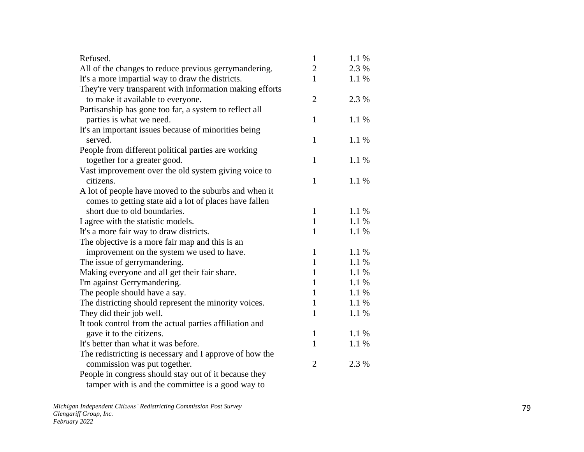| Refused.                                                        | $\mathbf{1}$   | 1.1 % |
|-----------------------------------------------------------------|----------------|-------|
| All of the changes to reduce previous gerrymandering.           | $\overline{c}$ | 2.3 % |
| It's a more impartial way to draw the districts.                | 1              | 1.1 % |
| They're very transparent with information making efforts        |                |       |
| to make it available to everyone.                               | $\overline{2}$ | 2.3 % |
| Partisanship has gone too far, a system to reflect all          |                |       |
| parties is what we need.                                        | $\mathbf{1}$   | 1.1 % |
| It's an important issues because of minorities being<br>served. | $\mathbf{1}$   | 1.1 % |
| People from different political parties are working             |                |       |
| together for a greater good.                                    | $\mathbf{1}$   | 1.1 % |
| Vast improvement over the old system giving voice to            |                |       |
| citizens.                                                       | $\mathbf{1}$   | 1.1%  |
| A lot of people have moved to the suburbs and when it           |                |       |
| comes to getting state aid a lot of places have fallen          |                |       |
| short due to old boundaries.                                    | $\mathbf{1}$   | 1.1 % |
| I agree with the statistic models.                              | $\mathbf{1}$   | 1.1%  |
| It's a more fair way to draw districts.                         | $\mathbf{1}$   | 1.1 % |
| The objective is a more fair map and this is an                 |                |       |
| improvement on the system we used to have.                      | $\mathbf{1}$   | 1.1 % |
| The issue of gerrymandering.                                    | $\mathbf{1}$   | 1.1 % |
| Making everyone and all get their fair share.                   | $\mathbf{1}$   | 1.1 % |
| I'm against Gerrymandering.                                     | $\mathbf{1}$   | 1.1 % |
| The people should have a say.                                   | $\mathbf{1}$   | 1.1 % |
| The districting should represent the minority voices.           | $\mathbf{1}$   | 1.1 % |
| They did their job well.                                        | $\mathbf{1}$   | 1.1 % |
| It took control from the actual parties affiliation and         |                |       |
| gave it to the citizens.                                        | $\mathbf{1}$   | 1.1 % |
| It's better than what it was before.                            | $\mathbf{1}$   | 1.1 % |
| The redistricting is necessary and I approve of how the         |                |       |
| commission was put together.                                    | $\overline{2}$ | 2.3 % |
| People in congress should stay out of it because they           |                |       |
| tamper with is and the committee is a good way to               |                |       |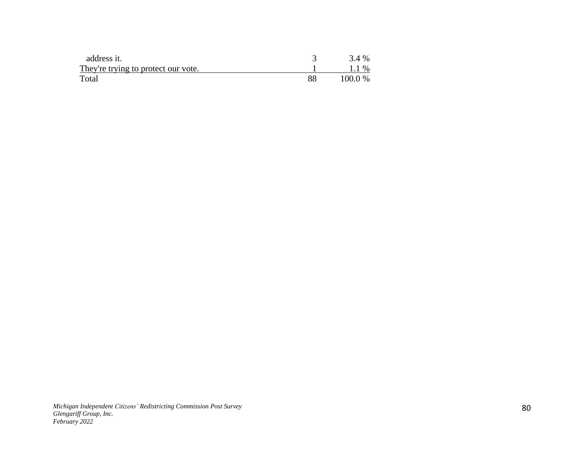| address it.                         |    | 3.4 %     |
|-------------------------------------|----|-----------|
| They're trying to protect our vote. |    | 1.1 %     |
| Total                               | 88 | $100.0\%$ |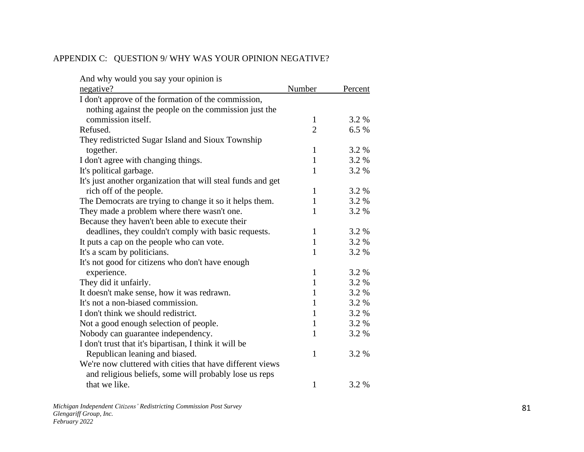# APPENDIX C: QUESTION 9/ WHY WAS YOUR OPINION NEGATIVE?

| And why would you say your opinion is                        |                |         |
|--------------------------------------------------------------|----------------|---------|
| negative?                                                    | Number         | Percent |
| I don't approve of the formation of the commission,          |                |         |
| nothing against the people on the commission just the        |                |         |
| commission itself.                                           | 1              | 3.2 %   |
| Refused.                                                     | $\overline{2}$ | 6.5%    |
| They redistricted Sugar Island and Sioux Township            |                |         |
| together.                                                    | $\mathbf{1}$   | 3.2 %   |
| I don't agree with changing things.                          | $\mathbf{1}$   | 3.2 %   |
| It's political garbage.                                      | $\mathbf{1}$   | 3.2 %   |
| It's just another organization that will steal funds and get |                |         |
| rich off of the people.                                      | $\mathbf{1}$   | 3.2 %   |
| The Democrats are trying to change it so it helps them.      | $\mathbf{1}$   | 3.2 %   |
| They made a problem where there wasn't one.                  | 1              | 3.2 %   |
| Because they haven't been able to execute their              |                |         |
| deadlines, they couldn't comply with basic requests.         | $\mathbf{1}$   | 3.2 %   |
| It puts a cap on the people who can vote.                    | $\mathbf{1}$   | 3.2 %   |
| It's a scam by politicians.                                  | 1              | 3.2 %   |
| It's not good for citizens who don't have enough             |                |         |
| experience.                                                  | $\mathbf{1}$   | 3.2 %   |
| They did it unfairly.                                        | $\mathbf{1}$   | 3.2 %   |
| It doesn't make sense, how it was redrawn.                   | $\mathbf{1}$   | 3.2 %   |
| It's not a non-biased commission.                            | $\mathbf{1}$   | 3.2 %   |
| I don't think we should redistrict.                          | $\mathbf{1}$   | 3.2 %   |
| Not a good enough selection of people.                       | $\mathbf{1}$   | 3.2 %   |
| Nobody can guarantee independency.                           | $\mathbf{1}$   | 3.2 %   |
| I don't trust that it's bipartisan, I think it will be       |                |         |
| Republican leaning and biased.                               | 1              | 3.2 %   |
| We're now cluttered with cities that have different views    |                |         |
| and religious beliefs, some will probably lose us reps       |                |         |
| that we like.                                                | $\mathbf{1}$   | 3.2 %   |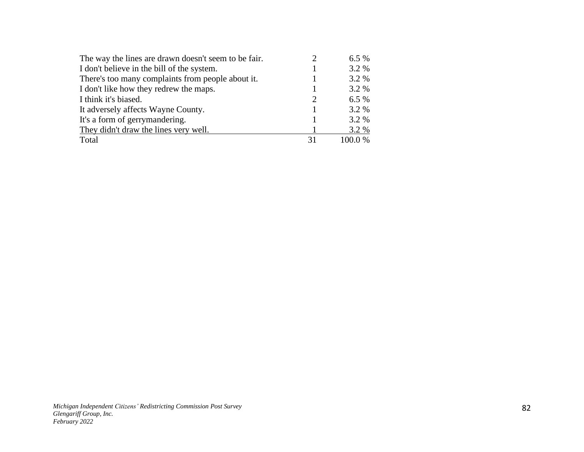| The way the lines are drawn doesn't seem to be fair. |                             | 6.5%    |
|------------------------------------------------------|-----------------------------|---------|
| I don't believe in the bill of the system.           |                             | 3.2 %   |
| There's too many complaints from people about it.    |                             | 3.2 %   |
| I don't like how they redrew the maps.               |                             | 3.2 %   |
| I think it's biased.                                 | $\mathcal{D}_{\mathcal{L}}$ | $6.5\%$ |
| It adversely affects Wayne County.                   |                             | 3.2 %   |
| It's a form of gerrymandering.                       |                             | 3.2 %   |
| They didn't draw the lines very well.                |                             | 3.2 %   |
| Total                                                | 31                          | 100.0%  |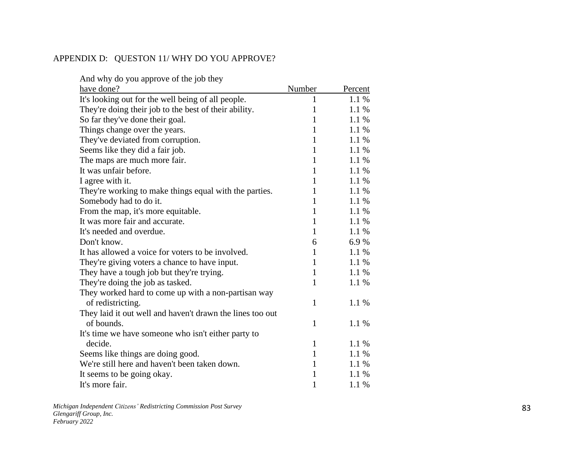## APPENDIX D: QUESTON 11/ WHY DO YOU APPROVE?

| And why do you approve of the job they                    |              |         |
|-----------------------------------------------------------|--------------|---------|
| have done?                                                | Number       | Percent |
| It's looking out for the well being of all people.        | 1            | 1.1 %   |
| They're doing their job to the best of their ability.     | $\mathbf{1}$ | 1.1 %   |
| So far they've done their goal.                           | $\mathbf{1}$ | 1.1 %   |
| Things change over the years.                             | 1            | 1.1 %   |
| They've deviated from corruption.                         | $\mathbf{1}$ | 1.1 %   |
| Seems like they did a fair job.                           | $\mathbf{1}$ | 1.1 %   |
| The maps are much more fair.                              | $\mathbf{1}$ | 1.1 %   |
| It was unfair before.                                     | $\mathbf{1}$ | 1.1%    |
| I agree with it.                                          | 1            | 1.1 %   |
| They're working to make things equal with the parties.    | $\mathbf{1}$ | 1.1 %   |
| Somebody had to do it.                                    | $\mathbf{1}$ | 1.1 %   |
| From the map, it's more equitable.                        | $\mathbf{1}$ | 1.1 %   |
| It was more fair and accurate.                            | $\mathbf{1}$ | 1.1 %   |
| It's needed and overdue.                                  | 1            | 1.1 %   |
| Don't know.                                               | 6            | 6.9%    |
| It has allowed a voice for voters to be involved.         | 1            | 1.1 %   |
| They're giving voters a chance to have input.             | $\mathbf{1}$ | 1.1 %   |
| They have a tough job but they're trying.                 | 1            | 1.1 %   |
| They're doing the job as tasked.                          | 1            | 1.1 %   |
| They worked hard to come up with a non-partisan way       |              |         |
| of redistricting.                                         | 1            | 1.1 %   |
| They laid it out well and haven't drawn the lines too out |              |         |
| of bounds.                                                | 1            | 1.1 %   |
| It's time we have some one who isn't either party to      |              |         |
| decide.                                                   | 1            | 1.1 %   |
| Seems like things are doing good.                         | 1            | 1.1 %   |
| We're still here and haven't been taken down.             | $\mathbf{1}$ | 1.1 %   |
| It seems to be going okay.                                | 1            | 1.1 %   |
| It's more fair.                                           | 1            | 1.1 %   |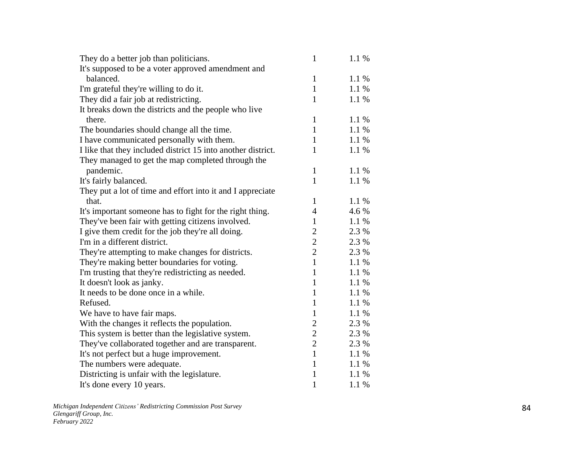| They do a better job than politicians.                       | $\mathbf{1}$   | 1.1%  |
|--------------------------------------------------------------|----------------|-------|
| It's supposed to be a voter approved amendment and           |                |       |
| balanced.                                                    | 1              | 1.1%  |
| I'm grateful they're willing to do it.                       | 1              | 1.1 % |
| They did a fair job at redistricting.                        | $\mathbf{1}$   | 1.1 % |
| It breaks down the districts and the people who live         |                |       |
| there.                                                       | $\mathbf{1}$   | 1.1 % |
| The boundaries should change all the time.                   | $\mathbf{1}$   | 1.1 % |
| I have communicated personally with them.                    | $\mathbf{1}$   | 1.1 % |
| I like that they included district 15 into another district. | 1              | 1.1 % |
| They managed to get the map completed through the            |                |       |
| pandemic.                                                    | 1              | 1.1 % |
| It's fairly balanced.                                        | $\mathbf{1}$   | 1.1 % |
| They put a lot of time and effort into it and I appreciate   |                |       |
| that.                                                        | $\mathbf{1}$   | 1.1 % |
| It's important someone has to fight for the right thing.     | $\overline{4}$ | 4.6 % |
| They've been fair with getting citizens involved.            | 1              | 1.1%  |
| I give them credit for the job they're all doing.            | $\overline{2}$ | 2.3 % |
| I'm in a different district.                                 | $\overline{2}$ | 2.3 % |
| They're attempting to make changes for districts.            | $\overline{2}$ | 2.3 % |
| They're making better boundaries for voting.                 | $\mathbf{1}$   | 1.1 % |
| I'm trusting that they're redistricting as needed.           | $\mathbf{1}$   | 1.1%  |
| It doesn't look as janky.                                    | $\mathbf{1}$   | 1.1 % |
| It needs to be done once in a while.                         | 1              | 1.1 % |
| Refused.                                                     | $\mathbf{1}$   | 1.1 % |
| We have to have fair maps.                                   | $\mathbf{1}$   | 1.1%  |
| With the changes it reflects the population.                 | $\overline{c}$ | 2.3 % |
| This system is better than the legislative system.           | $\overline{c}$ | 2.3 % |
| They've collaborated together and are transparent.           | $\overline{2}$ | 2.3 % |
| It's not perfect but a huge improvement.                     | $\mathbf{1}$   | 1.1 % |
| The numbers were adequate.                                   | $\mathbf{1}$   | 1.1%  |
| Districting is unfair with the legislature.                  | 1              | 1.1%  |
| It's done every 10 years.                                    | 1              | 1.1%  |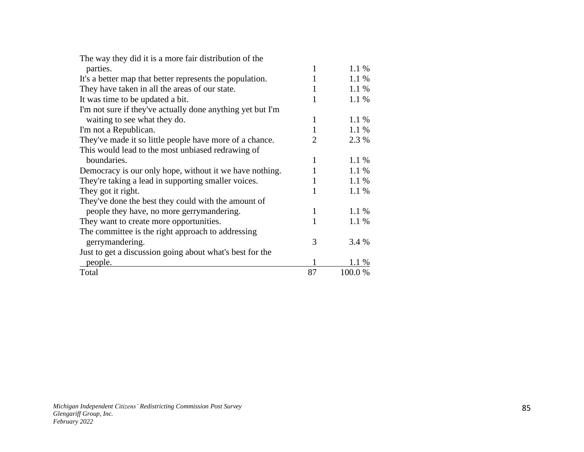| The way they did it is a more fair distribution of the     |    |         |
|------------------------------------------------------------|----|---------|
| parties.                                                   | 1  | 1.1%    |
| It's a better map that better represents the population.   | 1  | 1.1 %   |
| They have taken in all the areas of our state.             | 1  | 1.1 %   |
| It was time to be updated a bit.                           |    | 1.1 %   |
| I'm not sure if they've actually done anything yet but I'm |    |         |
| waiting to see what they do.                               | 1  | 1.1 %   |
| I'm not a Republican.                                      | 1  | 1.1 %   |
| They've made it so little people have more of a chance.    | 2  | 2.3 %   |
| This would lead to the most unbiased redrawing of          |    |         |
| boundaries.                                                | 1  | 1.1 %   |
| Democracy is our only hope, without it we have nothing.    |    | 1.1%    |
| They're taking a lead in supporting smaller voices.        | 1  | 1.1 %   |
| They got it right.                                         | 1  | 1.1 %   |
| They've done the best they could with the amount of        |    |         |
| people they have, no more gerrymandering.                  | 1  | $1.1\%$ |
| They want to create more opportunities.                    | 1  | 1.1 %   |
| The committee is the right approach to addressing          |    |         |
| gerrymandering.                                            | 3  | 3.4 %   |
| Just to get a discussion going about what's best for the   |    |         |
| people.                                                    |    | 1.1 %   |
| Total                                                      | 87 | 100.0 % |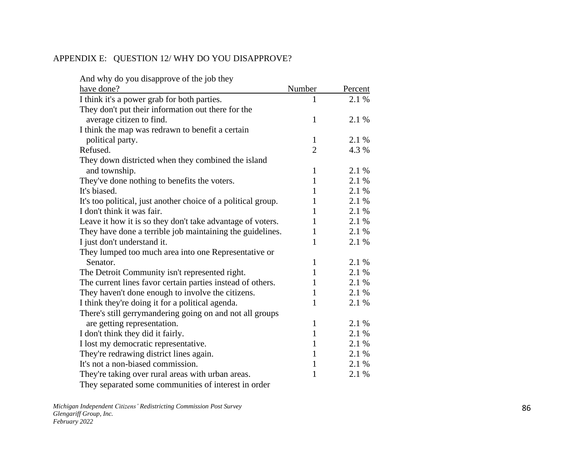### APPENDIX E: QUESTION 12/ WHY DO YOU DISAPPROVE?

| And why do you disapprove of the job they                                                               |                |         |
|---------------------------------------------------------------------------------------------------------|----------------|---------|
| have done?                                                                                              | Number         | Percent |
| I think it's a power grab for both parties.                                                             |                | 2.1 %   |
| They don't put their information out there for the                                                      |                |         |
| average citizen to find.                                                                                | $\mathbf{1}$   | 2.1 %   |
| I think the map was redrawn to benefit a certain                                                        |                |         |
| political party.                                                                                        | $\mathbf{1}$   | 2.1 %   |
| Refused.                                                                                                | $\overline{2}$ | 4.3 %   |
| They down districted when they combined the island                                                      |                |         |
| and township.                                                                                           | $\mathbf{1}$   | 2.1 %   |
| They've done nothing to benefits the voters.                                                            | $\mathbf{1}$   | 2.1 %   |
| It's biased.                                                                                            | 1              | 2.1 %   |
| It's too political, just another choice of a political group.                                           | 1              | 2.1 %   |
| I don't think it was fair.                                                                              | 1              | 2.1 %   |
| Leave it how it is so they don't take advantage of voters.                                              | 1              | 2.1 %   |
| They have done a terrible job maintaining the guidelines.                                               | 1              | 2.1 %   |
| I just don't understand it.                                                                             | 1              | 2.1 %   |
| They lumped too much area into one Representative or                                                    |                |         |
| Senator.                                                                                                | 1              | 2.1 %   |
| The Detroit Community isn't represented right.                                                          | $\mathbf{1}$   | 2.1 %   |
| The current lines favor certain parties instead of others.                                              | 1              | 2.1 %   |
| They haven't done enough to involve the citizens.                                                       | 1              | 2.1 %   |
| I think they're doing it for a political agenda.                                                        | $\mathbf{1}$   | 2.1 %   |
| There's still gerrymandering going on and not all groups                                                |                |         |
| are getting representation.                                                                             | $\mathbf{1}$   | 2.1 %   |
| I don't think they did it fairly.                                                                       | $\mathbf{1}$   | 2.1 %   |
| I lost my democratic representative.                                                                    | 1              | 2.1 %   |
| They're redrawing district lines again.                                                                 | $\mathbf{1}$   | 2.1 %   |
| It's not a non-biased commission.                                                                       | $\mathbf{1}$   | 2.1 %   |
| They're taking over rural areas with urban areas.                                                       | 1              | 2.1 %   |
| The components of a construction of the state of the constant $\mathcal{A}$ is a constant $\mathcal{A}$ |                |         |

They separated some communities of interest in order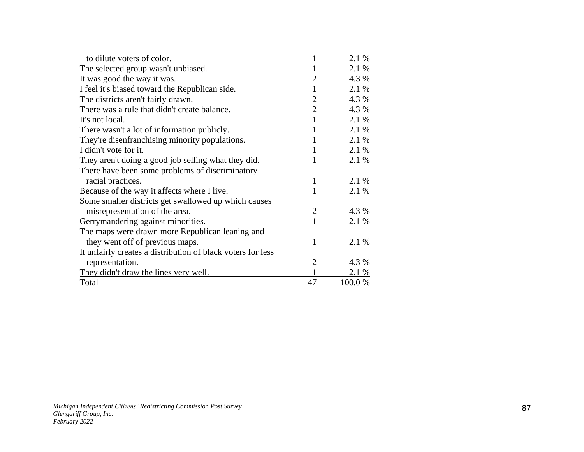| to dilute voters of color.                                  | 1              | 2.1 %   |
|-------------------------------------------------------------|----------------|---------|
| The selected group wasn't unbiased.                         | 1              | 2.1 %   |
| It was good the way it was.                                 | $\overline{2}$ | 4.3 %   |
| I feel it's biased toward the Republican side.              | 1              | 2.1 %   |
| The districts aren't fairly drawn.                          | $\overline{2}$ | 4.3 %   |
| There was a rule that didn't create balance.                | $\overline{2}$ | 4.3 %   |
| It's not local.                                             | $\mathbf{1}$   | 2.1 %   |
| There wasn't a lot of information publicly.                 | 1              | 2.1 %   |
| They're disenfranchising minority populations.              | 1              | 2.1 %   |
| I didn't vote for it.                                       | 1              | 2.1 %   |
| They aren't doing a good job selling what they did.         | 1              | 2.1 %   |
| There have been some problems of discriminatory             |                |         |
| racial practices.                                           | 1              | 2.1 %   |
| Because of the way it affects where I live.                 | 1              | 2.1 %   |
| Some smaller districts get swallowed up which causes        |                |         |
| misrepresentation of the area.                              | $\overline{2}$ | 4.3 %   |
| Gerrymandering against minorities.                          | 1              | 2.1 %   |
| The maps were drawn more Republican leaning and             |                |         |
| they went off of previous maps.                             | 1              | 2.1 %   |
| It unfairly creates a distribution of black voters for less |                |         |
| representation.                                             | 2              | 4.3 %   |
| They didn't draw the lines very well.                       |                | 2.1 %   |
| Total                                                       | 47             | 100.0 % |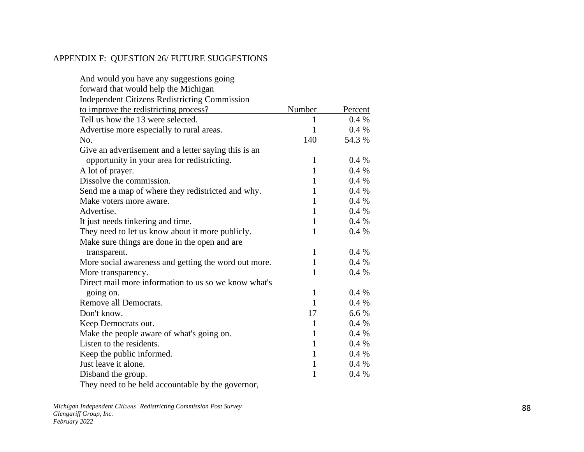### APPENDIX F: QUESTION 26/ FUTURE SUGGESTIONS

| And would you have any suggestions going             |              |         |
|------------------------------------------------------|--------------|---------|
| forward that would help the Michigan                 |              |         |
| <b>Independent Citizens Redistricting Commission</b> |              |         |
| to improve the redistricting process?                | Number       | Percent |
| Tell us how the 13 were selected.                    | 1            | $0.4\%$ |
| Advertise more especially to rural areas.            | $\mathbf{1}$ | $0.4\%$ |
| No.                                                  | 140          | 54.3 %  |
| Give an advertisement and a letter saying this is an |              |         |
| opportunity in your area for redistricting.          | 1            | $0.4\%$ |
| A lot of prayer.                                     | 1            | 0.4 %   |
| Dissolve the commission.                             | 1            | 0.4%    |
| Send me a map of where they redistricted and why.    | 1            | $0.4\%$ |
| Make voters more aware.                              | 1            | 0.4%    |
| Advertise.                                           | $\mathbf{1}$ | 0.4%    |
| It just needs tinkering and time.                    | $\mathbf{1}$ | $0.4\%$ |
| They need to let us know about it more publicly.     | $\mathbf{1}$ | 0.4 %   |
| Make sure things are done in the open and are        |              |         |
| transparent.                                         | $\mathbf{1}$ | 0.4%    |
| More social awareness and getting the word out more. | $\mathbf{1}$ | 0.4%    |
| More transparency.                                   | 1            | 0.4%    |
| Direct mail more information to us so we know what's |              |         |
| going on.                                            | $\mathbf{1}$ | 0.4%    |
| Remove all Democrats.                                | $\mathbf{1}$ | 0.4%    |
| Don't know.                                          | 17           | 6.6%    |
| Keep Democrats out.                                  | 1            | 0.4%    |
| Make the people aware of what's going on.            | 1            | 0.4%    |
| Listen to the residents.                             | $\mathbf{1}$ | 0.4%    |
| Keep the public informed.                            | $\mathbf{1}$ | 0.4%    |
| Just leave it alone.                                 | $\mathbf{1}$ | 0.4%    |
| Disband the group.                                   | 1            | 0.4%    |
| They need to be held accountable by the governor,    |              |         |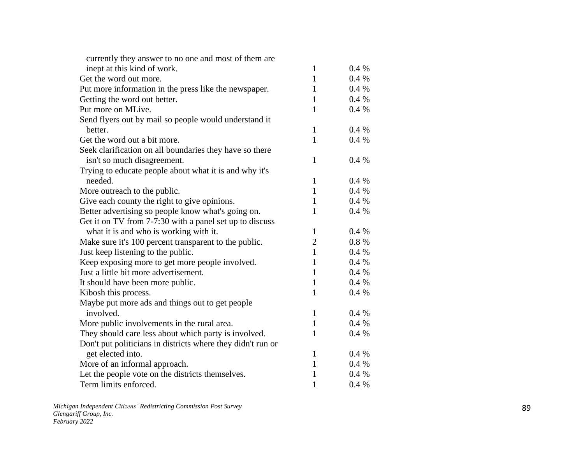| currently they answer to no one and most of them are        |                |          |
|-------------------------------------------------------------|----------------|----------|
| inept at this kind of work.                                 | $\mathbf{1}$   | 0.4%     |
| Get the word out more.                                      | $\mathbf{1}$   | 0.4%     |
| Put more information in the press like the newspaper.       | $\mathbf{1}$   | 0.4%     |
| Getting the word out better.                                | $\mathbf{1}$   | 0.4%     |
| Put more on MLive.                                          | $\mathbf{1}$   | 0.4 %    |
| Send flyers out by mail so people would understand it       |                |          |
| better.                                                     | $\mathbf{1}$   | 0.4%     |
| Get the word out a bit more.                                | $\mathbf{1}$   | 0.4%     |
| Seek clarification on all boundaries they have so there     |                |          |
| isn't so much disagreement.                                 | $\mathbf{1}$   | 0.4%     |
| Trying to educate people about what it is and why it's      |                |          |
| needed.                                                     | $\mathbf{1}$   | 0.4%     |
| More outreach to the public.                                | $\mathbf{1}$   | 0.4%     |
| Give each county the right to give opinions.                | $\mathbf{1}$   | 0.4%     |
| Better advertising so people know what's going on.          | $\mathbf{1}$   | $0.4~\%$ |
| Get it on TV from 7-7:30 with a panel set up to discuss     |                |          |
| what it is and who is working with it.                      | $\mathbf{1}$   | 0.4%     |
| Make sure it's 100 percent transparent to the public.       | $\overline{2}$ | 0.8%     |
| Just keep listening to the public.                          | $\mathbf{1}$   | 0.4%     |
| Keep exposing more to get more people involved.             | $\mathbf{1}$   | 0.4 %    |
| Just a little bit more advertisement.                       | $\mathbf{1}$   | 0.4%     |
| It should have been more public.                            | $\mathbf{1}$   | 0.4 %    |
| Kibosh this process.                                        | $\mathbf{1}$   | 0.4%     |
| Maybe put more ads and things out to get people             |                |          |
| involved.                                                   | $\mathbf{1}$   | 0.4 %    |
| More public involvements in the rural area.                 | $\mathbf{1}$   | 0.4%     |
| They should care less about which party is involved.        | 1              | 0.4%     |
| Don't put politicians in districts where they didn't run or |                |          |
| get elected into.                                           | 1              | 0.4%     |
| More of an informal approach.                               | $\mathbf{1}$   | 0.4%     |
| Let the people vote on the districts themselves.            | $\mathbf{1}$   | $0.4\%$  |
| Term limits enforced.                                       | $\mathbf{1}$   | 0.4%     |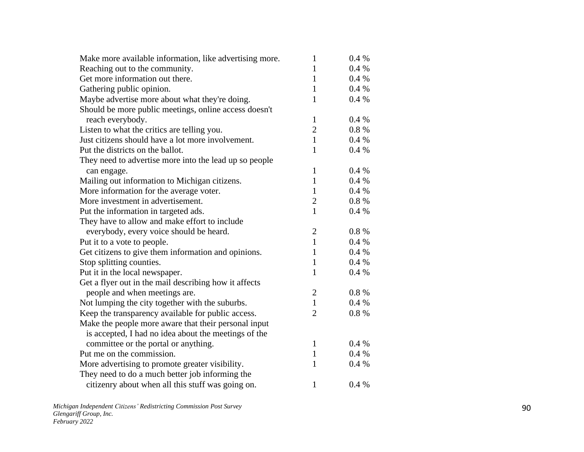| Make more available information, like advertising more. | $\mathbf{1}$   | 0.4%     |
|---------------------------------------------------------|----------------|----------|
| Reaching out to the community.                          | $\mathbf{1}$   | $0.4\%$  |
| Get more information out there.                         | 1              | 0.4%     |
| Gathering public opinion.                               | $\mathbf{1}$   | $0.4\%$  |
| Maybe advertise more about what they're doing.          | $\mathbf{1}$   | 0.4%     |
| Should be more public meetings, online access doesn't   |                |          |
| reach everybody.                                        | $\mathbf{1}$   | 0.4%     |
| Listen to what the critics are telling you.             | $\overline{c}$ | $0.8 \%$ |
| Just citizens should have a lot more involvement.       | $\mathbf{1}$   | 0.4%     |
| Put the districts on the ballot.                        | $\mathbf{1}$   | 0.4%     |
| They need to advertise more into the lead up so people  |                |          |
| can engage.                                             | 1              | 0.4%     |
| Mailing out information to Michigan citizens.           | $\mathbf{1}$   | $0.4\%$  |
| More information for the average voter.                 | $\mathbf{1}$   | 0.4%     |
| More investment in advertisement.                       | $\overline{c}$ | $0.8 \%$ |
| Put the information in targeted ads.                    | $\mathbf{1}$   | 0.4%     |
| They have to allow and make effort to include           |                |          |
| everybody, every voice should be heard.                 | $\overline{c}$ | 0.8%     |
| Put it to a vote to people.                             | $\mathbf{1}$   | 0.4%     |
| Get citizens to give them information and opinions.     | $\mathbf{1}$   | 0.4%     |
| Stop splitting counties.                                | $\mathbf{1}$   | $0.4\%$  |
| Put it in the local newspaper.                          | $\mathbf{1}$   | 0.4%     |
| Get a flyer out in the mail describing how it affects   |                |          |
| people and when meetings are.                           | $\overline{2}$ | $0.8 \%$ |
| Not lumping the city together with the suburbs.         | $\mathbf{1}$   | 0.4%     |
| Keep the transparency available for public access.      | $\overline{2}$ | 0.8%     |
| Make the people more aware that their personal input    |                |          |
| is accepted, I had no idea about the meetings of the    |                |          |
| committee or the portal or anything.                    | 1              | 0.4%     |
| Put me on the commission.                               | $\mathbf{1}$   | $0.4\%$  |
| More advertising to promote greater visibility.         | 1              | 0.4%     |
| They need to do a much better job informing the         |                |          |
| citizenry about when all this stuff was going on.       | $\mathbf{1}$   | 0.4%     |